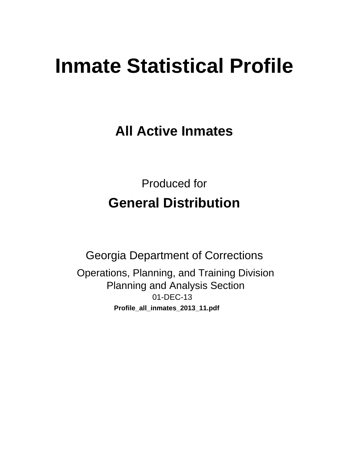# **Inmate Statistical Profile**

**All Active Inmates** 

**Produced for General Distribution** 

**Georgia Department of Corrections** Operations, Planning, and Training Division **Planning and Analysis Section** 01-DEC-13 Profile\_all\_inmates\_2013\_11.pdf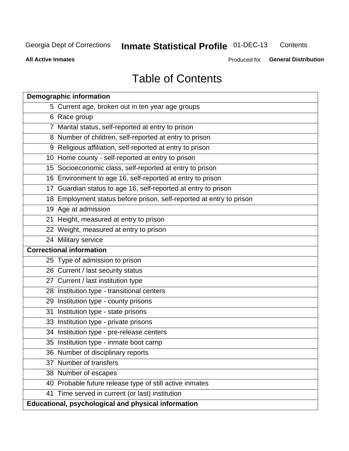#### **Inmate Statistical Profile 01-DEC-13** Contents

**All Active Inmates** 

Produced for General Distribution

# **Table of Contents**

|    | <b>Demographic information</b>                                       |
|----|----------------------------------------------------------------------|
|    | 5 Current age, broken out in ten year age groups                     |
|    | 6 Race group                                                         |
|    | 7 Marital status, self-reported at entry to prison                   |
|    | 8 Number of children, self-reported at entry to prison               |
|    | 9 Religious affiliation, self-reported at entry to prison            |
|    | 10 Home county - self-reported at entry to prison                    |
|    | 15 Socioeconomic class, self-reported at entry to prison             |
|    | 16 Environment to age 16, self-reported at entry to prison           |
|    | 17 Guardian status to age 16, self-reported at entry to prison       |
|    | 18 Employment status before prison, self-reported at entry to prison |
|    | 19 Age at admission                                                  |
|    | 21 Height, measured at entry to prison                               |
|    | 22 Weight, measured at entry to prison                               |
|    | 24 Military service                                                  |
|    | <b>Correctional information</b>                                      |
|    | 25 Type of admission to prison                                       |
|    | 26 Current / last security status                                    |
|    | 27 Current / last institution type                                   |
|    | 28 Institution type - transitional centers                           |
|    | 29 Institution type - county prisons                                 |
| 31 | Institution type - state prisons                                     |
|    | 33 Institution type - private prisons                                |
|    | 34 Institution type - pre-release centers                            |
|    | 35 Institution type - inmate boot camp                               |
|    | 36 Number of disciplinary reports                                    |
|    | 37 Number of transfers                                               |
|    | 38 Number of escapes                                                 |
|    | 40 Probable future release type of still active inmates              |
|    | 41 Time served in current (or last) institution                      |
|    | Educational, psychological and physical information                  |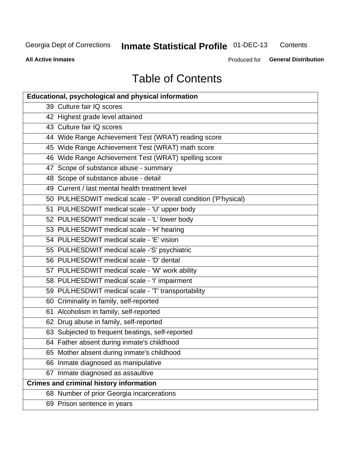#### **Inmate Statistical Profile 01-DEC-13** Contents

**All Active Inmates** 

Produced for General Distribution

# **Table of Contents**

| <b>Educational, psychological and physical information</b>       |
|------------------------------------------------------------------|
| 39 Culture fair IQ scores                                        |
| 42 Highest grade level attained                                  |
| 43 Culture fair IQ scores                                        |
| 44 Wide Range Achievement Test (WRAT) reading score              |
| 45 Wide Range Achievement Test (WRAT) math score                 |
| 46 Wide Range Achievement Test (WRAT) spelling score             |
| 47 Scope of substance abuse - summary                            |
| 48 Scope of substance abuse - detail                             |
| 49 Current / last mental health treatment level                  |
| 50 PULHESDWIT medical scale - 'P' overall condition ('P'hysical) |
| 51 PULHESDWIT medical scale - 'U' upper body                     |
| 52 PULHESDWIT medical scale - 'L' lower body                     |
| 53 PULHESDWIT medical scale - 'H' hearing                        |
| 54 PULHESDWIT medical scale - 'E' vision                         |
| 55 PULHESDWIT medical scale -'S' psychiatric                     |
| 56 PULHESDWIT medical scale - 'D' dental                         |
| 57 PULHESDWIT medical scale - 'W' work ability                   |
| 58 PULHESDWIT medical scale - 'I' impairment                     |
| 59 PULHESDWIT medical scale - 'T' transportability               |
| 60 Criminality in family, self-reported                          |
| 61 Alcoholism in family, self-reported                           |
| 62 Drug abuse in family, self-reported                           |
| 63 Subjected to frequent beatings, self-reported                 |
| 64 Father absent during inmate's childhood                       |
| 65 Mother absent during inmate's childhood                       |
| 66 Inmate diagnosed as manipulative                              |
| 67 Inmate diagnosed as assaultive                                |
| <b>Crimes and criminal history information</b>                   |
| 68 Number of prior Georgia incarcerations                        |
| 69 Prison sentence in years                                      |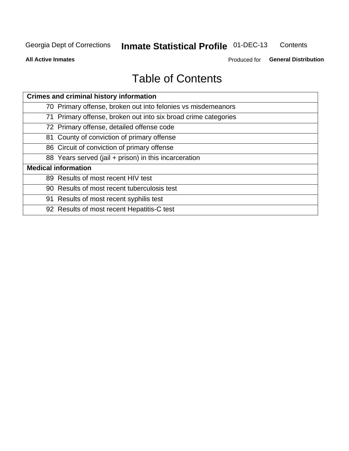#### **Inmate Statistical Profile 01-DEC-13** Contents

**All Active Inmates** 

Produced for General Distribution

# **Table of Contents**

| <b>Crimes and criminal history information</b>                 |
|----------------------------------------------------------------|
| 70 Primary offense, broken out into felonies vs misdemeanors   |
| 71 Primary offense, broken out into six broad crime categories |
| 72 Primary offense, detailed offense code                      |
| 81 County of conviction of primary offense                     |
| 86 Circuit of conviction of primary offense                    |
| 88 Years served (jail + prison) in this incarceration          |
| <b>Medical information</b>                                     |
| 89 Results of most recent HIV test                             |
| 90 Results of most recent tuberculosis test                    |
| 91 Results of most recent syphilis test                        |
| 92 Results of most recent Hepatitis-C test                     |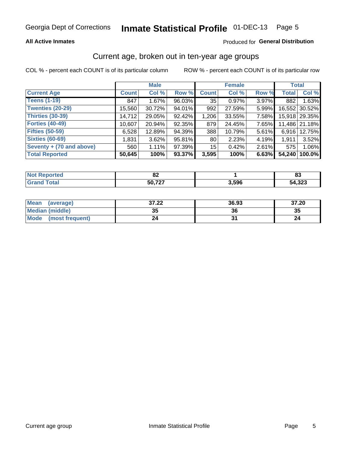### **All Active Inmates**

### Produced for General Distribution

### Current age, broken out in ten-year age groups

COL % - percent each COUNT is of its particular column

|                          |              | <b>Male</b> |        |                 | <b>Female</b> |          | <b>Total</b> |               |
|--------------------------|--------------|-------------|--------|-----------------|---------------|----------|--------------|---------------|
| <b>Current Age</b>       | <b>Count</b> | Col %       | Row %  | <b>Count</b>    | Col %         | Row %    | <b>Total</b> | Col %         |
| <b>Teens (1-19)</b>      | 847          | 1.67%       | 96.03% | 35              | 0.97%         | 3.97%    | 882          | 1.63%         |
| <b>Twenties (20-29)</b>  | 15,560       | 30.72%      | 94.01% | 992             | 27.59%        | 5.99%    | 16,552       | 30.52%        |
| <b>Thirties (30-39)</b>  | 14,712       | 29.05%      | 92.42% | 1,206           | 33.55%        | $7.58\%$ |              | 15,918 29.35% |
| <b>Forties (40-49)</b>   | 10,607       | 20.94%      | 92.35% | 879             | 24.45%        | 7.65%    |              | 11,486 21.18% |
| <b>Fifties (50-59)</b>   | 6,528        | 12.89%      | 94.39% | 388             | 10.79%        | 5.61%    | 6.916        | 12.75%        |
| <b>Sixties (60-69)</b>   | 1,831        | 3.62%       | 95.81% | 80              | 2.23%         | 4.19%    | 1.911        | 3.52%         |
| Seventy + (70 and above) | 560          | 1.11%       | 97.39% | 15 <sub>1</sub> | 0.42%         | $2.61\%$ | 575          | 1.06%         |
| <b>Total Reported</b>    | 50,645       | 100%        | 93.37% | 3,595           | 100%          | 6.63%    | 54,240       | 100.0%        |

| <b>Not Repo</b> | o,         |       | o.     |
|-----------------|------------|-------|--------|
| orted           | UΖ         |       | ບປ     |
| Total           | $\sim$ 707 | 3,596 | 54,323 |

| <b>Mean</b><br>(average) | 37.22    | 36.93 | 37.20 |
|--------------------------|----------|-------|-------|
| Median (middle)          | つん<br>vu | 36    | 35    |
| Mode<br>(most frequent)  | 24       |       |       |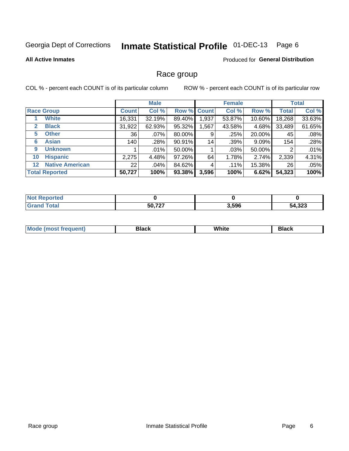#### Inmate Statistical Profile 01-DEC-13 Page 6

### **All Active Inmates**

### Produced for General Distribution

### Race group

COL % - percent each COUNT is of its particular column

|                                   |                 | <b>Male</b> |        |             | <b>Female</b> |          |              | <b>Total</b> |
|-----------------------------------|-----------------|-------------|--------|-------------|---------------|----------|--------------|--------------|
| <b>Race Group</b>                 | <b>Count</b>    | Col %       |        | Row % Count | Col %         | Row %    | <b>Total</b> | Col %        |
| <b>White</b>                      | 16,331          | 32.19%      | 89.40% | 1,937       | 53.87%        | 10.60%   | 18,268       | 33.63%       |
| <b>Black</b><br>2                 | 31,922          | 62.93%      | 95.32% | .567        | 43.58%        | 4.68%    | 33,489       | 61.65%       |
| <b>Other</b><br>5                 | 36              | .07%        | 80.00% | 9           | .25%          | 20.00%   | 45           | .08%         |
| <b>Asian</b><br>6                 | 140             | .28%        | 90.91% | 14          | .39%          | $9.09\%$ | 154          | .28%         |
| <b>Unknown</b><br>9               |                 | $.01\%$     | 50.00% |             | .03%          | 50.00%   | 2            | .01%         |
| <b>Hispanic</b><br>10             | 2,275           | 4.48%       | 97.26% | 64          | 1.78%         | 2.74%    | 2,339        | 4.31%        |
| <b>Native American</b><br>$12 \,$ | 22 <sub>1</sub> | $.04\%$     | 84.62% | 4           | $.11\%$       | 15.38%   | 26           | .05%         |
| <b>Total Reported</b>             | 50,727          | 100%        | 93.38% | 3,596       | 100%          | 6.62%    | 54,323       | 100%         |

| orted<br>NO         |        |       |        |
|---------------------|--------|-------|--------|
| `otal<br><b>Gra</b> | 50,727 | 3,596 | 54,323 |

| M.<br>____ | . | ------- |
|------------|---|---------|
|            |   |         |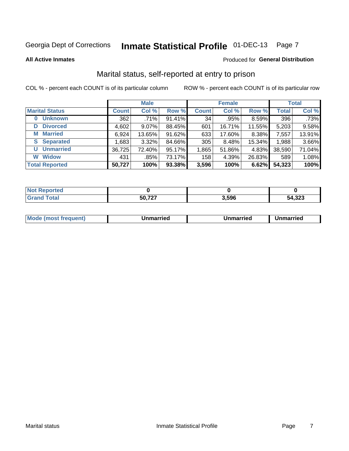# Inmate Statistical Profile 01-DEC-13 Page 7

#### **All Active Inmates**

### Produced for General Distribution

### Marital status, self-reported at entry to prison

COL % - percent each COUNT is of its particular column

|                            |              | <b>Male</b> |        |              | <b>Female</b> |        |              | <b>Total</b> |
|----------------------------|--------------|-------------|--------|--------------|---------------|--------|--------------|--------------|
| <b>Marital Status</b>      | <b>Count</b> | Col %       | Row %  | <b>Count</b> | Col %         | Row %  | <b>Total</b> | Col %        |
| <b>Unknown</b><br>$\bf{0}$ | 362          | .71%        | 91.41% | 34           | .95%          | 8.59%  | 396          | .73%         |
| <b>Divorced</b><br>D       | 4,602        | $9.07\%$    | 88.45% | 601          | 16.71%        | 11.55% | 5,203        | 9.58%        |
| <b>Married</b><br>М        | 6,924        | 13.65%      | 91.62% | 633          | 17.60%        | 8.38%  | 7,557        | 13.91%       |
| <b>Separated</b><br>S.     | 1,683        | 3.32%       | 84.66% | 305          | 8.48%         | 15.34% | 1,988        | 3.66%        |
| <b>Unmarried</b><br>U      | 36,725       | 72.40%      | 95.17% | 1,865        | 51.86%        | 4.83%  | 38,590       | 71.04%       |
| <b>Widow</b><br>W          | 431          | .85%        | 73.17% | 158          | 4.39%         | 26.83% | 589          | 1.08%        |
| <b>Total Reported</b>      | 50,727       | 100%        | 93.38% | 3,596        | 100%          | 6.62%  | 54,323       | 100%         |

| <b>Not Repo</b><br>morted m |        |       |        |
|-----------------------------|--------|-------|--------|
| <b>Fotal</b>                | דמד ה־ | 3.596 | 54,323 |

| <b>Mode (most frequent)</b><br>Unmarried<br>Unmarried<br>Jnmarried |
|--------------------------------------------------------------------|
|--------------------------------------------------------------------|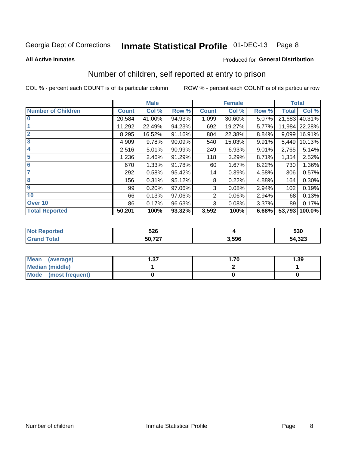# Inmate Statistical Profile 01-DEC-13 Page 8

#### **All Active Inmates**

### Produced for General Distribution

# Number of children, self reported at entry to prison

COL % - percent each COUNT is of its particular column

|                           |              | <b>Male</b> |        |                | <b>Female</b> |       | <b>Total</b> |        |
|---------------------------|--------------|-------------|--------|----------------|---------------|-------|--------------|--------|
| <b>Number of Children</b> | <b>Count</b> | Col %       | Row %  | <b>Count</b>   | Col %         | Row % | <b>Total</b> | Col %  |
| 10                        | 20,584       | 41.00%      | 94.93% | 1,099          | 30.60%        | 5.07% | 21,683       | 40.31% |
|                           | 11,292       | 22.49%      | 94.23% | 692            | 19.27%        | 5.77% | 11,984       | 22.28% |
| $\overline{2}$            | 8,295        | 16.52%      | 91.16% | 804            | 22.38%        | 8.84% | 9,099        | 16.91% |
| $\overline{\mathbf{3}}$   | 4,909        | 9.78%       | 90.09% | 540            | 15.03%        | 9.91% | 5,449        | 10.13% |
| 4                         | 2,516        | 5.01%       | 90.99% | 249            | 6.93%         | 9.01% | 2,765        | 5.14%  |
| 5                         | 1,236        | 2.46%       | 91.29% | 118            | 3.29%         | 8.71% | 1,354        | 2.52%  |
| $6\phantom{1}6$           | 670          | 1.33%       | 91.78% | 60             | 1.67%         | 8.22% | 730          | 1.36%  |
| 7                         | 292          | 0.58%       | 95.42% | 14             | 0.39%         | 4.58% | 306          | 0.57%  |
| 8                         | 156          | 0.31%       | 95.12% | 8              | 0.22%         | 4.88% | 164          | 0.30%  |
| 9                         | 99           | 0.20%       | 97.06% | 3              | 0.08%         | 2.94% | 102          | 0.19%  |
| 10                        | 66           | 0.13%       | 97.06% | $\overline{2}$ | 0.06%         | 2.94% | 68           | 0.13%  |
| Over 10                   | 86           | 0.17%       | 96.63% | 3              | 0.08%         | 3.37% | 89           | 0.17%  |
| <b>Total Reported</b>     | 50,201       | 100%        | 93.32% | 3,592          | 100%          | 6.68% | 53,793       | 100.0% |

|      | ちつに<br>◡▴◡ |       | 530           |
|------|------------|-------|---------------|
| υιαι | $E_0$ 707  | 3.596 | າາາ<br>54,323 |

| <b>Mean</b><br>(average) | דפ<br>I .J 1 | .70 | 1.39 |  |  |
|--------------------------|--------------|-----|------|--|--|
| Median (middle)          |              |     |      |  |  |
| Mode<br>(most frequent)  |              |     |      |  |  |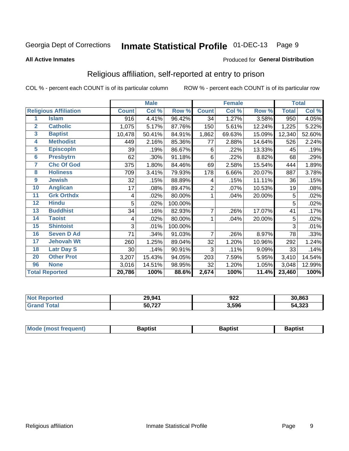#### Inmate Statistical Profile 01-DEC-13 Page 9

#### **All Active Inmates**

### Produced for General Distribution

### Religious affiliation, self-reported at entry to prison

COL % - percent each COUNT is of its particular column

|                |                              | <b>Male</b>  |        |         | <b>Female</b>  |        |        | <b>Total</b> |        |
|----------------|------------------------------|--------------|--------|---------|----------------|--------|--------|--------------|--------|
|                | <b>Religious Affiliation</b> | <b>Count</b> | Col %  | Row %   | <b>Count</b>   | Col %  | Row %  | <b>Total</b> | Col %  |
| 1              | <b>Islam</b>                 | 916          | 4.41%  | 96.42%  | 34             | 1.27%  | 3.58%  | 950          | 4.05%  |
| $\overline{2}$ | <b>Catholic</b>              | 1,075        | 5.17%  | 87.76%  | 150            | 5.61%  | 12.24% | 1,225        | 5.22%  |
| $\mathbf{3}$   | <b>Baptist</b>               | 10,478       | 50.41% | 84.91%  | 1,862          | 69.63% | 15.09% | 12,340       | 52.60% |
| 4              | <b>Methodist</b>             | 449          | 2.16%  | 85.36%  | 77             | 2.88%  | 14.64% | 526          | 2.24%  |
| 5              | <b>EpiscopIn</b>             | 39           | .19%   | 86.67%  | 6              | .22%   | 13.33% | 45           | .19%   |
| $6\phantom{a}$ | <b>Presbytrn</b>             | 62           | .30%   | 91.18%  | 6              | .22%   | 8.82%  | 68           | .29%   |
| 7              | <b>Chc Of God</b>            | 375          | 1.80%  | 84.46%  | 69             | 2.58%  | 15.54% | 444          | 1.89%  |
| 8              | <b>Holiness</b>              | 709          | 3.41%  | 79.93%  | 178            | 6.66%  | 20.07% | 887          | 3.78%  |
| $\overline{9}$ | <b>Jewish</b>                | 32           | .15%   | 88.89%  | 4              | .15%   | 11.11% | 36           | .15%   |
| 10             | <b>Anglican</b>              | 17           | .08%   | 89.47%  | $\overline{2}$ | .07%   | 10.53% | 19           | .08%   |
| 11             | <b>Grk Orthdx</b>            | 4            | .02%   | 80.00%  | 1              | .04%   | 20.00% | 5            | .02%   |
| 12             | <b>Hindu</b>                 | 5            | .02%   | 100.00% |                |        |        | 5            | .02%   |
| 13             | <b>Buddhist</b>              | 34           | .16%   | 82.93%  | $\overline{7}$ | .26%   | 17.07% | 41           | .17%   |
| 14             | <b>Taoist</b>                | 4            | .02%   | 80.00%  |                | .04%   | 20.00% | 5            | .02%   |
| 15             | <b>Shintoist</b>             | 3            | .01%   | 100.00% |                |        |        | 3            | .01%   |
| 16             | <b>Seven D Ad</b>            | 71           | .34%   | 91.03%  | 7              | .26%   | 8.97%  | 78           | .33%   |
| 17             | <b>Jehovah Wt</b>            | 260          | 1.25%  | 89.04%  | 32             | 1.20%  | 10.96% | 292          | 1.24%  |
| 18             | <b>Latr Day S</b>            | 30           | .14%   | 90.91%  | 3              | .11%   | 9.09%  | 33           | .14%   |
| 20             | <b>Other Prot</b>            | 3,207        | 15.43% | 94.05%  | 203            | 7.59%  | 5.95%  | 3,410        | 14.54% |
| 96             | <b>None</b>                  | 3,016        | 14.51% | 98.95%  | 32             | 1.20%  | 1.05%  | 3,048        | 12.99% |
|                | <b>Total Reported</b>        | 20,786       | 100%   | 88.6%   | 2,674          | 100%   | 11.4%  | 23,460       | 100%   |

| 29,941 | nne.<br>92Z<br>__ | 30,863      |
|--------|-------------------|-------------|
| 50,727 | 3,596             | 4,323<br>54 |

| Mode (most frequent) | <b>3aptist</b> | 3aptist | <b>Baptist</b> |
|----------------------|----------------|---------|----------------|
|                      |                |         |                |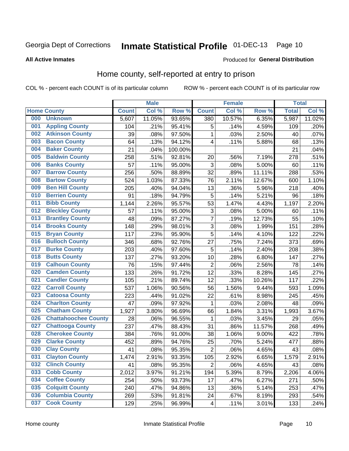# Inmate Statistical Profile 01-DEC-13 Page 10

### **All Active Inmates**

### Produced for General Distribution

### Home county, self-reported at entry to prison

COL % - percent each COUNT is of its particular column

|     | <b>Male</b>                 |              |        |                  | <b>Female</b>           |        | <b>Total</b> |              |        |
|-----|-----------------------------|--------------|--------|------------------|-------------------------|--------|--------------|--------------|--------|
|     | <b>Home County</b>          | <b>Count</b> | Col %  | Row <sup>%</sup> | <b>Count</b>            | Col %  | Row %        | <b>Total</b> | Col %  |
| 000 | <b>Unknown</b>              | 5,607        | 11.05% | 93.65%           | 380                     | 10.57% | 6.35%        | 5,987        | 11.02% |
| 001 | <b>Appling County</b>       | 104          | .21%   | 95.41%           | 5                       | .14%   | 4.59%        | 109          | .20%   |
| 002 | <b>Atkinson County</b>      | 39           | .08%   | 97.50%           | 1                       | .03%   | 2.50%        | 40           | .07%   |
| 003 | <b>Bacon County</b>         | 64           | .13%   | 94.12%           | 4                       | .11%   | 5.88%        | 68           | .13%   |
| 004 | <b>Baker County</b>         | 21           | .04%   | 100.00%          |                         |        |              | 21           | .04%   |
| 005 | <b>Baldwin County</b>       | 258          | .51%   | 92.81%           | 20                      | .56%   | 7.19%        | 278          | .51%   |
| 006 | <b>Banks County</b>         | 57           | .11%   | 95.00%           | $\mathbf{3}$            | .08%   | 5.00%        | 60           | .11%   |
| 007 | <b>Barrow County</b>        | 256          | .50%   | 88.89%           | 32                      | .89%   | 11.11%       | 288          | .53%   |
| 008 | <b>Bartow County</b>        | 524          | 1.03%  | 87.33%           | 76                      | 2.11%  | 12.67%       | 600          | 1.10%  |
| 009 | <b>Ben Hill County</b>      | 205          | .40%   | 94.04%           | 13                      | .36%   | 5.96%        | 218          | .40%   |
| 010 | <b>Berrien County</b>       | 91           | .18%   | 94.79%           | 5                       | .14%   | 5.21%        | 96           | .18%   |
| 011 | <b>Bibb County</b>          | 1,144        | 2.26%  | 95.57%           | 53                      | 1.47%  | 4.43%        | 1,197        | 2.20%  |
| 012 | <b>Bleckley County</b>      | 57           | .11%   | 95.00%           | 3                       | .08%   | 5.00%        | 60           | .11%   |
| 013 | <b>Brantley County</b>      | 48           | .09%   | 87.27%           | $\overline{7}$          | .19%   | 12.73%       | 55           | .10%   |
| 014 | <b>Brooks County</b>        | 148          | .29%   | 98.01%           | $\overline{3}$          | .08%   | 1.99%        | 151          | .28%   |
| 015 | <b>Bryan County</b>         | 117          | .23%   | 95.90%           | 5                       | .14%   | 4.10%        | 122          | .22%   |
| 016 | <b>Bulloch County</b>       | 346          | .68%   | 92.76%           | 27                      | .75%   | 7.24%        | 373          | .69%   |
| 017 | <b>Burke County</b>         | 203          | .40%   | 97.60%           | 5                       | .14%   | 2.40%        | 208          | .38%   |
| 018 | <b>Butts County</b>         | 137          | .27%   | 93.20%           | 10                      | .28%   | 6.80%        | 147          | .27%   |
| 019 | <b>Calhoun County</b>       | 76           | .15%   | 97.44%           | $\overline{2}$          | .06%   | 2.56%        | 78           | .14%   |
| 020 | <b>Camden County</b>        | 133          | .26%   | 91.72%           | 12                      | .33%   | 8.28%        | 145          | .27%   |
| 021 | <b>Candler County</b>       | 105          | .21%   | 89.74%           | 12                      | .33%   | 10.26%       | 117          | .22%   |
| 022 | <b>Carroll County</b>       | 537          | 1.06%  | 90.56%           | 56                      | 1.56%  | 9.44%        | 593          | 1.09%  |
| 023 | <b>Catoosa County</b>       | 223          | .44%   | 91.02%           | 22                      | .61%   | 8.98%        | 245          | .45%   |
| 024 | <b>Charlton County</b>      | 47           | .09%   | 97.92%           | 1                       | .03%   | 2.08%        | 48           | .09%   |
| 025 | <b>Chatham County</b>       | 1,927        | 3.80%  | 96.69%           | 66                      | 1.84%  | 3.31%        | 1,993        | 3.67%  |
| 026 | <b>Chattahoochee County</b> | 28           | .06%   | 96.55%           | 1                       | .03%   | 3.45%        | 29           | .05%   |
| 027 | <b>Chattooga County</b>     | 237          | .47%   | 88.43%           | 31                      | .86%   | 11.57%       | 268          | .49%   |
| 028 | <b>Cherokee County</b>      | 384          | .76%   | 91.00%           | 38                      | 1.06%  | 9.00%        | 422          | .78%   |
| 029 | <b>Clarke County</b>        | 452          | .89%   | 94.76%           | 25                      | .70%   | 5.24%        | 477          | .88%   |
| 030 | <b>Clay County</b>          | 41           | .08%   | 95.35%           | $\overline{2}$          | .06%   | 4.65%        | 43           | .08%   |
| 031 | <b>Clayton County</b>       | 1,474        | 2.91%  | 93.35%           | 105                     | 2.92%  | 6.65%        | 1,579        | 2.91%  |
| 032 | <b>Clinch County</b>        | 41           | .08%   | 95.35%           | $\overline{2}$          | .06%   | 4.65%        | 43           | .08%   |
| 033 | <b>Cobb County</b>          | 2,012        | 3.97%  | 91.21%           | 194                     | 5.39%  | 8.79%        | 2,206        | 4.06%  |
| 034 | <b>Coffee County</b>        | 254          | .50%   | 93.73%           | 17                      | .47%   | 6.27%        | 271          | .50%   |
| 035 | <b>Colquitt County</b>      | 240          | .47%   | 94.86%           | 13                      | .36%   | 5.14%        | 253          | .47%   |
| 036 | <b>Columbia County</b>      | 269          | .53%   | 91.81%           | 24                      | .67%   | 8.19%        | 293          | .54%   |
| 037 | <b>Cook County</b>          | 129          | .25%   | 96.99%           | $\overline{\mathbf{4}}$ | .11%   | 3.01%        | 133          | .24%   |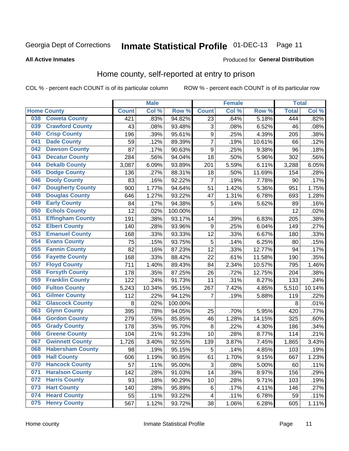#### Inmate Statistical Profile 01-DEC-13 Page 11

**All Active Inmates** 

### Produced for General Distribution

### Home county, self-reported at entry to prison

COL % - percent each COUNT is of its particular column

|     |                         |              | <b>Male</b> |                  |                         | <b>Female</b> |        | <b>Total</b> |        |
|-----|-------------------------|--------------|-------------|------------------|-------------------------|---------------|--------|--------------|--------|
|     | <b>Home County</b>      | <b>Count</b> | Col%        | Row <sup>%</sup> | <b>Count</b>            | Col %         | Row %  | <b>Total</b> | Col %  |
| 038 | <b>Coweta County</b>    | 421          | .83%        | 94.82%           | 23                      | .64%          | 5.18%  | 444          | .82%   |
| 039 | <b>Crawford County</b>  | 43           | .08%        | 93.48%           | 3                       | .08%          | 6.52%  | 46           | .08%   |
| 040 | <b>Crisp County</b>     | 196          | .39%        | 95.61%           | $\boldsymbol{9}$        | .25%          | 4.39%  | 205          | .38%   |
| 041 | <b>Dade County</b>      | 59           | .12%        | 89.39%           | $\overline{7}$          | .19%          | 10.61% | 66           | .12%   |
| 042 | <b>Dawson County</b>    | 87           | .17%        | 90.63%           | $\boldsymbol{9}$        | .25%          | 9.38%  | 96           | .18%   |
| 043 | <b>Decatur County</b>   | 284          | .56%        | 94.04%           | 18                      | .50%          | 5.96%  | 302          | .56%   |
| 044 | <b>Dekalb County</b>    | 3,087        | 6.09%       | 93.89%           | 201                     | 5.59%         | 6.11%  | 3,288        | 6.05%  |
| 045 | <b>Dodge County</b>     | 136          | .27%        | 88.31%           | 18                      | .50%          | 11.69% | 154          | .28%   |
| 046 | <b>Dooly County</b>     | 83           | .16%        | 92.22%           | 7                       | .19%          | 7.78%  | 90           | .17%   |
| 047 | <b>Dougherty County</b> | 900          | 1.77%       | 94.64%           | 51                      | 1.42%         | 5.36%  | 951          | 1.75%  |
| 048 | <b>Douglas County</b>   | 646          | 1.27%       | 93.22%           | 47                      | 1.31%         | 6.78%  | 693          | 1.28%  |
| 049 | <b>Early County</b>     | 84           | .17%        | 94.38%           | 5                       | .14%          | 5.62%  | 89           | .16%   |
| 050 | <b>Echols County</b>    | 12           | .02%        | 100.00%          |                         |               |        | 12           | .02%   |
| 051 | <b>Effingham County</b> | 191          | .38%        | 93.17%           | 14                      | .39%          | 6.83%  | 205          | .38%   |
| 052 | <b>Elbert County</b>    | 140          | .28%        | 93.96%           | $\boldsymbol{9}$        | .25%          | 6.04%  | 149          | .27%   |
| 053 | <b>Emanuel County</b>   | 168          | .33%        | 93.33%           | 12                      | .33%          | 6.67%  | 180          | .33%   |
| 054 | <b>Evans County</b>     | 75           | .15%        | 93.75%           | 5                       | .14%          | 6.25%  | 80           | .15%   |
| 055 | <b>Fannin County</b>    | 82           | .16%        | 87.23%           | 12                      | .33%          | 12.77% | 94           | .17%   |
| 056 | <b>Fayette County</b>   | 168          | .33%        | 88.42%           | 22                      | .61%          | 11.58% | 190          | .35%   |
| 057 | <b>Floyd County</b>     | 711          | 1.40%       | 89.43%           | 84                      | 2.34%         | 10.57% | 795          | 1.46%  |
| 058 | <b>Forsyth County</b>   | 178          | .35%        | 87.25%           | 26                      | .72%          | 12.75% | 204          | .38%   |
| 059 | <b>Franklin County</b>  | 122          | .24%        | 91.73%           | 11                      | .31%          | 8.27%  | 133          | .24%   |
| 060 | <b>Fulton County</b>    | 5,243        | 10.34%      | 95.15%           | 267                     | 7.42%         | 4.85%  | 5,510        | 10.14% |
| 061 | <b>Gilmer County</b>    | 112          | .22%        | 94.12%           | 7                       | .19%          | 5.88%  | 119          | .22%   |
| 062 | <b>Glascock County</b>  | 8            | .02%        | 100.00%          |                         |               |        | 8            | .01%   |
| 063 | <b>Glynn County</b>     | 395          | .78%        | 94.05%           | 25                      | .70%          | 5.95%  | 420          | .77%   |
| 064 | <b>Gordon County</b>    | 279          | .55%        | 85.85%           | 46                      | 1.28%         | 14.15% | 325          | .60%   |
| 065 | <b>Grady County</b>     | 178          | .35%        | 95.70%           | 8                       | .22%          | 4.30%  | 186          | .34%   |
| 066 | <b>Greene County</b>    | 104          | .21%        | 91.23%           | 10                      | .28%          | 8.77%  | 114          | .21%   |
| 067 | <b>Gwinnett County</b>  | 1,726        | 3.40%       | 92.55%           | 139                     | 3.87%         | 7.45%  | 1,865        | 3.43%  |
| 068 | <b>Habersham County</b> | 98           | .19%        | 95.15%           | 5                       | .14%          | 4.85%  | 103          | .19%   |
| 069 | <b>Hall County</b>      | 606          | 1.19%       | 90.85%           | 61                      | 1.70%         | 9.15%  | 667          | 1.23%  |
| 070 | <b>Hancock County</b>   | 57           | .11%        | 95.00%           | 3                       | .08%          | 5.00%  | 60           | .11%   |
| 071 | <b>Haralson County</b>  | 142          | .28%        | 91.03%           | 14                      | .39%          | 8.97%  | 156          | .29%   |
| 072 | <b>Harris County</b>    | 93           | .18%        | 90.29%           | 10                      | .28%          | 9.71%  | 103          | .19%   |
| 073 | <b>Hart County</b>      | 140          | .28%        | 95.89%           | 6                       | .17%          | 4.11%  | 146          | .27%   |
| 074 | <b>Heard County</b>     | 55           | .11%        | 93.22%           | $\overline{\mathbf{4}}$ | .11%          | 6.78%  | 59           | .11%   |
| 075 | <b>Henry County</b>     | 567          | 1.12%       | 93.72%           | 38                      | 1.06%         | 6.28%  | 605          | 1.11%  |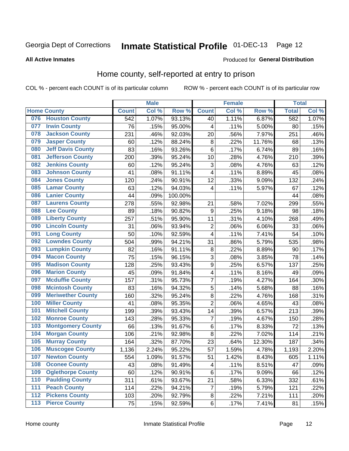# Inmate Statistical Profile 01-DEC-13 Page 12

#### **All Active Inmates**

#### Produced for General Distribution

### Home county, self-reported at entry to prison

COL % - percent each COUNT is of its particular column

|                  |                          |              | <b>Male</b> |         |                | <b>Female</b> |        | <b>Total</b> |       |
|------------------|--------------------------|--------------|-------------|---------|----------------|---------------|--------|--------------|-------|
|                  | <b>Home County</b>       | <b>Count</b> | Col %       | Row %   | <b>Count</b>   | Col %         | Row %  | <b>Total</b> | Col % |
| 076              | <b>Houston County</b>    | 542          | 1.07%       | 93.13%  | 40             | 1.11%         | 6.87%  | 582          | 1.07% |
| 077              | <b>Irwin County</b>      | 76           | .15%        | 95.00%  | 4              | .11%          | 5.00%  | 80           | .15%  |
| 078              | <b>Jackson County</b>    | 231          | .46%        | 92.03%  | 20             | .56%          | 7.97%  | 251          | .46%  |
| 079              | <b>Jasper County</b>     | 60           | .12%        | 88.24%  | 8              | .22%          | 11.76% | 68           | .13%  |
| 080              | <b>Jeff Davis County</b> | 83           | .16%        | 93.26%  | $\,6$          | .17%          | 6.74%  | 89           | .16%  |
| 081              | <b>Jefferson County</b>  | 200          | .39%        | 95.24%  | 10             | .28%          | 4.76%  | 210          | .39%  |
| 082              | <b>Jenkins County</b>    | 60           | .12%        | 95.24%  | 3              | .08%          | 4.76%  | 63           | .12%  |
| 083              | <b>Johnson County</b>    | 41           | .08%        | 91.11%  | 4              | .11%          | 8.89%  | 45           | .08%  |
| 084              | <b>Jones County</b>      | 120          | .24%        | 90.91%  | 12             | .33%          | 9.09%  | 132          | .24%  |
| 085              | <b>Lamar County</b>      | 63           | .12%        | 94.03%  | 4              | .11%          | 5.97%  | 67           | .12%  |
| 086              | <b>Lanier County</b>     | 44           | .09%        | 100.00% |                |               |        | 44           | .08%  |
| 087              | <b>Laurens County</b>    | 278          | .55%        | 92.98%  | 21             | .58%          | 7.02%  | 299          | .55%  |
| 088              | <b>Lee County</b>        | 89           | .18%        | 90.82%  | 9              | .25%          | 9.18%  | 98           | .18%  |
| 089              | <b>Liberty County</b>    | 257          | .51%        | 95.90%  | 11             | .31%          | 4.10%  | 268          | .49%  |
| 090              | <b>Lincoln County</b>    | 31           | .06%        | 93.94%  | $\overline{2}$ | .06%          | 6.06%  | 33           | .06%  |
| 091              | <b>Long County</b>       | 50           | .10%        | 92.59%  | 4              | .11%          | 7.41%  | 54           | .10%  |
| 092              | <b>Lowndes County</b>    | 504          | .99%        | 94.21%  | 31             | .86%          | 5.79%  | 535          | .98%  |
| 093              | <b>Lumpkin County</b>    | 82           | .16%        | 91.11%  | 8              | .22%          | 8.89%  | 90           | .17%  |
| 094              | <b>Macon County</b>      | 75           | .15%        | 96.15%  | 3              | .08%          | 3.85%  | 78           | .14%  |
| 095              | <b>Madison County</b>    | 128          | .25%        | 93.43%  | 9              | .25%          | 6.57%  | 137          | .25%  |
| 096              | <b>Marion County</b>     | 45           | .09%        | 91.84%  | 4              | .11%          | 8.16%  | 49           | .09%  |
| 097              | <b>Mcduffie County</b>   | 157          | .31%        | 95.73%  | $\overline{7}$ | .19%          | 4.27%  | 164          | .30%  |
| 098              | <b>Mcintosh County</b>   | 83           | .16%        | 94.32%  | 5              | .14%          | 5.68%  | 88           | .16%  |
| 099              | <b>Meriwether County</b> | 160          | .32%        | 95.24%  | 8              | .22%          | 4.76%  | 168          | .31%  |
| 100              | <b>Miller County</b>     | 41           | .08%        | 95.35%  | $\overline{c}$ | .06%          | 4.65%  | 43           | .08%  |
| 101              | <b>Mitchell County</b>   | 199          | .39%        | 93.43%  | 14             | .39%          | 6.57%  | 213          | .39%  |
| 102              | <b>Monroe County</b>     | 143          | .28%        | 95.33%  | $\overline{7}$ | .19%          | 4.67%  | 150          | .28%  |
| 103              | <b>Montgomery County</b> | 66           | .13%        | 91.67%  | $\,6$          | .17%          | 8.33%  | 72           | .13%  |
| 104              | <b>Morgan County</b>     | 106          | .21%        | 92.98%  | 8              | .22%          | 7.02%  | 114          | .21%  |
| 105              | <b>Murray County</b>     | 164          | .32%        | 87.70%  | 23             | .64%          | 12.30% | 187          | .34%  |
| 106              | <b>Muscogee County</b>   | 1,136        | 2.24%       | 95.22%  | 57             | 1.59%         | 4.78%  | 1,193        | 2.20% |
| 107              | <b>Newton County</b>     | 554          | 1.09%       | 91.57%  | 51             | 1.42%         | 8.43%  | 605          | 1.11% |
| 108              | <b>Oconee County</b>     | 43           | .08%        | 91.49%  | 4              | .11%          | 8.51%  | 47           | .09%  |
| 109              | <b>Oglethorpe County</b> | 60           | .12%        | 90.91%  | $\,6$          | .17%          | 9.09%  | 66           | .12%  |
| 110              | <b>Paulding County</b>   | 311          | .61%        | 93.67%  | 21             | .58%          | 6.33%  | 332          | .61%  |
| 111              | <b>Peach County</b>      | 114          | .22%        | 94.21%  | 7              | .19%          | 5.79%  | 121          | .22%  |
| $\overline{112}$ | <b>Pickens County</b>    | 103          | .20%        | 92.79%  | $\bf 8$        | .22%          | 7.21%  | 111          | .20%  |
| 113              | <b>Pierce County</b>     | 75           | .15%        | 92.59%  | $\,6\,$        | .17%          | 7.41%  | 81           | .15%  |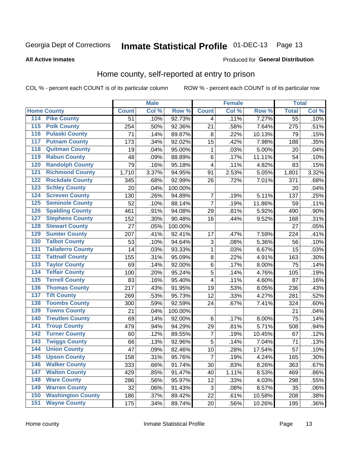# Inmate Statistical Profile 01-DEC-13 Page 13

### **All Active Inmates**

### Produced for General Distribution

### Home county, self-reported at entry to prison

COL % - percent each COUNT is of its particular column

|                                 |              | <b>Male</b> |                  |                | <b>Female</b> |        | <b>Total</b>    |         |
|---------------------------------|--------------|-------------|------------------|----------------|---------------|--------|-----------------|---------|
| <b>Home County</b>              | <b>Count</b> | Col %       | Row <sup>%</sup> | <b>Count</b>   | Col %         | Row %  | <b>Total</b>    | Col %   |
| 114<br><b>Pike County</b>       | 51           | .10%        | 92.73%           | 4              | .11%          | 7.27%  | $\overline{55}$ | .10%    |
| <b>Polk County</b><br>115       | 254          | .50%        | 92.36%           | 21             | .58%          | 7.64%  | 275             | .51%    |
| <b>Pulaski County</b><br>116    | 71           | .14%        | 89.87%           | 8              | .22%          | 10.13% | 79              | .15%    |
| <b>Putnam County</b><br>117     | 173          | .34%        | 92.02%           | 15             | .42%          | 7.98%  | 188             | .35%    |
| 118<br><b>Quitman County</b>    | 19           | .04%        | 95.00%           | 1              | .03%          | 5.00%  | 20              | .04%    |
| <b>Rabun County</b><br>119      | 48           | .09%        | 88.89%           | 6              | .17%          | 11.11% | 54              | .10%    |
| <b>Randolph County</b><br>120   | 79           | .16%        | 95.18%           | $\overline{4}$ | .11%          | 4.82%  | 83              | .15%    |
| <b>Richmond County</b><br>121   | 1,710        | 3.37%       | 94.95%           | 91             | 2.53%         | 5.05%  | 1,801           | 3.32%   |
| <b>Rockdale County</b><br>122   | 345          | .68%        | 92.99%           | 26             | .72%          | 7.01%  | 371             | .68%    |
| <b>Schley County</b><br>123     | 20           | .04%        | 100.00%          |                |               |        | 20              | .04%    |
| <b>Screven County</b><br>124    | 130          | .26%        | 94.89%           | 7              | .19%          | 5.11%  | 137             | .25%    |
| <b>Seminole County</b><br>125   | 52           | .10%        | 88.14%           | $\overline{7}$ | .19%          | 11.86% | 59              | .11%    |
| <b>Spalding County</b><br>126   | 461          | .91%        | 94.08%           | 29             | .81%          | 5.92%  | 490             | .90%    |
| <b>Stephens County</b><br>127   | 152          | .30%        | 90.48%           | 16             | .44%          | 9.52%  | 168             | .31%    |
| <b>Stewart County</b><br>128    | 27           | .05%        | 100.00%          |                |               |        | 27              | .05%    |
| <b>Sumter County</b><br>129     | 207          | .41%        | 92.41%           | 17             | .47%          | 7.59%  | 224             | .41%    |
| <b>Talbot County</b><br>130     | 53           | .10%        | 94.64%           | 3              | .08%          | 5.36%  | 56              | .10%    |
| <b>Taliaferro County</b><br>131 | 14           | .03%        | 93.33%           | 1              | .03%          | 6.67%  | 15              | .03%    |
| <b>Tattnall County</b><br>132   | 155          | .31%        | 95.09%           | $\bf 8$        | .22%          | 4.91%  | 163             | .30%    |
| <b>Taylor County</b><br>133     | 69           | .14%        | 92.00%           | $\,6$          | .17%          | 8.00%  | 75              | .14%    |
| <b>Telfair County</b><br>134    | 100          | .20%        | 95.24%           | 5              | .14%          | 4.76%  | 105             | .19%    |
| <b>Terrell County</b><br>135    | 83           | .16%        | 95.40%           | 4              | .11%          | 4.60%  | 87              | .16%    |
| <b>Thomas County</b><br>136     | 217          | .43%        | 91.95%           | 19             | .53%          | 8.05%  | 236             | .43%    |
| <b>Tift County</b><br>137       | 269          | .53%        | 95.73%           | 12             | .33%          | 4.27%  | 281             | .52%    |
| <b>Toombs County</b><br>138     | 300          | .59%        | 92.59%           | 24             | .67%          | 7.41%  | 324             | .60%    |
| <b>Towns County</b><br>139      | 21           | .04%        | 100.00%          |                |               |        | 21              | .04%    |
| <b>Treutlen County</b><br>140   | 69           | .14%        | 92.00%           | $\,6$          | .17%          | 8.00%  | 75              | .14%    |
| <b>Troup County</b><br>141      | 479          | .94%        | 94.29%           | 29             | .81%          | 5.71%  | 508             | .94%    |
| <b>Turner County</b><br>142     | 60           | .12%        | 89.55%           | 7              | .19%          | 10.45% | 67              | .12%    |
| <b>Twiggs County</b><br>143     | 66           | .13%        | 92.96%           | 5              | .14%          | 7.04%  | 71              | .13%    |
| <b>Union County</b><br>144      | 47           | .09%        | 82.46%           | 10             | .28%          | 17.54% | 57              | .10%    |
| 145<br><b>Upson County</b>      | 158          | .31%        | 95.76%           | $\overline{7}$ | .19%          | 4.24%  | 165             | .30%    |
| <b>Walker County</b><br>146     | 333          | .66%        | 91.74%           | 30             | .83%          | 8.26%  | 363             | .67%    |
| <b>Walton County</b><br>147     | 429          | .85%        | 91.47%           | 40             | 1.11%         | 8.53%  | 469             | .86%    |
| <b>Ware County</b><br>148       | 286          | .56%        | 95.97%           | 12             | .33%          | 4.03%  | 298             | .55%    |
| <b>Warren County</b><br>149     | 32           | .06%        | 91.43%           | 3              | .08%          | 8.57%  | 35              | .06%    |
| <b>Washington County</b><br>150 | 186          | .37%        | 89.42%           | 22             | .61%          | 10.58% | 208             | .38%    |
| <b>Wayne County</b><br>151      | 175          | .34%        | 89.74%           | 20             | .56%          | 10.26% | 195             | $.36\%$ |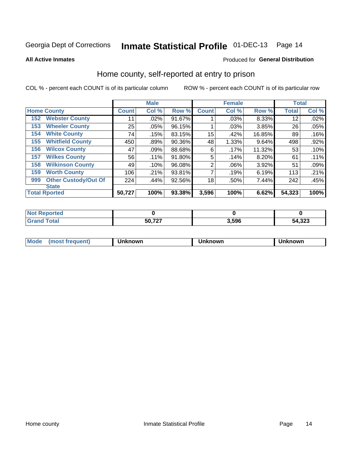# Inmate Statistical Profile 01-DEC-13 Page 14

**All Active Inmates** 

### Produced for General Distribution

### Home county, self-reported at entry to prison

COL % - percent each COUNT is of its particular column

|     |                             |              | <b>Male</b> |        |                | <b>Female</b> |        | <b>Total</b> |       |
|-----|-----------------------------|--------------|-------------|--------|----------------|---------------|--------|--------------|-------|
|     | <b>Home County</b>          | <b>Count</b> | Col %       | Row %  | <b>Count</b>   | Col %         | Row %  | <b>Total</b> | Col % |
| 152 | <b>Webster County</b>       | 11           | .02%        | 91.67% |                | .03%          | 8.33%  | 12           | .02%  |
| 153 | <b>Wheeler County</b>       | 25           | .05%        | 96.15% |                | .03%          | 3.85%  | 26           | .05%  |
| 154 | <b>White County</b>         | 74           | .15%        | 83.15% | 15             | .42%          | 16.85% | 89           | .16%  |
| 155 | <b>Whitfield County</b>     | 450          | .89%        | 90.36% | 48             | 1.33%         | 9.64%  | 498          | .92%  |
| 156 | <b>Wilcox County</b>        | 47           | .09%        | 88.68% | 6              | .17%          | 11.32% | 53           | .10%  |
| 157 | <b>Wilkes County</b>        | 56           | $.11\%$     | 91.80% | 5              | .14%          | 8.20%  | 61           | .11%  |
| 158 | <b>Wilkinson County</b>     | 49           | .10%        | 96.08% | $\overline{2}$ | .06%          | 3.92%  | 51           | .09%  |
| 159 | <b>Worth County</b>         | 106          | .21%        | 93.81% | 7              | .19%          | 6.19%  | 113          | .21%  |
| 999 | <b>Other Custody/Out Of</b> | 224          | .44%        | 92.56% | 18             | .50%          | 7.44%  | 242          | .45%  |
|     | <b>State</b>                |              |             |        |                |               |        |              |       |
|     | <b>Total Rported</b>        | 50,727       | 100%        | 93.38% | 3,596          | 100%          | 6.62%  | 54,323       | 100%  |

| τeα |        |      |                   |
|-----|--------|------|-------------------|
|     | 50,727 | 3506 | E A 222<br>54,323 |

| Mode<br><b>Tequent)</b><br>ns | nown | mown | เทown |
|-------------------------------|------|------|-------|
|                               |      |      |       |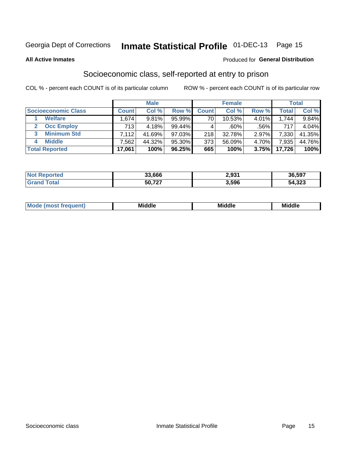# Inmate Statistical Profile 01-DEC-13 Page 15

### **All Active Inmates**

### **Produced for General Distribution**

### Socioeconomic class, self-reported at entry to prison

COL % - percent each COUNT is of its particular column

|                       |              | <b>Male</b> |        |                 | <b>Female</b> |       |        | <b>Total</b> |
|-----------------------|--------------|-------------|--------|-----------------|---------------|-------|--------|--------------|
| Socioeconomic Class   | <b>Count</b> | Col %       | Row %  | <b>Count</b>    | Col %         | Row % | Total  | Col %        |
| <b>Welfare</b>        | .674         | 9.81%       | 95.99% | 70 <sub>1</sub> | 10.53%        | 4.01% | 1.744  | 9.84%        |
| <b>Occ Employ</b>     | 713          | 4.18%       | 99.44% |                 | $.60\%$       | .56%  | 717    | 4.04%        |
| <b>Minimum Std</b>    | 7,112        | 41.69%      | 97.03% | 218             | 32.78%        | 2.97% | 7.330  | 41.35%       |
| <b>Middle</b>         | .562         | 44.32%      | 95.30% | 373             | 56.09%        | 4.70% | 7,935  | 44.76%       |
| <b>Total Reported</b> | 17,061       | 100%        | 96.25% | 665             | 100%          | 3.75% | 17,726 | 100%         |

| <b>Not Reported</b> | 33,666 | 2,931 | 36,597 |
|---------------------|--------|-------|--------|
| <b>Total</b>        | 50,727 | 3,596 | 54,323 |

| ____<br>_____<br>____ |
|-----------------------|
|-----------------------|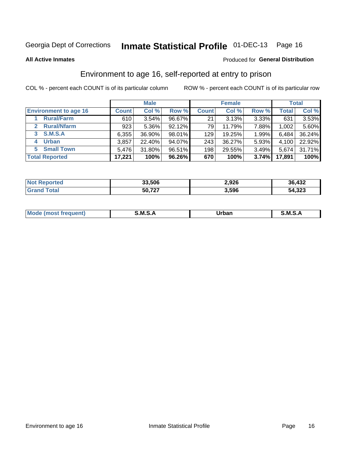# Inmate Statistical Profile 01-DEC-13 Page 16

#### **All Active Inmates**

### Produced for General Distribution

### Environment to age 16, self-reported at entry to prison

COL % - percent each COUNT is of its particular column

|                                   |              | <b>Male</b> |           |              | <b>Female</b> |       |        | <b>Total</b> |
|-----------------------------------|--------------|-------------|-----------|--------------|---------------|-------|--------|--------------|
| <b>Environment to age 16</b>      | <b>Count</b> | Col %       | Row %     | <b>Count</b> | Col %         | Row % | Total  | Col %        |
| <b>Rural/Farm</b>                 | 610          | 3.54%       | 96.67%    | 21           | 3.13%         | 3.33% | 631    | 3.53%        |
| <b>Rural/Nfarm</b><br>$2^{\circ}$ | 923          | 5.36%       | $92.12\%$ | 79           | 11.79%        | 7.88% | 1,002  | 5.60%        |
| <b>S.M.S.A</b><br>3 <sup>1</sup>  | 6,355        | 36.90%      | 98.01%    | 129          | 19.25%        | 1.99% | 6,484  | 36.24%       |
| <b>Urban</b><br>4                 | 3,857        | 22.40%      | 94.07%    | 243          | 36.27%        | 5.93% | 4,100  | 22.92%       |
| <b>Small Town</b><br>5.           | 5,476        | 31.80%      | 96.51%    | 198          | 29.55%        | 3.49% | 5,674  | 31.71%       |
| <b>Total Reported</b>             | 17,221       | 100%        | 96.26%    | 670          | 100%          | 3.74% | 17,891 | 100%         |

| <b>Not Reported</b> | 33,506 | 2,926 | 36,432 |
|---------------------|--------|-------|--------|
|                     | 50,727 | 3,596 | 54,323 |

| Mo | M | Irhan<br>rva<br>______ | M<br>______ |
|----|---|------------------------|-------------|
|    |   |                        |             |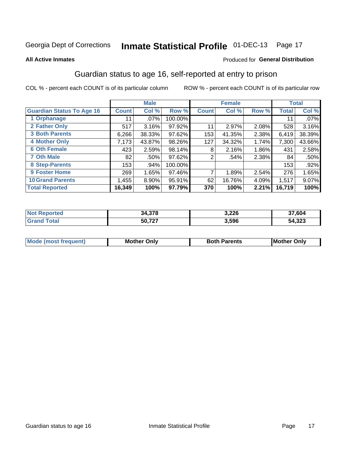# Inmate Statistical Profile 01-DEC-13 Page 17

#### **All Active Inmates**

### Produced for General Distribution

### Guardian status to age 16, self-reported at entry to prison

COL % - percent each COUNT is of its particular column

|                                  |              | <b>Male</b> |         |              | <b>Female</b> |       |        | <b>Total</b> |
|----------------------------------|--------------|-------------|---------|--------------|---------------|-------|--------|--------------|
| <b>Guardian Status To Age 16</b> | <b>Count</b> | Col %       | Row %   | <b>Count</b> | Col %         | Row % | Total  | Col %        |
| 1 Orphanage                      | 11           | $.07\%$     | 100.00% |              |               |       | 11     | $.07\%$      |
| 2 Father Only                    | 517          | 3.16%       | 97.92%  | 11           | 2.97%         | 2.08% | 528    | 3.16%        |
| <b>3 Both Parents</b>            | 6,266        | 38.33%      | 97.62%  | 153          | 41.35%        | 2.38% | 6,419  | 38.39%       |
| <b>4 Mother Only</b>             | 7,173        | 43.87%      | 98.26%  | 127          | 34.32%        | 1.74% | 7,300  | 43.66%       |
| <b>6 Oth Female</b>              | 423          | 2.59%       | 98.14%  | 8            | 2.16%         | 1.86% | 431    | 2.58%        |
| <b>7 Oth Male</b>                | 82           | .50%        | 97.62%  | 2            | .54%          | 2.38% | 84     | .50%         |
| 8 Step-Parents                   | 153          | .94%        | 100.00% |              |               |       | 153    | .92%         |
| 9 Foster Home                    | 269          | 1.65%       | 97.46%  | 7            | 1.89%         | 2.54% | 276    | 1.65%        |
| <b>10 Grand Parents</b>          | 1,455        | 8.90%       | 95.91%  | 62           | 16.76%        | 4.09% | 1,517  | $9.07\%$     |
| <b>Total Reported</b>            | 16,349       | 100%        | 97.79%  | 370          | 100%          | 2.21% | 16,719 | 100%         |

| rted<br>NO) | 27c<br>34.378 | 3,226 | 37,604 |
|-------------|---------------|-------|--------|
| . Gr        | 50 727        | 3,596 | 54,323 |

| <b>Mode (most frequent)</b> | วทIv<br>- -<br>MΩ | <b>Roth</b><br>ີ <sup>ລ</sup> າrents | l Mc<br>Only<br>- - |
|-----------------------------|-------------------|--------------------------------------|---------------------|
|                             |                   |                                      |                     |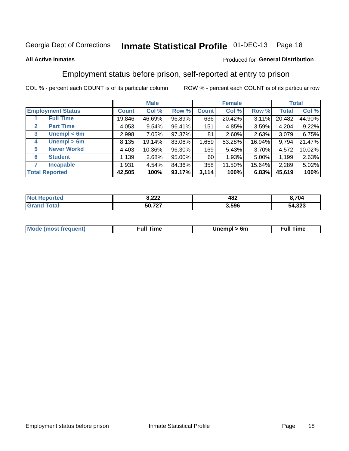#### Inmate Statistical Profile 01-DEC-13 Page 18

### **All Active Inmates**

### Produced for General Distribution

### Employment status before prison, self-reported at entry to prison

COL % - percent each COUNT is of its particular column

|                                  |              | <b>Male</b> |        |              | <b>Female</b> |        |              | <b>Total</b> |
|----------------------------------|--------------|-------------|--------|--------------|---------------|--------|--------------|--------------|
| <b>Employment Status</b>         | <b>Count</b> | Col %       | Row %  | <b>Count</b> | Col %         | Row %  | <b>Total</b> | Col %        |
| <b>Full Time</b>                 | 19,846       | 46.69%      | 96.89% | 636          | 20.42%        | 3.11%  | 20,482       | 44.90%       |
| <b>Part Time</b><br>$\mathbf{2}$ | 4,053        | 9.54%       | 96.41% | 151          | 4.85%         | 3.59%  | 4,204        | 9.22%        |
| Unempl $<$ 6m<br>3               | 2,998        | 7.05%       | 97.37% | 81           | 2.60%         | 2.63%  | 3,079        | 6.75%        |
| Unempl > 6m<br>4                 | 8,135        | 19.14%      | 83.06% | 1,659        | 53.28%        | 16.94% | 9,794        | 21.47%       |
| <b>Never Workd</b><br>5          | 4,403        | 10.36%      | 96.30% | 169          | 5.43%         | 3.70%  | 4,572        | 10.02%       |
| <b>Student</b><br>6              | 1,139        | 2.68%       | 95.00% | 60           | 1.93%         | 5.00%  | 1,199        | 2.63%        |
| <b>Incapable</b>                 | 1,931        | 4.54%       | 84.36% | 358          | 11.50%        | 15.64% | 2,289        | 5.02%        |
| <b>Total Reported</b>            | 42,505       | 100%        | 93.17% | 3,114        | 100%          | 6.83%  | 45,619       | 100%         |

| "Tet.<br>NO | 9.22<br>0. <i>LLL</i> | 482   | 8.704  |
|-------------|-----------------------|-------|--------|
|             | 50,727                | 3.596 | 54,323 |

| <b>Mode (most frequent)</b> | full "<br>the contract of the contract of the contract of the contract of the contract of the contract of the contract of | 6m | ïme<br>้นเ<br>the contract of the contract of the contract of the contract of the contract of the contract of the contract of |
|-----------------------------|---------------------------------------------------------------------------------------------------------------------------|----|-------------------------------------------------------------------------------------------------------------------------------|
|                             |                                                                                                                           |    |                                                                                                                               |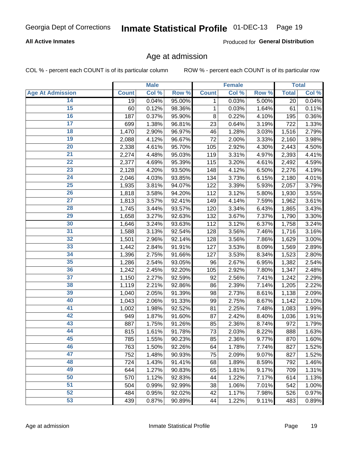### **All Active Inmates**

Produced for General Distribution

### Age at admission

COL % - percent each COUNT is of its particular column

|                         |              | <b>Male</b> |        |              | <b>Female</b> |       |              | <b>Total</b> |
|-------------------------|--------------|-------------|--------|--------------|---------------|-------|--------------|--------------|
| <b>Age At Admission</b> | <b>Count</b> | Col %       | Row %  | <b>Count</b> | Col %         | Row % | <b>Total</b> | Col %        |
| 14                      | 19           | 0.04%       | 95.00% | 1            | 0.03%         | 5.00% | 20           | 0.04%        |
| 15                      | 60           | 0.12%       | 98.36% | $\mathbf 1$  | 0.03%         | 1.64% | 61           | 0.11%        |
| 16                      | 187          | 0.37%       | 95.90% | 8            | 0.22%         | 4.10% | 195          | 0.36%        |
| $\overline{17}$         | 699          | 1.38%       | 96.81% | 23           | 0.64%         | 3.19% | 722          | 1.33%        |
| $\overline{18}$         | 1,470        | 2.90%       | 96.97% | 46           | 1.28%         | 3.03% | 1,516        | 2.79%        |
| 19                      | 2,088        | 4.12%       | 96.67% | 72           | 2.00%         | 3.33% | 2,160        | 3.98%        |
| $\overline{20}$         | 2,338        | 4.61%       | 95.70% | 105          | 2.92%         | 4.30% | 2,443        | 4.50%        |
| $\overline{21}$         | 2,274        | 4.48%       | 95.03% | 119          | 3.31%         | 4.97% | 2,393        | 4.41%        |
| $\overline{22}$         | 2,377        | 4.69%       | 95.39% | 115          | 3.20%         | 4.61% | 2,492        | 4.59%        |
| 23                      | 2,128        | 4.20%       | 93.50% | 148          | 4.12%         | 6.50% | 2,276        | 4.19%        |
| $\overline{24}$         | 2,046        | 4.03%       | 93.85% | 134          | 3.73%         | 6.15% | 2,180        | 4.01%        |
| 25                      | 1,935        | 3.81%       | 94.07% | 122          | 3.39%         | 5.93% | 2,057        | 3.79%        |
| $\overline{26}$         | 1,818        | 3.58%       | 94.20% | 112          | 3.12%         | 5.80% | 1,930        | 3.55%        |
| $\overline{27}$         | 1,813        | 3.57%       | 92.41% | 149          | 4.14%         | 7.59% | 1,962        | 3.61%        |
| 28                      | 1,745        | 3.44%       | 93.57% | 120          | 3.34%         | 6.43% | 1,865        | 3.43%        |
| 29                      | 1,658        | 3.27%       | 92.63% | 132          | 3.67%         | 7.37% | 1,790        | 3.30%        |
| 30                      | 1,646        | 3.24%       | 93.63% | 112          | 3.12%         | 6.37% | 1,758        | 3.24%        |
| $\overline{31}$         | 1,588        | 3.13%       | 92.54% | 128          | 3.56%         | 7.46% | 1,716        | 3.16%        |
| 32                      | 1,501        | 2.96%       | 92.14% | 128          | 3.56%         | 7.86% | 1,629        | 3.00%        |
| 33                      | 1,442        | 2.84%       | 91.91% | 127          | 3.53%         | 8.09% | 1,569        | 2.89%        |
| 34                      | 1,396        | 2.75%       | 91.66% | 127          | 3.53%         | 8.34% | 1,523        | 2.80%        |
| 35                      | 1,286        | 2.54%       | 93.05% | 96           | 2.67%         | 6.95% | 1,382        | 2.54%        |
| 36                      | 1,242        | 2.45%       | 92.20% | 105          | 2.92%         | 7.80% | 1,347        | 2.48%        |
| $\overline{37}$         | 1,150        | 2.27%       | 92.59% | 92           | 2.56%         | 7.41% | 1,242        | 2.29%        |
| 38                      | 1,119        | 2.21%       | 92.86% | 86           | 2.39%         | 7.14% | 1,205        | 2.22%        |
| 39                      | 1,040        | 2.05%       | 91.39% | 98           | 2.73%         | 8.61% | 1,138        | 2.09%        |
| 40                      | 1,043        | 2.06%       | 91.33% | 99           | 2.75%         | 8.67% | 1,142        | 2.10%        |
| 41                      | 1,002        | 1.98%       | 92.52% | 81           | 2.25%         | 7.48% | 1,083        | 1.99%        |
| 42                      | 949          | 1.87%       | 91.60% | 87           | 2.42%         | 8.40% | 1,036        | 1.91%        |
| 43                      | 887          | 1.75%       | 91.26% | 85           | 2.36%         | 8.74% | 972          | 1.79%        |
| 44                      | 815          | 1.61%       | 91.78% | 73           | 2.03%         | 8.22% | 888          | 1.63%        |
| 45                      | 785          | 1.55%       | 90.23% | 85           | 2.36%         | 9.77% | 870          | 1.60%        |
| 46                      | 763          | 1.50%       | 92.26% | 64           | 1.78%         | 7.74% | 827          | 1.52%        |
| 47                      | 752          | 1.48%       | 90.93% | 75           | 2.09%         | 9.07% | 827          | 1.52%        |
| 48                      | 724          | 1.43%       | 91.41% | 68           | 1.89%         | 8.59% | 792          | 1.46%        |
| 49                      | 644          | 1.27%       | 90.83% | 65           | 1.81%         | 9.17% | 709          | 1.31%        |
| 50                      | 570          | 1.12%       | 92.83% | 44           | 1.22%         | 7.17% | 614          | 1.13%        |
| 51                      | 504          | 0.99%       | 92.99% | 38           | 1.06%         | 7.01% | 542          | 1.00%        |
| 52                      | 484          | 0.95%       | 92.02% | 42           | 1.17%         | 7.98% | 526          | 0.97%        |
| 53                      | 439          | 0.87%       | 90.89% | 44           | 1.22%         | 9.11% | 483          | 0.89%        |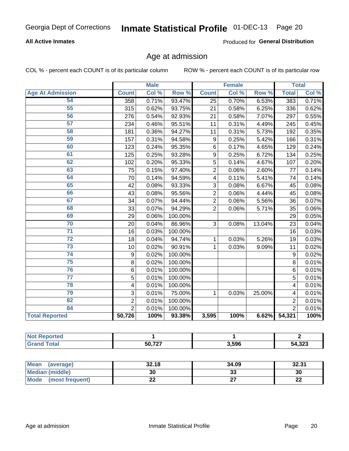### **All Active Inmates**

Produced for General Distribution

# Age at admission

COL % - percent each COUNT is of its particular column

|                         |                         | <b>Male</b> |                  | <b>Female</b>  |       |        | <b>Total</b>   |       |
|-------------------------|-------------------------|-------------|------------------|----------------|-------|--------|----------------|-------|
| <b>Age At Admission</b> | <b>Count</b>            | Col %       | Row <sup>%</sup> | <b>Count</b>   | Col % | Row %  | <b>Total</b>   | Col % |
| 54                      | 358                     | 0.71%       | 93.47%           | 25             | 0.70% | 6.53%  | 383            | 0.71% |
| 55                      | 315                     | 0.62%       | 93.75%           | 21             | 0.58% | 6.25%  | 336            | 0.62% |
| 56                      | 276                     | 0.54%       | 92.93%           | 21             | 0.58% | 7.07%  | 297            | 0.55% |
| 57                      | 234                     | 0.46%       | 95.51%           | 11             | 0.31% | 4.49%  | 245            | 0.45% |
| 58                      | 181                     | 0.36%       | 94.27%           | 11             | 0.31% | 5.73%  | 192            | 0.35% |
| 59                      | 157                     | 0.31%       | 94.58%           | 9              | 0.25% | 5.42%  | 166            | 0.31% |
| 60                      | 123                     | 0.24%       | 95.35%           | 6              | 0.17% | 4.65%  | 129            | 0.24% |
| 61                      | 125                     | 0.25%       | 93.28%           | 9              | 0.25% | 6.72%  | 134            | 0.25% |
| 62                      | 102                     | 0.20%       | 95.33%           | 5              | 0.14% | 4.67%  | 107            | 0.20% |
| 63                      | 75                      | 0.15%       | 97.40%           | $\overline{2}$ | 0.06% | 2.60%  | 77             | 0.14% |
| 64                      | 70                      | 0.14%       | 94.59%           | 4              | 0.11% | 5.41%  | 74             | 0.14% |
| 65                      | 42                      | 0.08%       | 93.33%           | 3              | 0.08% | 6.67%  | 45             | 0.08% |
| 66                      | 43                      | 0.08%       | 95.56%           | $\overline{2}$ | 0.06% | 4.44%  | 45             | 0.08% |
| 67                      | 34                      | 0.07%       | 94.44%           | $\overline{2}$ | 0.06% | 5.56%  | 36             | 0.07% |
| 68                      | 33                      | 0.07%       | 94.29%           | $\overline{2}$ | 0.06% | 5.71%  | 35             | 0.06% |
| 69                      | 29                      | 0.06%       | 100.00%          |                |       |        | 29             | 0.05% |
| 70                      | 20                      | 0.04%       | 86.96%           | 3              | 0.08% | 13.04% | 23             | 0.04% |
| $\overline{71}$         | 16                      | 0.03%       | 100.00%          |                |       |        | 16             | 0.03% |
| $\overline{72}$         | 18                      | 0.04%       | 94.74%           | 1              | 0.03% | 5.26%  | 19             | 0.03% |
| $\overline{73}$         | 10                      | 0.02%       | 90.91%           | 1              | 0.03% | 9.09%  | 11             | 0.02% |
| $\overline{74}$         | 9                       | 0.02%       | 100.00%          |                |       |        | 9              | 0.02% |
| $\overline{75}$         | 8                       | 0.02%       | 100.00%          |                |       |        | 8              | 0.01% |
| 76                      | 6                       | 0.01%       | 100.00%          |                |       |        | 6              | 0.01% |
| 77                      | 5                       | 0.01%       | 100.00%          |                |       |        | 5              | 0.01% |
| 78                      | $\overline{\mathbf{4}}$ | 0.01%       | 100.00%          |                |       |        | 4              | 0.01% |
| 79                      | 3                       | 0.01%       | 75.00%           | $\mathbf{1}$   | 0.03% | 25.00% | 4              | 0.01% |
| 82                      | $\overline{2}$          | 0.01%       | 100.00%          |                |       |        | $\overline{2}$ | 0.01% |
| 84                      | $\overline{2}$          | 0.01%       | 100.00%          |                |       |        | $\overline{2}$ | 0.01% |
| <b>Total Reported</b>   | 50,726                  | 100%        | 93.38%           | 3,595          | 100%  | 6.62%  | 54,321         | 100%  |

| --<br>те о |        |       |               |
|------------|--------|-------|---------------|
| 'ota.      | 50 727 | 3,596 | 54,323<br>54. |

| Mean<br>(average)       | 32.18 | 34.09   | 32.31     |
|-------------------------|-------|---------|-----------|
| Median (middle)         | 30    | ົ<br>აა | 30        |
| Mode<br>(most frequent) | ∸∸    |         | ne.<br>LL |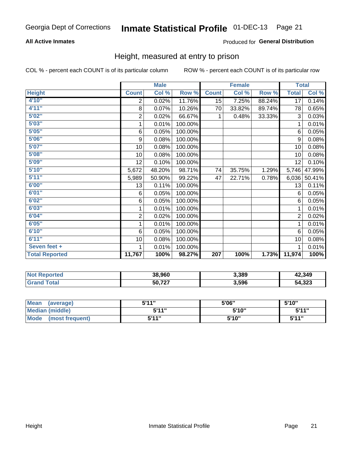### **All Active Inmates**

### Produced for General Distribution

### Height, measured at entry to prison

COL % - percent each COUNT is of its particular column

|                       | <b>Male</b>             |        |         | <b>Female</b>    |        |        | <b>Total</b>   |        |
|-----------------------|-------------------------|--------|---------|------------------|--------|--------|----------------|--------|
| <b>Height</b>         | <b>Count</b>            | Col %  | Row %   | <b>Count</b>     | Col %  | Row %  | <b>Total</b>   | Col %  |
| 4'10"                 | 2                       | 0.02%  | 11.76%  | 15               | 7.25%  | 88.24% | 17             | 0.14%  |
| 4'11''                | 8                       | 0.07%  | 10.26%  | 70               | 33.82% | 89.74% | 78             | 0.65%  |
| 5'02''                | $\mathbf 2$             | 0.02%  | 66.67%  | 1                | 0.48%  | 33.33% | 3              | 0.03%  |
| 5'03''                | 1                       | 0.01%  | 100.00% |                  |        |        | 1              | 0.01%  |
| 5'05''                | 6                       | 0.05%  | 100.00% |                  |        |        | 6              | 0.05%  |
| 5'06''                | 9                       | 0.08%  | 100.00% |                  |        |        | 9              | 0.08%  |
| 5'07''                | 10                      | 0.08%  | 100.00% |                  |        |        | 10             | 0.08%  |
| 5'08''                | 10                      | 0.08%  | 100.00% |                  |        |        | 10             | 0.08%  |
| 5'09''                | 12                      | 0.10%  | 100.00% |                  |        |        | 12             | 0.10%  |
| 5'10''                | 5,672                   | 48.20% | 98.71%  | 74               | 35.75% | 1.29%  | 5,746          | 47.99% |
| 5'11''                | 5,989                   | 50.90% | 99.22%  | 47               | 22.71% | 0.78%  | 6,036          | 50.41% |
| 6'00''                | 13                      | 0.11%  | 100.00% |                  |        |        | 13             | 0.11%  |
| 6'01''                | 6                       | 0.05%  | 100.00% |                  |        |        | 6              | 0.05%  |
| 6'02''                | 6                       | 0.05%  | 100.00% |                  |        |        | 6              | 0.05%  |
| 6'03''                | 1                       | 0.01%  | 100.00% |                  |        |        | 1              | 0.01%  |
| 6'04''                | $\overline{\mathbf{c}}$ | 0.02%  | 100.00% |                  |        |        | $\overline{2}$ | 0.02%  |
| 6'05''                | 1                       | 0.01%  | 100.00% |                  |        |        | 1              | 0.01%  |
| 6'10''                | 6                       | 0.05%  | 100.00% |                  |        |        | 6              | 0.05%  |
| 6'11''                | 10                      | 0.08%  | 100.00% |                  |        |        | 10             | 0.08%  |
| Seven feet +          | 1                       | 0.01%  | 100.00% |                  |        |        |                | 0.01%  |
| <b>Total Reported</b> | 11,767                  | 100%   | 98.27%  | $\overline{207}$ | 100%   | 1.73%  | 11,974         | 100%   |

| <b>Not Reported</b> | 38,960 | 3,389 | 42,349 |
|---------------------|--------|-------|--------|
| ™otal               | 50,727 | 3,596 | 54,323 |

| Mean<br>(average)              | 544"  | 5'06" | 5'10''       |
|--------------------------------|-------|-------|--------------|
| Median (middle)                | 544"  | 5'10" | 5'11"        |
| <b>Mode</b><br>(most frequent) | 5'11" | 5'10" | <b>5'44"</b> |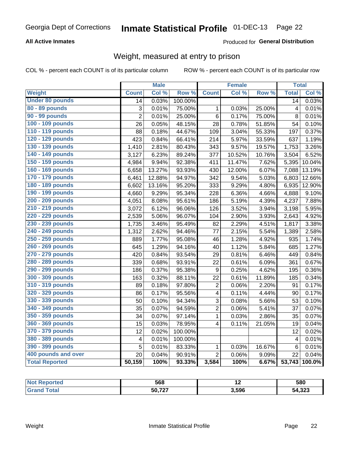### **All Active Inmates**

### Produced for General Distribution

# Weight, measured at entry to prison

COL % - percent each COUNT is of its particular column

|                        |                         | <b>Male</b> |         |                | <b>Female</b> |        | <b>Total</b>            |                     |
|------------------------|-------------------------|-------------|---------|----------------|---------------|--------|-------------------------|---------------------|
| Weight                 | <b>Count</b>            | Col %       | Row %   | <b>Count</b>   | Col %         | Row %  | <b>Total</b>            | Col %               |
| <b>Under 80 pounds</b> | $\overline{14}$         | 0.03%       | 100.00% |                |               |        | $\overline{14}$         | 0.03%               |
| 80 - 89 pounds         | 3                       | 0.01%       | 75.00%  | 1              | 0.03%         | 25.00% | $\overline{\mathbf{4}}$ | 0.01%               |
| 90 - 99 pounds         | $\overline{2}$          | 0.01%       | 25.00%  | 6              | 0.17%         | 75.00% | 8                       | 0.01%               |
| 100 - 109 pounds       | 26                      | 0.05%       | 48.15%  | 28             | 0.78%         | 51.85% | 54                      | 0.10%               |
| 110 - 119 pounds       | 88                      | 0.18%       | 44.67%  | 109            | 3.04%         | 55.33% | 197                     | 0.37%               |
| 120 - 129 pounds       | 423                     | 0.84%       | 66.41%  | 214            | 5.97%         | 33.59% | 637                     | 1.19%               |
| 130 - 139 pounds       | 1,410                   | 2.81%       | 80.43%  | 343            | 9.57%         | 19.57% | 1,753                   | 3.26%               |
| 140 - 149 pounds       | 3,127                   | 6.23%       | 89.24%  | 377            | 10.52%        | 10.76% | 3,504                   | 6.52%               |
| 150 - 159 pounds       | 4,984                   | 9.94%       | 92.38%  | 411            | 11.47%        | 7.62%  | 5,395                   | 10.04%              |
| 160 - 169 pounds       | 6,658                   | 13.27%      | 93.93%  | 430            | 12.00%        | 6.07%  | 7,088                   | 13.19%              |
| 170 - 179 pounds       | 6,461                   | 12.88%      | 94.97%  | 342            | 9.54%         | 5.03%  | 6,803                   | 12.66%              |
| 180 - 189 pounds       | 6,602                   | 13.16%      | 95.20%  | 333            | 9.29%         | 4.80%  | 6,935                   | 12.90%              |
| 190 - 199 pounds       | 4,660                   | 9.29%       | 95.34%  | 228            | 6.36%         | 4.66%  | 4,888                   | 9.10%               |
| 200 - 209 pounds       | 4,051                   | 8.08%       | 95.61%  | 186            | 5.19%         | 4.39%  | 4,237                   | 7.88%               |
| 210 - 219 pounds       | 3,072                   | 6.12%       | 96.06%  | 126            | 3.52%         | 3.94%  | 3,198                   | 5.95%               |
| 220 - 229 pounds       | 2,539                   | 5.06%       | 96.07%  | 104            | 2.90%         | 3.93%  | 2,643                   | 4.92%               |
| 230 - 239 pounds       | 1,735                   | 3.46%       | 95.49%  | 82             | 2.29%         | 4.51%  | 1,817                   | 3.38%               |
| 240 - 249 pounds       | 1,312                   | 2.62%       | 94.46%  | 77             | 2.15%         | 5.54%  | 1,389                   | 2.58%               |
| 250 - 259 pounds       | 889                     | 1.77%       | 95.08%  | 46             | 1.28%         | 4.92%  | 935                     | 1.74%               |
| 260 - 269 pounds       | 645                     | 1.29%       | 94.16%  | 40             | 1.12%         | 5.84%  | 685                     | 1.27%               |
| 270 - 279 pounds       | 420                     | 0.84%       | 93.54%  | 29             | 0.81%         | 6.46%  | 449                     | 0.84%               |
| 280 - 289 pounds       | 339                     | 0.68%       | 93.91%  | 22             | 0.61%         | 6.09%  | 361                     | 0.67%               |
| 290 - 299 pounds       | 186                     | 0.37%       | 95.38%  | 9              | 0.25%         | 4.62%  | 195                     | 0.36%               |
| 300 - 309 pounds       | 163                     | 0.32%       | 88.11%  | 22             | 0.61%         | 11.89% | 185                     | $\overline{0.34\%}$ |
| 310 - 319 pounds       | 89                      | 0.18%       | 97.80%  | $\overline{c}$ | 0.06%         | 2.20%  | 91                      | 0.17%               |
| 320 - 329 pounds       | 86                      | 0.17%       | 95.56%  | 4              | 0.11%         | 4.44%  | 90                      | 0.17%               |
| 330 - 339 pounds       | 50                      | 0.10%       | 94.34%  | 3              | 0.08%         | 5.66%  | 53                      | 0.10%               |
| 340 - 349 pounds       | 35                      | 0.07%       | 94.59%  | $\overline{2}$ | 0.06%         | 5.41%  | 37                      | 0.07%               |
| 350 - 359 pounds       | 34                      | 0.07%       | 97.14%  | $\mathbf{1}$   | 0.03%         | 2.86%  | 35                      | 0.07%               |
| 360 - 369 pounds       | 15                      | 0.03%       | 78.95%  | $\overline{4}$ | 0.11%         | 21.05% | 19                      | 0.04%               |
| 370 - 379 pounds       | 12                      | 0.02%       | 100.00% |                |               |        | 12                      | 0.02%               |
| 380 - 389 pounds       | $\overline{\mathbf{4}}$ | 0.01%       | 100.00% |                |               |        | $\overline{\mathbf{4}}$ | 0.01%               |
| 390 - 399 pounds       | 5                       | 0.01%       | 83.33%  | $\mathbf{1}$   | 0.03%         | 16.67% | $\,6$                   | 0.01%               |
| 400 pounds and over    | 20                      | 0.04%       | 90.91%  | $\overline{2}$ | 0.06%         | 9.09%  | 22                      | 0.04%               |
| <b>Total Reported</b>  | 50,159                  | 100%        | 93.33%  | 3,584          | 100%          | 6.67%  | $\overline{53,743}$     | 100.0%              |

| N<br>тео | 568    | . .   | 580    |
|----------|--------|-------|--------|
|          | 50 727 | 3.596 | 54,323 |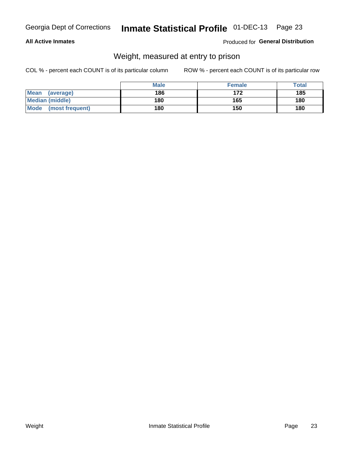### **All Active Inmates**

### Produced for General Distribution

# Weight, measured at entry to prison

COL % - percent each COUNT is of its particular column

|                                | <b>Male</b> | <b>Female</b> | Total |
|--------------------------------|-------------|---------------|-------|
| Mean<br>(average)              | 186         | 172           | 185   |
| <b>Median (middle)</b>         | 180         | 165           | 180   |
| <b>Mode</b><br>(most frequent) | 180         | 150           | 180   |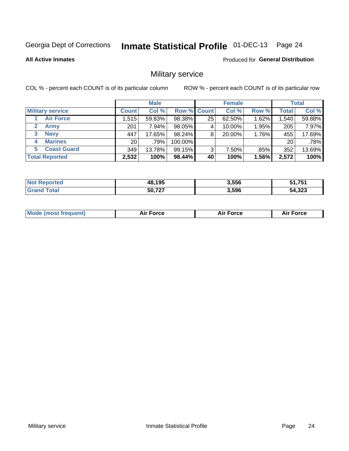#### Inmate Statistical Profile 01-DEC-13 Page 24

**All Active Inmates** 

**Produced for General Distribution** 

### Military service

COL % - percent each COUNT is of its particular column

|                               | <b>Male</b>  |          |                    | <b>Female</b> |        |       | <b>Total</b> |        |
|-------------------------------|--------------|----------|--------------------|---------------|--------|-------|--------------|--------|
| <b>Military service</b>       | <b>Count</b> | Col %    | <b>Row % Count</b> |               | Col %  | Row % | <b>Total</b> | Col %  |
| <b>Air Force</b>              | 1,515        | 59.83%   | 98.38%             | 25            | 62.50% | 1.62% | .540         | 59.88% |
| $\mathbf{2}^-$<br><b>Army</b> | 201          | $7.94\%$ | 98.05%             |               | 10.00% | 1.95% | 205          | 7.97%  |
| <b>Navy</b><br>3              | 447          | 17.65%   | 98.24%             | 8             | 20.00% | 1.76% | 455          | 17.69% |
| <b>Marines</b><br>4           | 20           | .79%     | 100.00%            |               |        |       | 20           | .78%   |
| <b>Coast Guard</b><br>5.      | 349          | 13.78%   | 99.15%             | 3             | 7.50%  | .85%  | 352          | 13.69% |
| <b>Total Reported</b>         | 2,532        | 100%     | $98.44\%$          | 40            | 100%   | 1.56% | 2,572        | 100%   |

| orted<br>. Not Renc | 48,195     | 3,556 | 51 751<br>,,,J |
|---------------------|------------|-------|----------------|
| ™ota⊫               | -707<br>50 | 3,596 | 54,323         |

| Mo | <br>ъc | . |
|----|--------|---|
|    |        |   |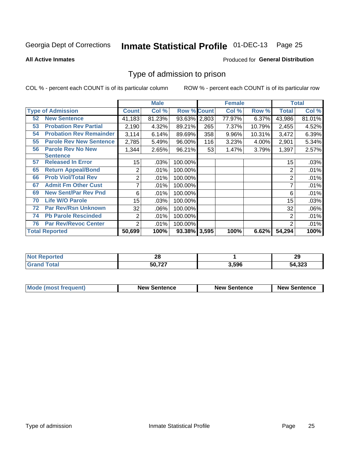# Inmate Statistical Profile 01-DEC-13 Page 25

**All Active Inmates** 

#### Produced for General Distribution

### Type of admission to prison

COL % - percent each COUNT is of its particular column

|    |                                |                  | <b>Male</b> |                    |     | <b>Female</b> |        | <b>Total</b>   |        |
|----|--------------------------------|------------------|-------------|--------------------|-----|---------------|--------|----------------|--------|
|    | <b>Type of Admission</b>       | <b>Count</b>     | Col %       | <b>Row % Count</b> |     | Col %         | Row %  | Total          | Col %  |
| 52 | <b>New Sentence</b>            | 41,183           | 81.23%      | 93.63% 2,803       |     | 77.97%        | 6.37%  | 43,986         | 81.01% |
| 53 | <b>Probation Rev Partial</b>   | 2,190            | 4.32%       | 89.21%             | 265 | 7.37%         | 10.79% | 2,455          | 4.52%  |
| 54 | <b>Probation Rev Remainder</b> | 3,114            | 6.14%       | 89.69%             | 358 | 9.96%         | 10.31% | 3,472          | 6.39%  |
| 55 | <b>Parole Rev New Sentence</b> | 2,785            | 5.49%       | 96.00%             | 116 | 3.23%         | 4.00%  | 2,901          | 5.34%  |
| 56 | <b>Parole Rev No New</b>       | 1,344            | 2.65%       | 96.21%             | 53  | 1.47%         | 3.79%  | 1,397          | 2.57%  |
|    | <b>Sentence</b>                |                  |             |                    |     |               |        |                |        |
| 57 | <b>Released In Error</b>       | 15 <sub>15</sub> | .03%        | 100.00%            |     |               |        | 15             | .03%   |
| 65 | <b>Return Appeal/Bond</b>      | 2                | .01%        | 100.00%            |     |               |        | 2              | .01%   |
| 66 | <b>Prob Viol/Total Rev</b>     | 2                | .01%        | 100.00%            |     |               |        | 2              | .01%   |
| 67 | <b>Admit Fm Other Cust</b>     | 7                | .01%        | 100.00%            |     |               |        | ⇁              | .01%   |
| 69 | <b>New Sent/Par Rev Pnd</b>    | 6                | .01%        | 100.00%            |     |               |        | 6              | .01%   |
| 70 | <b>Life W/O Parole</b>         | 15 <sub>15</sub> | .03%        | 100.00%            |     |               |        | 15             | .03%   |
| 72 | <b>Par Rev/Rsn Unknown</b>     | 32               | .06%        | 100.00%            |     |               |        | 32             | .06%   |
| 74 | <b>Pb Parole Rescinded</b>     | $\overline{2}$   | .01%        | 100.00%            |     |               |        | 2              | .01%   |
| 76 | <b>Par Rev/Revoc Center</b>    | 2                | .01%        | 100.00%            |     |               |        | $\overline{2}$ | .01%   |
|    | <b>Total Reported</b>          | 50,699           | 100%        | 93.38% 3,595       |     | 100%          | 6.62%  | 54,294         | 100%   |

| w. | ŽΌ     |      | 20<br>29     |
|----|--------|------|--------------|
|    | 50,727 | .596 | 54,323<br>54 |

| Mode (most frequent) | <b>New Sentence</b> | <b>New Sentence</b> | <b>New Sentence</b> |
|----------------------|---------------------|---------------------|---------------------|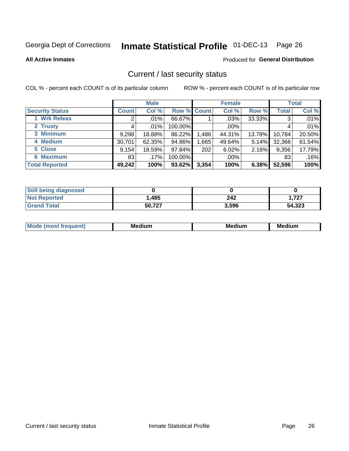# Inmate Statistical Profile 01-DEC-13 Page 26

**All Active Inmates** 

#### Produced for General Distribution

### Current / last security status

COL % - percent each COUNT is of its particular column

|                        |              | <b>Male</b> |             |       | <b>Female</b> |          |              | <b>Total</b> |  |
|------------------------|--------------|-------------|-------------|-------|---------------|----------|--------------|--------------|--|
| <b>Security Status</b> | <b>Count</b> | Col %       | Row % Count |       | Col %         | Row %    | <b>Total</b> | Col %        |  |
| 1 Wrk Releas           | 2            | $.01\%$     | 66.67%      |       | $.03\%$       | 33.33%   | 3            | .01%         |  |
| 2 Trusty               |              | $.01\%$     | 100.00%     |       | .00%          |          |              | .01%         |  |
| 3 Minimum              | 9,298        | 18.88%      | 86.22%      | 1,486 | 44.31%        | 13.78%   | 10,784       | 20.50%       |  |
| 4 Medium               | 30,701       | 62.35%      | 94.86%      | .665  | 49.64%        | $5.14\%$ | 32,366       | 61.54%       |  |
| 5 Close                | 9,154        | 18.59%      | 97.84%      | 202   | 6.02%         | 2.16%    | 9,356        | 17.79%       |  |
| <b>6 Maximum</b>       | 831          | .17%        | 100.00%     |       | .00%          |          | 83           | .16%         |  |
| <b>Total Reported</b>  | 49,242       | 100%        | 93.62%      | 3,354 | 100%          | 6.38%    | 52,596       | 100%         |  |

| <b>Still being diagnosed</b> |        |       |        |
|------------------------------|--------|-------|--------|
| <b>Not Reported</b>          | ,485   | 242   | 1.727  |
| <b>Grand Total</b>           | 50,727 | 3,596 | 54,323 |

| <b>Mo</b><br>ети | M<br>. .<br>dium | M٢<br>. | <br><b>Medium</b> |
|------------------|------------------|---------|-------------------|
|                  |                  |         |                   |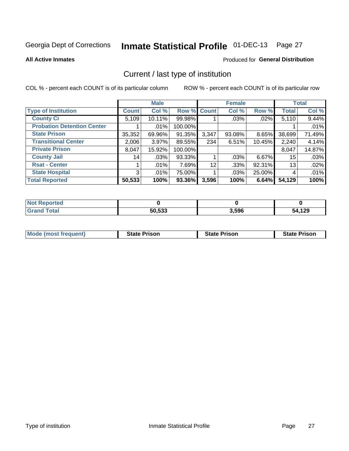# Inmate Statistical Profile 01-DEC-13 Page 27

**All Active Inmates** 

### Produced for General Distribution

# Current / last type of institution

COL % - percent each COUNT is of its particular column

|                                   |                | <b>Male</b> |             |       | <b>Female</b> |        |              | <b>Total</b> |
|-----------------------------------|----------------|-------------|-------------|-------|---------------|--------|--------------|--------------|
| <b>Type of Institution</b>        | <b>Count</b>   | Col %       | Row % Count |       | Col %         | Row %  | <b>Total</b> | Col %        |
| <b>County Ci</b>                  | 5,109          | 10.11%      | 99.98%      |       | .03%          | .02%   | 5,110        | 9.44%        |
| <b>Probation Detention Center</b> |                | .01%        | 100.00%     |       |               |        |              | .01%         |
| <b>State Prison</b>               | 35,352         | 69.96%      | 91.35%      | 3,347 | 93.08%        | 8.65%  | 38,699       | 71.49%       |
| <b>Transitional Center</b>        | 2,006          | $3.97\%$    | 89.55%      | 234   | 6.51%         | 10.45% | 2,240        | 4.14%        |
| <b>Private Prison</b>             | 8,047          | 15.92%      | 100.00%     |       |               |        | 8,047        | 14.87%       |
| <b>County Jail</b>                | 14             | .03%        | 93.33%      |       | $.03\%$       | 6.67%  | 15           | .03%         |
| <b>Rsat - Center</b>              |                | $.01\%$     | 7.69%       | 12    | .33%          | 92.31% | 13           | .02%         |
| <b>State Hospital</b>             | 3 <sup>1</sup> | .01%        | 75.00%      |       | .03%          | 25.00% | 4            | .01%         |
| <b>Total Reported</b>             | 50,533         | 100%        | 93.36%      | 3,596 | 100%          | 6.64%  | 54,129       | 100%         |

| Reported     |        |       |        |
|--------------|--------|-------|--------|
| <b>Total</b> | 50,533 | 3,596 | 54,129 |

| Mode (most frequent) | <b>State Prison</b> | <b>State Prison</b> | <b>State Prison</b> |
|----------------------|---------------------|---------------------|---------------------|
|                      |                     |                     |                     |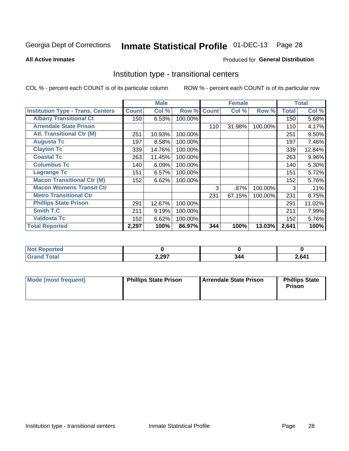#### Inmate Statistical Profile 01-DEC-13 Page 28

#### **All Active Inmates**

### Produced for General Distribution

### Institution type - transitional centers

COL % - percent each COUNT is of its particular column

|                                          |              | <b>Male</b> |         |              | <b>Female</b> |         |              | <b>Total</b> |
|------------------------------------------|--------------|-------------|---------|--------------|---------------|---------|--------------|--------------|
| <b>Institution Type - Trans. Centers</b> | <b>Count</b> | Col %       | Row %   | <b>Count</b> | Col %         | Row %   | <b>Total</b> | Col %        |
| <b>Albany Transitional Ct</b>            | 150          | 6.53%       | 100.00% |              |               |         | 150          | 5.68%        |
| <b>Arrendale State Prison</b>            |              |             |         | 110          | 31.98%        | 100.00% | 110          | 4.17%        |
| <b>Atl. Transitional Ctr (M)</b>         | 251          | 10.93%      | 100.00% |              |               |         | 251          | 9.50%        |
| <b>Augusta Tc</b>                        | 197          | 8.58%       | 100.00% |              |               |         | 197          | 7.46%        |
| <b>Clayton Tc</b>                        | 339          | 14.76%      | 100.00% |              |               |         | 339          | 12.84%       |
| <b>Coastal Tc</b>                        | 263          | 11.45%      | 100.00% |              |               |         | 263          | 9.96%        |
| <b>Columbus Tc</b>                       | 140          | 6.09%       | 100.00% |              |               |         | 140          | 5.30%        |
| <b>Lagrange Tc</b>                       | 151          | 6.57%       | 100.00% |              |               |         | 151          | 5.72%        |
| <b>Macon Transitional Ctr (M)</b>        | 152          | 6.62%       | 100.00% |              |               |         | 152          | 5.76%        |
| <b>Macon Womens Transit Ctr</b>          |              |             |         | 3            | .87%          | 100.00% | 3            | .11%         |
| <b>Metro Transitional Ctr</b>            |              |             |         | 231          | 67.15%        | 100.00% | 231          | 8.75%        |
| <b>Phillips State Prison</b>             | 291          | 12.67%      | 100.00% |              |               |         | 291          | 11.02%       |
| Smith T.C                                | 211          | 9.19%       | 100.00% |              |               |         | 211          | 7.99%        |
| <b>Valdosta Tc</b>                       | 152          | 6.62%       | 100.00% |              |               |         | 152          | 5.76%        |
| <b>Total Reported</b>                    | 2,297        | 100%        | 86.97%  | 344          | 100%          | 13.03%  | 2,641        | 100%         |

| NO<br>rtea |       |     |       |
|------------|-------|-----|-------|
| _____      | 2,297 | 344 | .,641 |

| Mode (most frequent) | <b>Phillips State Prison</b> | Arrendale State Prison | <b>Phillips State</b><br><b>Prison</b> |
|----------------------|------------------------------|------------------------|----------------------------------------|
|                      |                              |                        |                                        |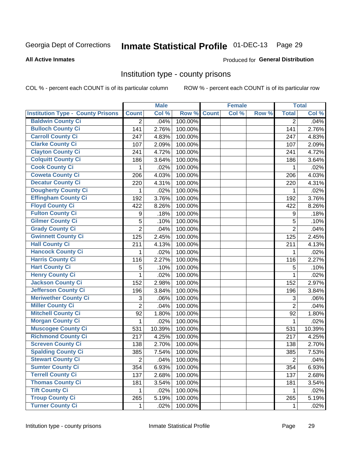# Inmate Statistical Profile 01-DEC-13 Page 29

#### **All Active Inmates**

### **Produced for General Distribution**

### Institution type - county prisons

COL % - percent each COUNT is of its particular column

|                                          |                | <b>Male</b> |         |              | <b>Female</b> |       |                | <b>Total</b> |
|------------------------------------------|----------------|-------------|---------|--------------|---------------|-------|----------------|--------------|
| <b>Institution Type - County Prisons</b> | <b>Count</b>   | Col %       | Row %   | <b>Count</b> | Col %         | Row % | <b>Total</b>   | Col %        |
| <b>Baldwin County Ci</b>                 | $\overline{2}$ | .04%        | 100.00% |              |               |       | $\overline{2}$ | .04%         |
| <b>Bulloch County Ci</b>                 | 141            | 2.76%       | 100.00% |              |               |       | 141            | 2.76%        |
| <b>Carroll County Ci</b>                 | 247            | 4.83%       | 100.00% |              |               |       | 247            | 4.83%        |
| <b>Clarke County Ci</b>                  | 107            | 2.09%       | 100.00% |              |               |       | 107            | 2.09%        |
| <b>Clayton County Ci</b>                 | 241            | 4.72%       | 100.00% |              |               |       | 241            | 4.72%        |
| <b>Colquitt County Ci</b>                | 186            | 3.64%       | 100.00% |              |               |       | 186            | 3.64%        |
| <b>Cook County Ci</b>                    | 1              | .02%        | 100.00% |              |               |       | 1              | .02%         |
| <b>Coweta County Ci</b>                  | 206            | 4.03%       | 100.00% |              |               |       | 206            | 4.03%        |
| <b>Decatur County Ci</b>                 | 220            | 4.31%       | 100.00% |              |               |       | 220            | 4.31%        |
| Dougherty County Ci                      | 1              | .02%        | 100.00% |              |               |       | 1              | .02%         |
| <b>Effingham County Ci</b>               | 192            | 3.76%       | 100.00% |              |               |       | 192            | 3.76%        |
| <b>Floyd County Ci</b>                   | 422            | 8.26%       | 100.00% |              |               |       | 422            | 8.26%        |
| <b>Fulton County Ci</b>                  | 9              | .18%        | 100.00% |              |               |       | 9              | .18%         |
| <b>Gilmer County Ci</b>                  | 5              | .10%        | 100.00% |              |               |       | 5              | .10%         |
| <b>Grady County Ci</b>                   | $\overline{2}$ | .04%        | 100.00% |              |               |       | $\overline{2}$ | .04%         |
| <b>Gwinnett County Ci</b>                | 125            | 2.45%       | 100.00% |              |               |       | 125            | 2.45%        |
| <b>Hall County Ci</b>                    | 211            | 4.13%       | 100.00% |              |               |       | 211            | 4.13%        |
| <b>Hancock County Ci</b>                 | 1              | .02%        | 100.00% |              |               |       | 1              | .02%         |
| <b>Harris County Ci</b>                  | 116            | 2.27%       | 100.00% |              |               |       | 116            | 2.27%        |
| <b>Hart County Ci</b>                    | 5              | .10%        | 100.00% |              |               |       | 5              | .10%         |
| <b>Henry County Ci</b>                   | 1              | .02%        | 100.00% |              |               |       | $\mathbf{1}$   | .02%         |
| <b>Jackson County Ci</b>                 | 152            | 2.98%       | 100.00% |              |               |       | 152            | 2.97%        |
| Jefferson County Ci                      | 196            | 3.84%       | 100.00% |              |               |       | 196            | 3.84%        |
| <b>Meriwether County Ci</b>              | 3              | .06%        | 100.00% |              |               |       | 3              | .06%         |
| <b>Miller County Ci</b>                  | $\overline{2}$ | .04%        | 100.00% |              |               |       | $\overline{2}$ | .04%         |
| <b>Mitchell County Ci</b>                | 92             | 1.80%       | 100.00% |              |               |       | 92             | 1.80%        |
| <b>Morgan County Ci</b>                  | 1              | .02%        | 100.00% |              |               |       | 1              | .02%         |
| <b>Muscogee County Ci</b>                | 531            | 10.39%      | 100.00% |              |               |       | 531            | 10.39%       |
| <b>Richmond County Ci</b>                | 217            | 4.25%       | 100.00% |              |               |       | 217            | 4.25%        |
| <b>Screven County Ci</b>                 | 138            | 2.70%       | 100.00% |              |               |       | 138            | 2.70%        |
| <b>Spalding County Ci</b>                | 385            | 7.54%       | 100.00% |              |               |       | 385            | 7.53%        |
| <b>Stewart County Ci</b>                 | $\overline{2}$ | .04%        | 100.00% |              |               |       | $\overline{2}$ | .04%         |
| <b>Sumter County Ci</b>                  | 354            | 6.93%       | 100.00% |              |               |       | 354            | 6.93%        |
| <b>Terrell County Ci</b>                 | 137            | 2.68%       | 100.00% |              |               |       | 137            | 2.68%        |
| <b>Thomas County Ci</b>                  | 181            | 3.54%       | 100.00% |              |               |       | 181            | 3.54%        |
| <b>Tift County Ci</b>                    | 1.             | .02%        | 100.00% |              |               |       | 1              | .02%         |
| <b>Troup County Ci</b>                   | 265            | 5.19%       | 100.00% |              |               |       | 265            | 5.19%        |
| <b>Turner County Ci</b>                  | $\mathbf 1$    | .02%        | 100.00% |              |               |       | 1              | .02%         |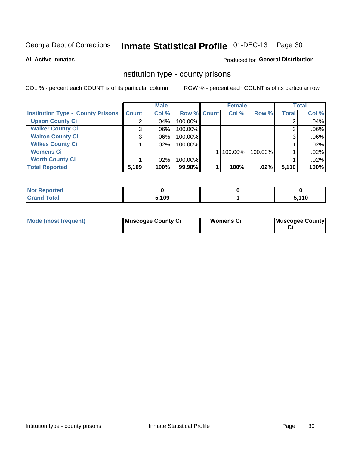# Inmate Statistical Profile 01-DEC-13 Page 30

**All Active Inmates** 

### **Produced for General Distribution**

### Institution type - county prisons

COL % - percent each COUNT is of its particular column

|                                          |              | <b>Male</b> |             | <b>Female</b> |         |              | <b>Total</b> |
|------------------------------------------|--------------|-------------|-------------|---------------|---------|--------------|--------------|
| <b>Institution Type - County Prisons</b> | <b>Count</b> | Col %       | Row % Count | Col %         | Row %   | <b>Total</b> | Col %        |
| <b>Upson County Ci</b>                   | 2            | .04%        | 100.00%     |               |         |              | .04%         |
| <b>Walker County Ci</b>                  | 3            | $.06\%$     | 100.00%     |               |         |              | .06%         |
| <b>Walton County Ci</b>                  | 3            | $.06\%$     | 100.00%     |               |         |              | .06%         |
| <b>Wilkes County Ci</b>                  |              | $.02\%$     | 100.00%     |               |         |              | .02%         |
| <b>Womens Ci</b>                         |              |             |             | 100.00%       | 100.00% |              | .02%         |
| <b>Worth County Ci</b>                   |              | $.02\%$     | 100.00%     |               |         |              | .02%         |
| <b>Total Reported</b>                    | 5,109        | 100%        | 99.98%      | 100%          | .02%    | 5,110        | 100%         |

| <b>Reported</b><br>⊹NO1∶ |       |      |
|--------------------------|-------|------|
| <b>Total</b>             | 5,109 | 110, |

| Mode (most frequent) | Muscogee County Ci | Womens Ci | Muscogee County |
|----------------------|--------------------|-----------|-----------------|
|----------------------|--------------------|-----------|-----------------|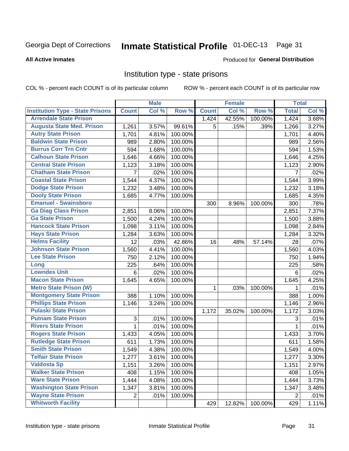#### Inmate Statistical Profile 01-DEC-13 Page 31

Produced for General Distribution

#### **All Active Inmates**

### Institution type - state prisons

COL % - percent each COUNT is of its particular column

|                                         |                | <b>Male</b> |         |              | <b>Female</b> |         | <b>Total</b>   |       |
|-----------------------------------------|----------------|-------------|---------|--------------|---------------|---------|----------------|-------|
| <b>Institution Type - State Prisons</b> | <b>Count</b>   | Col %       | Row %   | <b>Count</b> | Col %         | Row %   | <b>Total</b>   | Col % |
| <b>Arrendale State Prison</b>           |                |             |         | 1,424        | 42.55%        | 100.00% | 1,424          | 3.68% |
| <b>Augusta State Med. Prison</b>        | 1,261          | 3.57%       | 99.61%  | 5            | .15%          | .39%    | 1,266          | 3.27% |
| <b>Autry State Prison</b>               | 1,701          | 4.81%       | 100.00% |              |               |         | 1,701          | 4.40% |
| <b>Baldwin State Prison</b>             | 989            | 2.80%       | 100.00% |              |               |         | 989            | 2.56% |
| <b>Burrus Corr Trn Cntr</b>             | 594            | 1.68%       | 100.00% |              |               |         | 594            | 1.53% |
| <b>Calhoun State Prison</b>             | 1,646          | 4.66%       | 100.00% |              |               |         | 1,646          | 4.25% |
| <b>Central State Prison</b>             | 1,123          | 3.18%       | 100.00% |              |               |         | 1,123          | 2.90% |
| <b>Chatham State Prison</b>             | $\overline{7}$ | .02%        | 100.00% |              |               |         | $\overline{7}$ | .02%  |
| <b>Coastal State Prison</b>             | 1,544          | 4.37%       | 100.00% |              |               |         | 1,544          | 3.99% |
| <b>Dodge State Prison</b>               | 1,232          | 3.48%       | 100.00% |              |               |         | 1,232          | 3.18% |
| <b>Dooly State Prison</b>               | 1,685          | 4.77%       | 100.00% |              |               |         | 1,685          | 4.35% |
| <b>Emanuel - Swainsboro</b>             |                |             |         | 300          | 8.96%         | 100.00% | 300            | .78%  |
| <b>Ga Diag Class Prison</b>             | 2,851          | 8.06%       | 100.00% |              |               |         | 2,851          | 7.37% |
| <b>Ga State Prison</b>                  | 1,500          | 4.24%       | 100.00% |              |               |         | 1,500          | 3.88% |
| <b>Hancock State Prison</b>             | 1,098          | 3.11%       | 100.00% |              |               |         | 1,098          | 2.84% |
| <b>Hays State Prison</b>                | 1,284          | 3.63%       | 100.00% |              |               |         | 1,284          | 3.32% |
| <b>Helms Facility</b>                   | 12             | .03%        | 42.86%  | 16           | .48%          | 57.14%  | 28             | .07%  |
| <b>Johnson State Prison</b>             | 1,560          | 4.41%       | 100.00% |              |               |         | 1,560          | 4.03% |
| <b>Lee State Prison</b>                 | 750            | 2.12%       | 100.00% |              |               |         | 750            | 1.94% |
| Long                                    | 225            | .64%        | 100.00% |              |               |         | 225            | .58%  |
| <b>Lowndes Unit</b>                     | $\,6$          | .02%        | 100.00% |              |               |         | 6              | .02%  |
| <b>Macon State Prison</b>               | 1,645          | 4.65%       | 100.00% |              |               |         | 1,645          | 4.25% |
| <b>Metro State Prison (W)</b>           |                |             |         | $\mathbf{1}$ | .03%          | 100.00% | 1              | .01%  |
| <b>Montgomery State Prison</b>          | 388            | 1.10%       | 100.00% |              |               |         | 388            | 1.00% |
| <b>Phillips State Prison</b>            | 1,146          | 3.24%       | 100.00% |              |               |         | 1,146          | 2.96% |
| <b>Pulaski State Prison</b>             |                |             |         | 1,172        | 35.02%        | 100.00% | 1,172          | 3.03% |
| <b>Putnam State Prison</b>              | 3              | .01%        | 100.00% |              |               |         | 3              | .01%  |
| <b>Rivers State Prison</b>              | 1              | .01%        | 100.00% |              |               |         | 1              | .01%  |
| <b>Rogers State Prison</b>              | 1,433          | 4.05%       | 100.00% |              |               |         | 1,433          | 3.70% |
| <b>Rutledge State Prison</b>            | 611            | 1.73%       | 100.00% |              |               |         | 611            | 1.58% |
| <b>Smith State Prison</b>               | 1,549          | 4.38%       | 100.00% |              |               |         | 1,549          | 4.00% |
| <b>Telfair State Prison</b>             | 1,277          | 3.61%       | 100.00% |              |               |         | 1,277          | 3.30% |
| <b>Valdosta Sp</b>                      | 1,151          | 3.26%       | 100.00% |              |               |         | 1,151          | 2.97% |
| <b>Walker State Prison</b>              | 408            | 1.15%       | 100.00% |              |               |         | 408            | 1.05% |
| <b>Ware State Prison</b>                | 1,444          | 4.08%       | 100.00% |              |               |         | 1,444          | 3.73% |
| <b>Washington State Prison</b>          | 1,347          | 3.81%       | 100.00% |              |               |         | 1,347          | 3.48% |
| <b>Wayne State Prison</b>               | 2              | .01%        | 100.00% |              |               |         | $\overline{2}$ | .01%  |
| <b>Whitworth Facility</b>               |                |             |         | 429          | 12.82%        | 100.00% | 429            | 1.11% |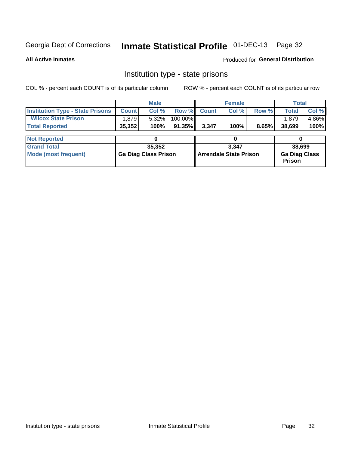# Inmate Statistical Profile 01-DEC-13 Page 32

**All Active Inmates** 

Produced for General Distribution

### Institution type - state prisons

COL % - percent each COUNT is of its particular column ROW % - percent each COUNT is of its particular row

|                                         |              | <b>Male</b>                 |           |              | <b>Female</b>                 |       | Total                                 |        |  |
|-----------------------------------------|--------------|-----------------------------|-----------|--------------|-------------------------------|-------|---------------------------------------|--------|--|
| <b>Institution Type - State Prisons</b> | <b>Count</b> | Col %                       | Row %     | <b>Count</b> | Col %                         | Row % | <b>Total</b>                          | Col %  |  |
| <b>Wilcox State Prison</b>              | 1,879        | 5.32%                       | 100.00%   |              |                               |       | 1,879                                 | 4.86%  |  |
| <b>Total Reported</b>                   | 35,352       | 100%                        | $91.35\%$ | 3,347        | 100%                          | 8.65% | 38,699                                | 100%   |  |
|                                         |              |                             |           |              |                               |       |                                       |        |  |
| <b>Not Reported</b>                     |              |                             |           |              |                               |       |                                       |        |  |
| <b>Grand Total</b>                      |              | 35,352                      |           |              | 3.347                         |       |                                       | 38,699 |  |
| <b>Mode (most frequent)</b>             |              | <b>Ga Diag Class Prison</b> |           |              | <b>Arrendale State Prison</b> |       | <b>Ga Diag Class</b><br><b>Prison</b> |        |  |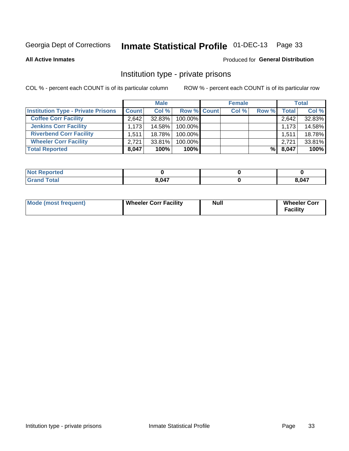# Inmate Statistical Profile 01-DEC-13 Page 33

**All Active Inmates** 

### Produced for General Distribution

### Institution type - private prisons

COL % - percent each COUNT is of its particular column

|                                           | <b>Male</b>  |           |             | <b>Female</b> |       |              | <b>Total</b> |  |
|-------------------------------------------|--------------|-----------|-------------|---------------|-------|--------------|--------------|--|
| <b>Institution Type - Private Prisons</b> | <b>Count</b> | Col %     | Row % Count | Col %         | Row % | <b>Total</b> | Col %        |  |
| <b>Coffee Corr Facility</b>               | 2.642        | 32.83%    | 100.00%     |               |       | 2,642        | 32.83%       |  |
| <b>Jenkins Corr Facility</b>              | 1.173        | 14.58%    | $100.00\%$  |               |       | 1,173        | 14.58%       |  |
| <b>Riverbend Corr Facility</b>            | 1.5111       | 18.78%    | 100.00%     |               |       | 1,511        | 18.78%       |  |
| <b>Wheeler Corr Facility</b>              | 2.721        | $33.81\%$ | 100.00%     |               |       | 2.721        | 33.81%       |  |
| <b>Total Reported</b>                     | 8,047        | 100%      | $100\%$     |               | %∣    | 8,047        | 100%         |  |

| <b>Reported</b> |       |                   |
|-----------------|-------|-------------------|
| <b>otal</b>     | 8.047 | <b>047</b><br>v-1 |

| Mode (most frequent) | <b>Wheeler Corr Facility</b> | <b>Null</b> | <b>Wheeler Corr</b><br><b>Facility</b> |
|----------------------|------------------------------|-------------|----------------------------------------|
|----------------------|------------------------------|-------------|----------------------------------------|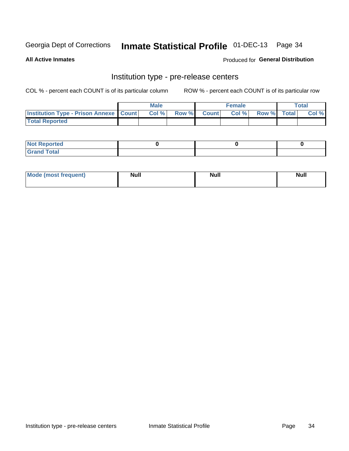# Inmate Statistical Profile 01-DEC-13 Page 34

**All Active Inmates** 

Produced for General Distribution

# Institution type - pre-release centers

COL % - percent each COUNT is of its particular column

|                                                   | <b>Male</b> |             | <b>Female</b> |             | <b>Total</b> |
|---------------------------------------------------|-------------|-------------|---------------|-------------|--------------|
| <b>Institution Type - Prison Annexe   Count  </b> | Col %       | Row % Count | Col %         | Row % Total | Col %        |
| <b>Total Reported</b>                             |             |             |               |             |              |

| <b>Reported</b><br>I NOT |  |  |
|--------------------------|--|--|
| <b>Total</b><br>$C$ ren  |  |  |

| <b>Mode</b>     | <b>Null</b> | <b>Null</b> | <b>Null</b> |
|-----------------|-------------|-------------|-------------|
| most frequent). |             |             |             |
|                 |             |             |             |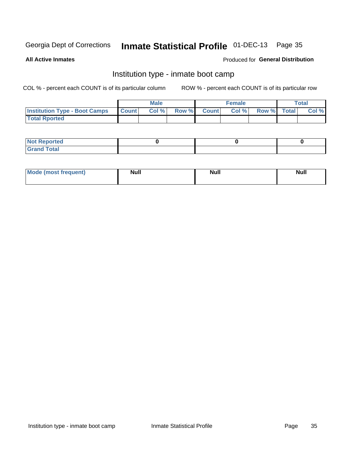# Inmate Statistical Profile 01-DEC-13 Page 35

**All Active Inmates** 

### Produced for General Distribution

### Institution type - inmate boot camp

COL % - percent each COUNT is of its particular column

|                                      |                 | <b>Male</b> |              |              | <b>Female</b> |             | <b>Total</b> |
|--------------------------------------|-----------------|-------------|--------------|--------------|---------------|-------------|--------------|
| <b>Institution Type - Boot Camps</b> | <b>I</b> Count⊥ | Col %       | <b>Row %</b> | <b>Count</b> | Col %         | Row % Total | Col %        |
| <b>Total Rported</b>                 |                 |             |              |              |               |             |              |

| <b>Not Reported</b>            |  |  |
|--------------------------------|--|--|
| <b>Total</b><br>C <sub>r</sub> |  |  |

| <b>I Mode (most frequent)</b> | <b>Null</b> | <b>Null</b> | <b>Null</b> |
|-------------------------------|-------------|-------------|-------------|
|                               |             |             |             |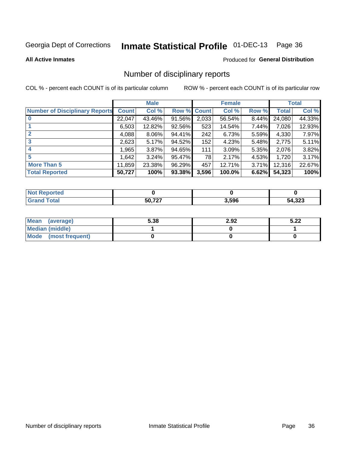# Inmate Statistical Profile 01-DEC-13 Page 36

#### **All Active Inmates**

#### Produced for General Distribution

### Number of disciplinary reports

COL % - percent each COUNT is of its particular column

|                                       |              | <b>Male</b> |        |       | <b>Female</b> |          |              | <b>Total</b> |
|---------------------------------------|--------------|-------------|--------|-------|---------------|----------|--------------|--------------|
| <b>Number of Disciplinary Reports</b> | <b>Count</b> | Col %       | Row %  | Count | Col %         | Row %    | <b>Total</b> | Col %        |
| $\bf{0}$                              | 22,047       | 43.46%      | 91.56% | 2,033 | 56.54%        | $8.44\%$ | 24,080       | 44.33%       |
|                                       | 6,503        | 12.82%      | 92.56% | 523   | 14.54%        | 7.44%    | 7,026        | 12.93%       |
| $\overline{2}$                        | 4,088        | $8.06\%$    | 94.41% | 242   | 6.73%         | 5.59%    | 4,330        | 7.97%        |
| 3                                     | 2,623        | 5.17%       | 94.52% | 152   | 4.23%         | $5.48\%$ | 2,775        | 5.11%        |
| 4                                     | 1,965        | 3.87%       | 94.65% | 111   | 3.09%         | 5.35%    | 2,076        | 3.82%        |
| 5                                     | 1,642        | 3.24%       | 95.47% | 78    | 2.17%         | 4.53%    | 1,720        | 3.17%        |
| <b>More Than 5</b>                    | 11,859       | 23.38%      | 96.29% | 457   | 12.71%        | 3.71%    | 12,316       | 22.67%       |
| <b>Total Reported</b>                 | 50,727       | 100%        | 93.38% | 3,596 | 100.0%        | 6.62%    | 54,323       | 100%         |

| orted<br>NO. |        |       |        |
|--------------|--------|-------|--------|
| <b>Total</b> | 50 727 | 3,596 | 54,323 |

| Mean (average)         | 5.38 | 2.92 | よ つつ<br>3.ZZ |
|------------------------|------|------|--------------|
| <b>Median (middle)</b> |      |      |              |
| Mode (most frequent)   |      |      |              |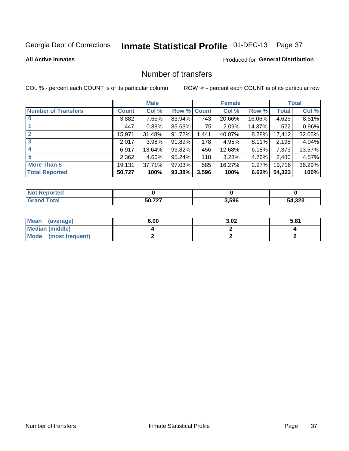# Inmate Statistical Profile 01-DEC-13 Page 37

#### **All Active Inmates**

#### **Produced for General Distribution**

## Number of transfers

COL % - percent each COUNT is of its particular column

|                            |         | <b>Male</b> |        |       | <b>Female</b> |          |        | <b>Total</b> |
|----------------------------|---------|-------------|--------|-------|---------------|----------|--------|--------------|
| <b>Number of Transfers</b> | Count l | Col %       | Row %  | Count | Col %         | Row %    | Total  | Col %        |
| $\bf{0}$                   | 3,882   | 7.65%       | 83.94% | 743   | 20.66%        | 16.06%   | 4,625  | 8.51%        |
|                            | 447     | 0.88%       | 85.63% | 75    | 2.09%         | 14.37%   | 522    | 0.96%        |
| $\overline{2}$             | 15,971  | 31.48%      | 91.72% | 1,441 | 40.07%        | 8.28%    | 17,412 | 32.05%       |
| 3                          | 2,017   | 3.98%       | 91.89% | 178   | 4.95%         | $8.11\%$ | 2,195  | 4.04%        |
| $\boldsymbol{4}$           | 6,917   | 13.64%      | 93.82% | 456   | 12.68%        | 6.18%    | 7,373  | 13.57%       |
| 5                          | 2,362   | 4.66%       | 95.24% | 118   | 3.28%         | 4.76%    | 2,480  | 4.57%        |
| <b>More Than 5</b>         | 19,131  | 37.71%      | 97.03% | 585   | 16.27%        | $2.97\%$ | 19,716 | 36.29%       |
| <b>Total Reported</b>      | 50,727  | 100%        | 93.38% | 3,596 | 100%          | 6.62%    | 54,323 | 100%         |

| prted<br>NOT |       |       |        |
|--------------|-------|-------|--------|
| ⊺otaı        | 50727 | 3,596 | 54,323 |

| Mean (average)         | 6.00 | 3.02 | 5.81 |
|------------------------|------|------|------|
| <b>Median (middle)</b> |      |      |      |
| Mode (most frequent)   |      |      |      |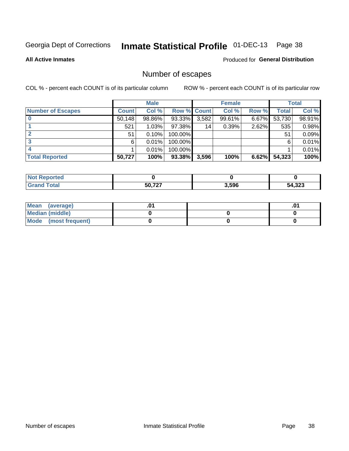## Inmate Statistical Profile 01-DEC-13 Page 38

**All Active Inmates** 

#### **Produced for General Distribution**

## Number of escapes

COL % - percent each COUNT is of its particular column

|                          |              | <b>Male</b> |                    |       | <b>Female</b> |       |        | <b>Total</b> |
|--------------------------|--------------|-------------|--------------------|-------|---------------|-------|--------|--------------|
| <b>Number of Escapes</b> | <b>Count</b> | Col %       | <b>Row % Count</b> |       | Col %         | Row % | Total  | Col %        |
|                          | 50,148       | 98.86%      | 93.33%             | 3,582 | 99.61%        | 6.67% | 53,730 | 98.91%       |
|                          | 521          | 1.03%       | $97.38\%$          | 14    | 0.39%         | 2.62% | 535    | 0.98%        |
|                          | 51           | 0.10%       | 100.00%            |       |               |       | 51     | 0.09%        |
|                          | 6.           | 0.01%       | $100.00\%$         |       |               |       | 6      | 0.01%        |
|                          |              | 0.01%       | 100.00%            |       |               |       |        | 0.01%        |
| <b>Total Reported</b>    | 50,727       | 100%        | $93.38\%$          | 3,596 | 100%          | 6.62% | 54,323 | 100%         |

| rted |                 |       |        |
|------|-----------------|-------|--------|
|      | 50 727<br>- - - | 3,596 | 54,323 |

| Mean (average)         |  | .ט |
|------------------------|--|----|
| <b>Median (middle)</b> |  |    |
| Mode (most frequent)   |  |    |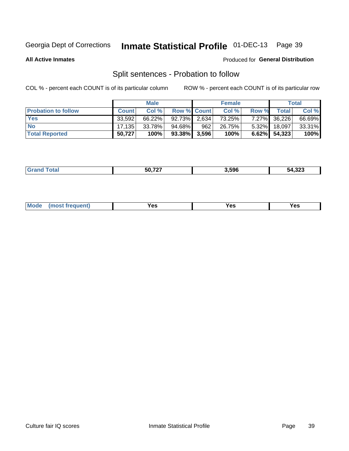## Inmate Statistical Profile 01-DEC-13 Page 39

**All Active Inmates** 

#### Produced for General Distribution

## Split sentences - Probation to follow

COL % - percent each COUNT is of its particular column

|                            |              | <b>Male</b> |                 |     | <b>Female</b> |              |              | <b>Total</b> |
|----------------------------|--------------|-------------|-----------------|-----|---------------|--------------|--------------|--------------|
| <b>Probation to follow</b> | <b>Count</b> | Col%        | Row % Count     |     | Col %         | <b>Row %</b> | <b>Total</b> | Col %        |
| <b>Yes</b>                 | 33.592       | 66.22%      | $92.73\%$ 2.634 |     | 73.25%        |              | 7.27% 36,226 | 66.69%       |
| <b>No</b>                  | 17.135       | 33.78%      | 94.68%          | 962 | 26.75%        | $5.32\%$     | 18.097       | 33.31%       |
| <b>Total Reported</b>      | 50,727       | 100%        | $93.38\%$ 3,596 |     | 100%          | $6.62\%$     | 54,323       | 100%         |

|  | _______ | $F^{\wedge}$ 707<br>. | 3.596 | <br>ົງ4.32ວ |
|--|---------|-----------------------|-------|-------------|
|--|---------|-----------------------|-------|-------------|

| reauent)<br>Yes<br>v^c<br>0٥<br>.<br>. .<br>$\sim$ |  | <b>Mode</b> |  |  |  |
|----------------------------------------------------|--|-------------|--|--|--|
|----------------------------------------------------|--|-------------|--|--|--|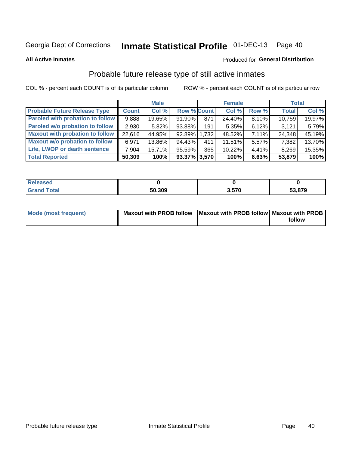## Inmate Statistical Profile 01-DEC-13 Page 40

**All Active Inmates** 

#### Produced for General Distribution

## Probable future release type of still active inmates

COL % - percent each COUNT is of its particular column

|                                         |              | <b>Male</b> |                    |     | <b>Female</b> |          | <b>Total</b> |        |
|-----------------------------------------|--------------|-------------|--------------------|-----|---------------|----------|--------------|--------|
| <b>Probable Future Release Type</b>     | <b>Count</b> | Col %       | <b>Row % Count</b> |     | Col %         | Row %    | <b>Total</b> | Col %  |
| <b>Paroled with probation to follow</b> | 9,888        | 19.65%      | 91.90%             | 871 | 24.40%        | 8.10%    | 10,759       | 19.97% |
| Paroled w/o probation to follow         | 2,930        | 5.82%       | 93.88%             | 191 | 5.35%         | 6.12%    | 3,121        | 5.79%  |
| <b>Maxout with probation to follow</b>  | 22,616       | 44.95%      | 92.89% 1,732       |     | 48.52%        | 7.11%    | 24,348       | 45.19% |
| <b>Maxout w/o probation to follow</b>   | 6,971        | 13.86%      | 94.43%             | 411 | 11.51%        | 5.57%    | 7,382        | 13.70% |
| Life, LWOP or death sentence            | 7,904        | 15.71%      | 95.59%             | 365 | 10.22%        | $4.41\%$ | 8,269        | 15.35% |
| <b>Total Reported</b>                   | 50,309       | 100%        | 93.37% 3,570       |     | 100%          | 6.63%    | 53,879       | 100%   |

| $C = 4 - 7$ | 50,309 | 3.570 | ,879<br>-0<br>აა |
|-------------|--------|-------|------------------|

| <b>Mode (most frequent)</b> | Maxout with PROB follow   Maxout with PROB follow   Maxout with PROB |        |
|-----------------------------|----------------------------------------------------------------------|--------|
|                             |                                                                      | follow |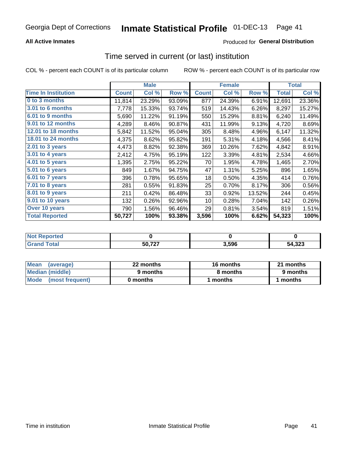### **All Active Inmates**

### **Produced for General Distribution**

## Time served in current (or last) institution

COL % - percent each COUNT is of its particular column

|                            |              | <b>Male</b> |        |              | <b>Female</b> |        |              | <b>Total</b> |
|----------------------------|--------------|-------------|--------|--------------|---------------|--------|--------------|--------------|
| <b>Time In Institution</b> | <b>Count</b> | Col %       | Row %  | <b>Count</b> | Col %         | Row %  | <b>Total</b> | Col %        |
| 0 to 3 months              | 11,814       | 23.29%      | 93.09% | 877          | 24.39%        | 6.91%  | 12,691       | 23.36%       |
| 3.01 to 6 months           | 7,778        | 15.33%      | 93.74% | 519          | 14.43%        | 6.26%  | 8,297        | 15.27%       |
| 6.01 to 9 months           | 5,690        | 11.22%      | 91.19% | 550          | 15.29%        | 8.81%  | 6,240        | 11.49%       |
| 9.01 to 12 months          | 4,289        | 8.46%       | 90.87% | 431          | 11.99%        | 9.13%  | 4,720        | 8.69%        |
| 12.01 to 18 months         | 5,842        | 11.52%      | 95.04% | 305          | 8.48%         | 4.96%  | 6,147        | 11.32%       |
| <b>18.01 to 24 months</b>  | 4,375        | 8.62%       | 95.82% | 191          | 5.31%         | 4.18%  | 4,566        | 8.41%        |
| $2.01$ to 3 years          | 4,473        | 8.82%       | 92.38% | 369          | 10.26%        | 7.62%  | 4,842        | 8.91%        |
| $3.01$ to 4 years          | 2,412        | 4.75%       | 95.19% | 122          | 3.39%         | 4.81%  | 2,534        | 4.66%        |
| 4.01 to 5 years            | 1,395        | 2.75%       | 95.22% | 70           | 1.95%         | 4.78%  | 1,465        | 2.70%        |
| 5.01 to 6 years            | 849          | 1.67%       | 94.75% | 47           | 1.31%         | 5.25%  | 896          | 1.65%        |
| 6.01 to 7 years            | 396          | 0.78%       | 95.65% | 18           | 0.50%         | 4.35%  | 414          | 0.76%        |
| 7.01 to 8 years            | 281          | 0.55%       | 91.83% | 25           | 0.70%         | 8.17%  | 306          | 0.56%        |
| $8.01$ to 9 years          | 211          | 0.42%       | 86.48% | 33           | 0.92%         | 13.52% | 244          | 0.45%        |
| 9.01 to 10 years           | 132          | 0.26%       | 92.96% | 10           | 0.28%         | 7.04%  | 142          | 0.26%        |
| Over 10 years              | 790          | 1.56%       | 96.46% | 29           | 0.81%         | 3.54%  | 819          | 1.51%        |
| <b>Total Reported</b>      | 50,727       | 100%        | 93.38% | 3,596        | 100%          | 6.62%  | 54,323       | 100%         |

| NO1<br>orreg |        |      |        |
|--------------|--------|------|--------|
| ntar         | 50,727 | .596 | 54,323 |

| <b>Mean</b><br>(average) | 22 months | 16 months | 21 months |  |
|--------------------------|-----------|-----------|-----------|--|
| Median (middle)          | 9 months  | 8 months  | 9 months  |  |
| Mode<br>(most frequent)  | 0 months  | months    | ∖ months  |  |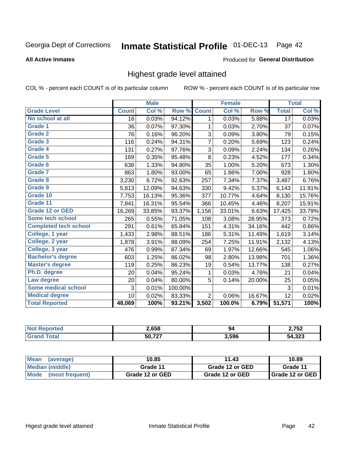# Inmate Statistical Profile 01-DEC-13 Page 42

#### **All Active Inmates**

#### Produced for General Distribution

## Highest grade level attained

COL % - percent each COUNT is of its particular column

|                              |                 | <b>Male</b> |         |                | <b>Female</b> |        |                 | <b>Total</b> |
|------------------------------|-----------------|-------------|---------|----------------|---------------|--------|-----------------|--------------|
| <b>Grade Level</b>           | <b>Count</b>    | Col %       | Row %   | <b>Count</b>   | Col %         | Row %  | <b>Total</b>    | Col %        |
| No school at all             | $\overline{16}$ | 0.03%       | 94.12%  | 1              | 0.03%         | 5.88%  | $\overline{17}$ | 0.03%        |
| Grade 1                      | 36              | 0.07%       | 97.30%  | 1              | 0.03%         | 2.70%  | 37              | 0.07%        |
| <b>Grade 2</b>               | 76              | 0.16%       | 96.20%  | 3              | 0.09%         | 3.80%  | 79              | 0.15%        |
| <b>Grade 3</b>               | 116             | 0.24%       | 94.31%  | 7              | 0.20%         | 5.69%  | 123             | 0.24%        |
| Grade 4                      | 131             | 0.27%       | 97.76%  | 3              | 0.09%         | 2.24%  | 134             | 0.26%        |
| Grade 5                      | 169             | 0.35%       | 95.48%  | $\bf 8$        | 0.23%         | 4.52%  | 177             | 0.34%        |
| Grade 6                      | 638             | 1.33%       | 94.80%  | 35             | 1.00%         | 5.20%  | 673             | 1.30%        |
| Grade 7                      | 863             | 1.80%       | 93.00%  | 65             | 1.86%         | 7.00%  | 928             | 1.80%        |
| Grade 8                      | 3,230           | 6.72%       | 92.63%  | 257            | 7.34%         | 7.37%  | 3,487           | 6.76%        |
| Grade 9                      | 5,813           | 12.09%      | 94.63%  | 330            | 9.42%         | 5.37%  | 6,143           | 11.91%       |
| Grade 10                     | 7,753           | 16.13%      | 95.36%  | 377            | 10.77%        | 4.64%  | 8,130           | 15.76%       |
| Grade 11                     | 7,841           | 16.31%      | 95.54%  | 366            | 10.45%        | 4.46%  | 8,207           | 15.91%       |
| <b>Grade 12 or GED</b>       | 16,269          | 33.85%      | 93.37%  | 1,156          | 33.01%        | 6.63%  | 17,425          | 33.79%       |
| Some tech school             | 265             | 0.55%       | 71.05%  | 108            | 3.08%         | 28.95% | 373             | 0.72%        |
| <b>Completed tech school</b> | 291             | 0.61%       | 65.84%  | 151            | 4.31%         | 34.16% | 442             | 0.86%        |
| College, 1 year              | 1,433           | 2.98%       | 88.51%  | 186            | 5.31%         | 11.49% | 1,619           | 3.14%        |
| College, 2 year              | 1,878           | 3.91%       | 88.09%  | 254            | 7.25%         | 11.91% | 2,132           | 4.13%        |
| College, 3 year              | 476             | 0.99%       | 87.34%  | 69             | 1.97%         | 12.66% | 545             | 1.06%        |
| <b>Bachelor's degree</b>     | 603             | 1.25%       | 86.02%  | 98             | 2.80%         | 13.98% | 701             | 1.36%        |
| <b>Master's degree</b>       | 119             | 0.25%       | 86.23%  | 19             | 0.54%         | 13.77% | 138             | 0.27%        |
| Ph.D. degree                 | 20              | 0.04%       | 95.24%  | 1              | 0.03%         | 4.76%  | 21              | 0.04%        |
| Law degree                   | 20              | 0.04%       | 80.00%  | 5              | 0.14%         | 20.00% | 25              | 0.05%        |
| <b>Some medical school</b>   | 3               | 0.01%       | 100.00% |                |               |        | 3               | 0.01%        |
| <b>Medical degree</b>        | 10              | 0.02%       | 83.33%  | $\overline{2}$ | 0.06%         | 16.67% | 12              | 0.02%        |
| <b>Total Reported</b>        | 48,069          | 100%        | 93.21%  | 3,502          | 100.0%        | 6.79%  | 51,571          | 100%         |

| 2,658                  | 94    | ר דר ר<br>$\overline{\phantom{a}}$ |
|------------------------|-------|------------------------------------|
| $F^{\alpha}$ 707<br>50 | 3.596 | ົາງາ<br>دعد                        |

| <b>Mean</b><br>(average)       | 10.85           | 11.43           | 10.89           |
|--------------------------------|-----------------|-----------------|-----------------|
| Median (middle)                | Grade 11        | Grade 12 or GED | Grade 11        |
| <b>Mode</b><br>(most frequent) | Grade 12 or GED | Grade 12 or GED | Grade 12 or GED |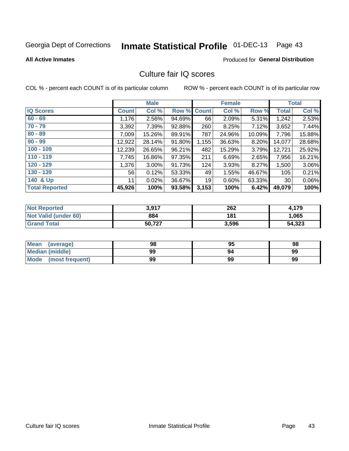# Inmate Statistical Profile 01-DEC-13 Page 43

#### **All Active Inmates**

#### **Produced for General Distribution**

## Culture fair IQ scores

COL % - percent each COUNT is of its particular column

|                       |              | <b>Male</b> |        |              | <b>Female</b> |          |              | <b>Total</b> |
|-----------------------|--------------|-------------|--------|--------------|---------------|----------|--------------|--------------|
| <b>IQ Scores</b>      | <b>Count</b> | Col %       | Row %  | <b>Count</b> | Col %         | Row %    | <b>Total</b> | Col %        |
| $60 - 69$             | 1,176        | $2.56\%$    | 94.69% | 66           | 2.09%         | 5.31%    | 1,242        | 2.53%        |
| $70 - 79$             | 3,392        | 7.39%       | 92.88% | 260          | 8.25%         | $7.12\%$ | 3,652        | 7.44%        |
| $80 - 89$             | 7,009        | 15.26%      | 89.91% | 787          | 24.96%        | 10.09%   | 7,796        | 15.88%       |
| $90 - 99$             | 12,922       | 28.14%      | 91.80% | 1,155        | 36.63%        | 8.20%    | 14,077       | 28.68%       |
| $100 - 109$           | 12,239       | 26.65%      | 96.21% | 482          | 15.29%        | 3.79%    | 12,721       | 25.92%       |
| $110 - 119$           | 7,745        | 16.86%      | 97.35% | 211          | 6.69%         | 2.65%    | 7,956        | 16.21%       |
| $120 - 129$           | 1,376        | $3.00\%$    | 91.73% | 124          | 3.93%         | 8.27%    | 1,500        | 3.06%        |
| $130 - 139$           | 56           | 0.12%       | 53.33% | 49           | 1.55%         | 46.67%   | 105          | 0.21%        |
| 140 & Up              | 11           | 0.02%       | 36.67% | 19           | 0.60%         | 63.33%   | 30           | $0.06\%$     |
| <b>Total Reported</b> | 45,926       | 100%        | 93.58% | 3,153        | 100%          | 6.42%    | 49,079       | 100%         |

| <b>Not Reported</b>         | 3,917  | 262   | 4.179  |
|-----------------------------|--------|-------|--------|
| <b>Not Valid (under 60)</b> | 884    | 181   | 1,065  |
| <b>Grand Total</b>          | 50,727 | 3,596 | 54,323 |

| <b>Mean</b><br>(average) | 98 | 95 | 98 |
|--------------------------|----|----|----|
| <b>Median (middle)</b>   | 99 | 94 | 99 |
| Mode<br>(most frequent)  | 99 | 99 | 99 |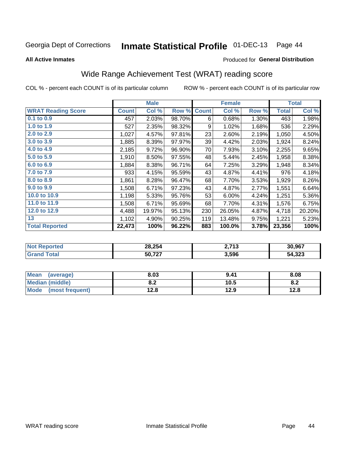# Inmate Statistical Profile 01-DEC-13 Page 44

#### **All Active Inmates**

#### Produced for General Distribution

## Wide Range Achievement Test (WRAT) reading score

COL % - percent each COUNT is of its particular column

|                           |              | <b>Male</b> |        |              | <b>Female</b> |       |              | <b>Total</b> |
|---------------------------|--------------|-------------|--------|--------------|---------------|-------|--------------|--------------|
| <b>WRAT Reading Score</b> | <b>Count</b> | Col %       | Row %  | <b>Count</b> | Col %         | Row % | <b>Total</b> | Col %        |
| $0.1$ to $0.9$            | 457          | 2.03%       | 98.70% | 6            | 0.68%         | 1.30% | 463          | 1.98%        |
| 1.0 to 1.9                | 527          | 2.35%       | 98.32% | 9            | 1.02%         | 1.68% | 536          | 2.29%        |
| 2.0 to 2.9                | 1,027        | 4.57%       | 97.81% | 23           | 2.60%         | 2.19% | 1,050        | 4.50%        |
| 3.0 to 3.9                | 1,885        | 8.39%       | 97.97% | 39           | 4.42%         | 2.03% | 1,924        | 8.24%        |
| 4.0 to 4.9                | 2,185        | 9.72%       | 96.90% | 70           | 7.93%         | 3.10% | 2,255        | 9.65%        |
| 5.0 to 5.9                | 1,910        | 8.50%       | 97.55% | 48           | 5.44%         | 2.45% | 1,958        | 8.38%        |
| 6.0 to 6.9                | 1,884        | 8.38%       | 96.71% | 64           | 7.25%         | 3.29% | 1,948        | 8.34%        |
| 7.0 to 7.9                | 933          | 4.15%       | 95.59% | 43           | 4.87%         | 4.41% | 976          | 4.18%        |
| 8.0 to 8.9                | 1,861        | 8.28%       | 96.47% | 68           | 7.70%         | 3.53% | 1,929        | 8.26%        |
| 9.0 to 9.9                | 1,508        | 6.71%       | 97.23% | 43           | 4.87%         | 2.77% | 1,551        | 6.64%        |
| 10.0 to 10.9              | 1,198        | 5.33%       | 95.76% | 53           | 6.00%         | 4.24% | 1,251        | 5.36%        |
| 11.0 to 11.9              | 1,508        | 6.71%       | 95.69% | 68           | 7.70%         | 4.31% | 1,576        | 6.75%        |
| 12.0 to 12.9              | 4,488        | 19.97%      | 95.13% | 230          | 26.05%        | 4.87% | 4,718        | 20.20%       |
| 13                        | 1,102        | 4.90%       | 90.25% | 119          | 13.48%        | 9.75% | 1,221        | 5.23%        |
| <b>Total Reported</b>     | 22,473       | 100%        | 96.22% | 883          | 100.0%        | 3.78% | 23,356       | 100%         |
|                           |              |             |        |              |               |       |              |              |

| <b>Not Reported</b>        | 28,254 | 2712<br><b>2.113</b> | 30,967 |
|----------------------------|--------|----------------------|--------|
| $\mathsf{Total}$<br>'Grand | 50,727 | 3,596                | 54,323 |

| <b>Mean</b><br>(average) | 8.03       | 9.41 | 8.08 |
|--------------------------|------------|------|------|
| <b>Median (middle)</b>   | י ה<br>0.Z | 10.5 | o.z  |
| Mode<br>(most frequent)  | 12.8       | 12.9 | 12.8 |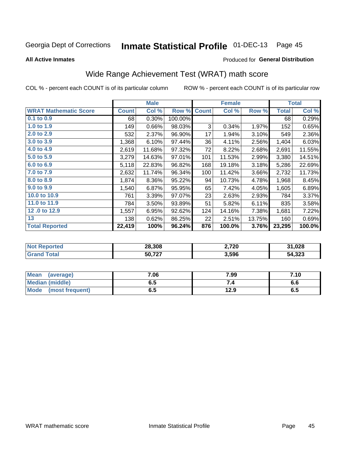#### Inmate Statistical Profile 01-DEC-13 Page 45

**All Active Inmates** 

#### Produced for General Distribution

## Wide Range Achievement Test (WRAT) math score

COL % - percent each COUNT is of its particular column

|                              |              | <b>Male</b> |         |              | <b>Female</b> |        |              | <b>Total</b> |
|------------------------------|--------------|-------------|---------|--------------|---------------|--------|--------------|--------------|
| <b>WRAT Mathematic Score</b> | <b>Count</b> | Col %       | Row %   | <b>Count</b> | Col %         | Row %  | <b>Total</b> | Col %        |
| 0.1 to 0.9                   | 68           | 0.30%       | 100.00% |              |               |        | 68           | 0.29%        |
| 1.0 to 1.9                   | 149          | 0.66%       | 98.03%  | 3            | 0.34%         | 1.97%  | 152          | 0.65%        |
| 2.0 to 2.9                   | 532          | 2.37%       | 96.90%  | 17           | 1.94%         | 3.10%  | 549          | 2.36%        |
| 3.0 to 3.9                   | 1,368        | 6.10%       | 97.44%  | 36           | 4.11%         | 2.56%  | 1,404        | 6.03%        |
| 4.0 to 4.9                   | 2,619        | 11.68%      | 97.32%  | 72           | 8.22%         | 2.68%  | 2,691        | 11.55%       |
| 5.0 to 5.9                   | 3,279        | 14.63%      | 97.01%  | 101          | 11.53%        | 2.99%  | 3,380        | 14.51%       |
| 6.0 to 6.9                   | 5,118        | 22.83%      | 96.82%  | 168          | 19.18%        | 3.18%  | 5,286        | 22.69%       |
| 7.0 to 7.9                   | 2,632        | 11.74%      | 96.34%  | 100          | 11.42%        | 3.66%  | 2,732        | 11.73%       |
| 8.0 to 8.9                   | 1,874        | 8.36%       | 95.22%  | 94           | 10.73%        | 4.78%  | 1,968        | 8.45%        |
| 9.0 to 9.9                   | 1,540        | 6.87%       | 95.95%  | 65           | 7.42%         | 4.05%  | 1,605        | 6.89%        |
| 10.0 to 10.9                 | 761          | 3.39%       | 97.07%  | 23           | 2.63%         | 2.93%  | 784          | 3.37%        |
| 11.0 to 11.9                 | 784          | 3.50%       | 93.89%  | 51           | 5.82%         | 6.11%  | 835          | 3.58%        |
| 12.0 to 12.9                 | 1,557        | 6.95%       | 92.62%  | 124          | 14.16%        | 7.38%  | 1,681        | 7.22%        |
| 13                           | 138          | 0.62%       | 86.25%  | 22           | 2.51%         | 13.75% | 160          | 0.69%        |
| <b>Total Reported</b>        | 22,419       | 100%        | 96.24%  | 876          | 100.0%        | 3.76%  | 23,295       | 100.0%       |

| <b>Not</b><br><b>Reported</b> | 28,308 | 2,720 | 31,028 |
|-------------------------------|--------|-------|--------|
| <b>Total</b>                  | 50 727 | 3,596 | 54,323 |

| <b>Mean</b><br>(average) | 7.06 | 7.99 | 7.10 |
|--------------------------|------|------|------|
| <b>Median (middle)</b>   | כ.ס  |      | o.o  |
| Mode<br>(most frequent)  | υ.υ  | 12.9 | დ.g  |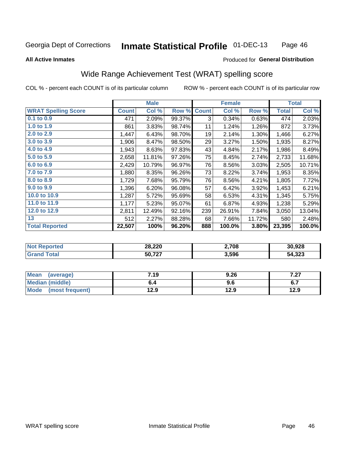#### **Inmate Statistical Profile 01-DEC-13** Page 46

#### **All Active Inmates**

#### Produced for General Distribution

## Wide Range Achievement Test (WRAT) spelling score

COL % - percent each COUNT is of its particular column

|                            |              | <b>Male</b> |        |              | <b>Female</b> |        |              | <b>Total</b> |
|----------------------------|--------------|-------------|--------|--------------|---------------|--------|--------------|--------------|
| <b>WRAT Spelling Score</b> | <b>Count</b> | Col %       | Row %  | <b>Count</b> | Col %         | Row %  | <b>Total</b> | Col %        |
| 0.1 to 0.9                 | 471          | 2.09%       | 99.37% | 3            | 0.34%         | 0.63%  | 474          | 2.03%        |
| 1.0 to 1.9                 | 861          | 3.83%       | 98.74% | 11           | 1.24%         | 1.26%  | 872          | 3.73%        |
| 2.0 to 2.9                 | 1,447        | 6.43%       | 98.70% | 19           | 2.14%         | 1.30%  | 1,466        | 6.27%        |
| 3.0 to 3.9                 | 1,906        | 8.47%       | 98.50% | 29           | 3.27%         | 1.50%  | 1,935        | 8.27%        |
| 4.0 to 4.9                 | 1,943        | 8.63%       | 97.83% | 43           | 4.84%         | 2.17%  | 1,986        | 8.49%        |
| 5.0 to 5.9                 | 2,658        | 11.81%      | 97.26% | 75           | 8.45%         | 2.74%  | 2,733        | 11.68%       |
| 6.0 to 6.9                 | 2,429        | 10.79%      | 96.97% | 76           | 8.56%         | 3.03%  | 2,505        | 10.71%       |
| 7.0 to 7.9                 | 1,880        | 8.35%       | 96.26% | 73           | 8.22%         | 3.74%  | 1,953        | 8.35%        |
| 8.0 to 8.9                 | 1,729        | 7.68%       | 95.79% | 76           | 8.56%         | 4.21%  | 1,805        | 7.72%        |
| 9.0 to 9.9                 | 1,396        | 6.20%       | 96.08% | 57           | 6.42%         | 3.92%  | 1,453        | 6.21%        |
| 10.0 to 10.9               | 1,287        | 5.72%       | 95.69% | 58           | 6.53%         | 4.31%  | 1,345        | 5.75%        |
| 11.0 to 11.9               | 1,177        | 5.23%       | 95.07% | 61           | 6.87%         | 4.93%  | 1,238        | 5.29%        |
| 12.0 to 12.9               | 2,811        | 12.49%      | 92.16% | 239          | 26.91%        | 7.84%  | 3,050        | 13.04%       |
| 13                         | 512          | 2.27%       | 88.28% | 68           | 7.66%         | 11.72% | 580          | 2.48%        |
| <b>Total Reported</b>      | 22,507       | 100%        | 96.20% | 888          | 100.0%        | 3.80%  | 23,395       | 100.0%       |

| тес.<br>NO | 28,220 | 2,708 | 30,928 |
|------------|--------|-------|--------|
|            | 50,727 | 3,596 | 54,323 |

| Mean<br>(average)    | 7.19 | 9.26 | 7 07<br>1 .ZI |
|----------------------|------|------|---------------|
| Median (middle)      | o.4  | 9.6  | ο.            |
| Mode (most frequent) | 12.9 | 12.9 | 12.9          |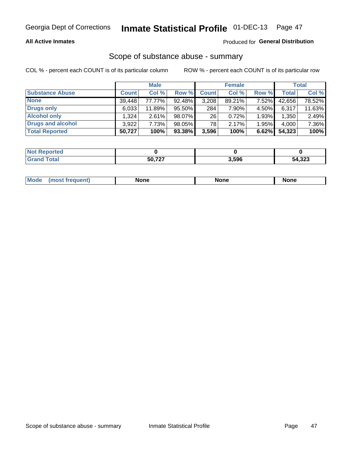#### **All Active Inmates**

### Produced for General Distribution

## Scope of substance abuse - summary

COL % - percent each COUNT is of its particular column

|                        |              | <b>Male</b> |        |              | <b>Female</b> |       |              | <b>Total</b> |
|------------------------|--------------|-------------|--------|--------------|---------------|-------|--------------|--------------|
| <b>Substance Abuse</b> | <b>Count</b> | Col %       | Row %  | <b>Count</b> | Col %         | Row % | <b>Total</b> | Col %        |
| <b>None</b>            | 39,448       | 77.77%      | 92.48% | 3,208        | 89.21%        | 7.52% | 42,656       | 78.52%       |
| <b>Drugs only</b>      | 6,033        | 11.89%      | 95.50% | 284          | 7.90%         | 4.50% | 6,317        | 11.63%       |
| <b>Alcohol only</b>    | .324         | 2.61%       | 98.07% | 26           | 0.72%         | 1.93% | 1,350        | 2.49%        |
| Drugs and alcohol      | 3,922        | 7.73%       | 98.05% | 78           | 2.17%         | 1.95% | 4,000        | 7.36%        |
| <b>Total Reported</b>  | 50,727       | 100%        | 93.38% | 3,596        | 100%          | 6.62% | 54,323       | 100%         |

| <b>Not Reported</b> |        |       |        |
|---------------------|--------|-------|--------|
| <b>Grand Total</b>  | 50.727 | 3,596 | 54,323 |

|  | Mode<br>auenu | None | None | None |
|--|---------------|------|------|------|
|--|---------------|------|------|------|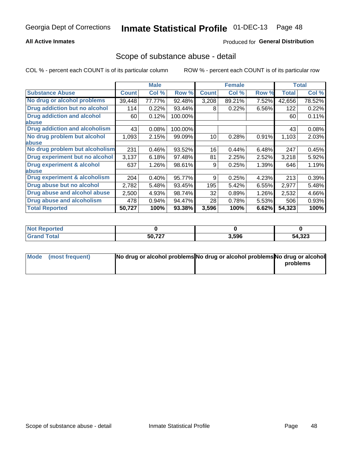#### **All Active Inmates**

### **Produced for General Distribution**

### Scope of substance abuse - detail

COL % - percent each COUNT is of its particular column

|                                      |              | <b>Male</b> |         |              | <b>Female</b> |       |              | <b>Total</b> |
|--------------------------------------|--------------|-------------|---------|--------------|---------------|-------|--------------|--------------|
| <b>Substance Abuse</b>               | <b>Count</b> | Col %       | Row %   | <b>Count</b> | Col %         | Row % | <b>Total</b> | Col %        |
| No drug or alcohol problems          | 39,448       | 77.77%      | 92.48%  | 3,208        | 89.21%        | 7.52% | 42,656       | 78.52%       |
| Drug addiction but no alcohol        | 114          | 0.22%       | 93.44%  | 8            | 0.22%         | 6.56% | 122          | 0.22%        |
| <b>Drug addiction and alcohol</b>    | 60           | 0.12%       | 100.00% |              |               |       | 60           | 0.11%        |
| <b>labuse</b>                        |              |             |         |              |               |       |              |              |
| <b>Drug addiction and alcoholism</b> | 43           | 0.08%       | 100.00% |              |               |       | 43           | 0.08%        |
| No drug problem but alcohol          | 1,093        | 2.15%       | 99.09%  | 10           | 0.28%         | 0.91% | 1,103        | 2.03%        |
| <b>labuse</b>                        |              |             |         |              |               |       |              |              |
| No drug problem but alcoholism       | 231          | 0.46%       | 93.52%  | 16           | 0.44%         | 6.48% | 247          | 0.45%        |
| Drug experiment but no alcohol       | 3,137        | 6.18%       | 97.48%  | 81           | 2.25%         | 2.52% | 3,218        | 5.92%        |
| <b>Drug experiment &amp; alcohol</b> | 637          | 1.26%       | 98.61%  | 9            | 0.25%         | 1.39% | 646          | 1.19%        |
| abuse                                |              |             |         |              |               |       |              |              |
| Drug experiment & alcoholism         | 204          | 0.40%       | 95.77%  | 9            | 0.25%         | 4.23% | 213          | 0.39%        |
| Drug abuse but no alcohol            | 2,782        | 5.48%       | 93.45%  | 195          | 5.42%         | 6.55% | 2,977        | 5.48%        |
| Drug abuse and alcohol abuse         | 2,500        | 4.93%       | 98.74%  | 32           | 0.89%         | 1.26% | 2,532        | 4.66%        |
| <b>Drug abuse and alcoholism</b>     | 478          | 0.94%       | 94.47%  | 28           | 0.78%         | 5.53% | 506          | 0.93%        |
| <b>Total Reported</b>                | 50,727       | 100%        | 93.38%  | 3,596        | 100%          | 6.62% | 54,323       | 100%         |

| orted<br>NOT |        |       |        |
|--------------|--------|-------|--------|
|              | 50,727 | 3,596 | 54,323 |

| Mode (most frequent) | No drug or alcohol problems No drug or alcohol problems No drug or alcohol |          |
|----------------------|----------------------------------------------------------------------------|----------|
|                      |                                                                            | problems |
|                      |                                                                            |          |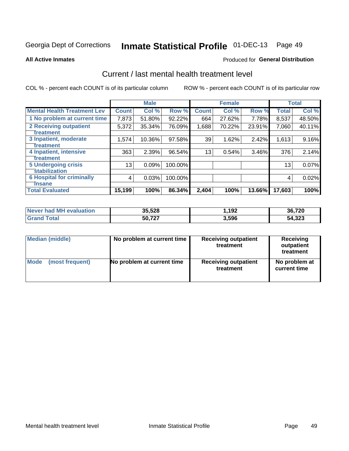## Inmate Statistical Profile 01-DEC-13 Page 49

**All Active Inmates** 

#### **Produced for General Distribution**

## Current / last mental health treatment level

COL % - percent each COUNT is of its particular column

|                                    |              | <b>Male</b> |         |                 | <b>Female</b> |          |              | <b>Total</b> |
|------------------------------------|--------------|-------------|---------|-----------------|---------------|----------|--------------|--------------|
| <b>Mental Health Treatment Lev</b> | <b>Count</b> | Col %       | Row %   | <b>Count</b>    | Col %         | Row %    | <b>Total</b> | Col %        |
| 1 No problem at current time       | 7,873        | 51.80%      | 92.22%  | 664             | 27.62%        | 7.78%    | 8,537        | 48.50%       |
| <b>2 Receiving outpatient</b>      | 5,372        | 35.34%      | 76.09%  | 1,688           | 70.22%        | 23.91%   | 7,060        | 40.11%       |
| <b>Treatment</b>                   |              |             |         |                 |               |          |              |              |
| 3 Inpatient, moderate              | 1,574        | 10.36%      | 97.58%  | 39              | 1.62%         | 2.42%    | 1,613        | 9.16%        |
| <b>Treatment</b>                   |              |             |         |                 |               |          |              |              |
| 4 Inpatient, intensive             | 363          | 2.39%       | 96.54%  | 13 <sub>1</sub> | 0.54%         | $3.46\%$ | 376          | 2.14%        |
| <b>Treatment</b>                   |              |             |         |                 |               |          |              |              |
| 5 Undergoing crisis                | 13           | 0.09%       | 100.00% |                 |               |          | 13           | 0.07%        |
| <b>stabilization</b>               |              |             |         |                 |               |          |              |              |
| <b>6 Hospital for criminally</b>   | 4            | 0.03%       | 100.00% |                 |               |          | 4            | 0.02%        |
| <b>Tinsane</b>                     |              |             |         |                 |               |          |              |              |
| <b>Total Evaluated</b>             | 15,199       | 100%        | 86.34%  | 2,404           | 100%          | 13.66%   | 17,603       | 100%         |

| Never had MH evaluation | 35,528 | 192. ا | 36,720 |
|-------------------------|--------|--------|--------|
| <b>Grand Total</b>      | 50,727 | 3,596  | 54,323 |

| Median (middle) | No problem at current time | <b>Receiving outpatient</b><br>treatment | <b>Receiving</b><br>outpatient<br>treatment |
|-----------------|----------------------------|------------------------------------------|---------------------------------------------|
| <b>Mode</b>     | No problem at current time | <b>Receiving outpatient</b>              | No problem at                               |
| (most frequent) |                            | treatment                                | current time                                |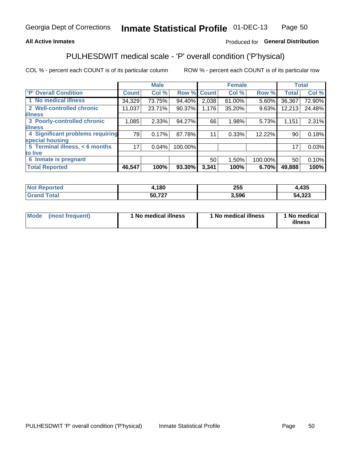#### **All Active Inmates**

### Produced for General Distribution

## PULHESDWIT medical scale - 'P' overall condition ('P'hysical)

COL % - percent each COUNT is of its particular column

|                                  |                 | <b>Male</b> |         |              | <b>Female</b> |         |                 | <b>Total</b> |
|----------------------------------|-----------------|-------------|---------|--------------|---------------|---------|-----------------|--------------|
| 'P' Overall Condition            | <b>Count</b>    | Col %       | Row %   | <b>Count</b> | Col %         | Row %   | <b>Total</b>    | Col %        |
| 1 No medical illness             | 34,329          | 73.75%      | 94.40%  | 2,038        | 61.00%        | 5.60%   | 36,367          | 72.90%       |
| 2 Well-controlled chronic        | 11,037          | 23.71%      | 90.37%  | 1,176        | 35.20%        | 9.63%   | 12,213          | 24.48%       |
| <b>illness</b>                   |                 |             |         |              |               |         |                 |              |
| 3 Poorly-controlled chronic      | 1,085           | $2.33\%$    | 94.27%  | 66           | 1.98%         | 5.73%   | 1,151           | 2.31%        |
| <b>lillness</b>                  |                 |             |         |              |               |         |                 |              |
| 4 Significant problems requiring | 79              | 0.17%       | 87.78%  | 11           | 0.33%         | 12.22%  | 90 <sup>°</sup> | 0.18%        |
| special housing                  |                 |             |         |              |               |         |                 |              |
| 5 Terminal illness, < 6 months   | 17 <sub>1</sub> | 0.04%       | 100.00% |              |               |         | 17              | 0.03%        |
| to live                          |                 |             |         |              |               |         |                 |              |
| 6 Inmate is pregnant             |                 |             |         | 50           | 1.50%         | 100.00% | 50              | 0.10%        |
| <b>Total Reported</b>            | 46,547          | 100%        | 93.30%  | 3,341        | 100%          | 6.70%   | 49,888          | 100%         |

| тео | .180   | つにに<br>ZJJ | 12E<br>4ວະ           |
|-----|--------|------------|----------------------|
|     | この フクフ | .596       | $\sim$<br>54<br>.323 |

| Mode | (most frequent) | 1 No medical illness | 1 No medical illness | 1 No medical<br>illness |
|------|-----------------|----------------------|----------------------|-------------------------|
|------|-----------------|----------------------|----------------------|-------------------------|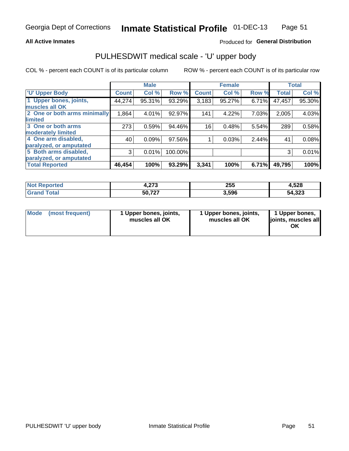#### **All Active Inmates**

### Produced for General Distribution

## PULHESDWIT medical scale - 'U' upper body

COL % - percent each COUNT is of its particular column

|                              |              | <b>Male</b> |         |              | <b>Female</b> |       |              | <b>Total</b> |
|------------------------------|--------------|-------------|---------|--------------|---------------|-------|--------------|--------------|
| <b>U' Upper Body</b>         | <b>Count</b> | Col %       | Row %   | <b>Count</b> | Col %         | Row % | <b>Total</b> | Col %        |
| 1 Upper bones, joints,       | 44,274       | 95.31%      | 93.29%  | 3,183        | 95.27%        | 6.71% | 47,457       | 95.30%       |
| muscles all OK               |              |             |         |              |               |       |              |              |
| 2 One or both arms minimally | 1,864        | 4.01%       | 92.97%  | 141          | 4.22%         | 7.03% | 2,005        | 4.03%        |
| limited                      |              |             |         |              |               |       |              |              |
| 3 One or both arms           | 273          | 0.59%       | 94.46%  | 16           | 0.48%         | 5.54% | 289          | 0.58%        |
| <b>moderately limited</b>    |              |             |         |              |               |       |              |              |
| 4 One arm disabled,          | 40           | 0.09%       | 97.56%  |              | 0.03%         | 2.44% | 41           | 0.08%        |
| paralyzed, or amputated      |              |             |         |              |               |       |              |              |
| 5 Both arms disabled,        | 3            | 0.01%       | 100.00% |              |               |       | 3            | 0.01%        |
| paralyzed, or amputated      |              |             |         |              |               |       |              |              |
| <b>Total Reported</b>        | 46,454       | 100%        | 93.29%  | 3,341        | 100%          | 6.71% | 49,795       | 100%         |

| <b>Not Reported</b> | פית<br>4.ZI J | 255   | 4,528  |
|---------------------|---------------|-------|--------|
| Total<br>Grand      | 50,727        | 3,596 | 54,323 |

| Mode (most frequent) | 1 Upper bones, joints,<br>muscles all OK | 1 Upper bones, joints,<br>muscles all OK | 1 Upper bones,<br>joints, muscles all<br>ΟK |
|----------------------|------------------------------------------|------------------------------------------|---------------------------------------------|
|----------------------|------------------------------------------|------------------------------------------|---------------------------------------------|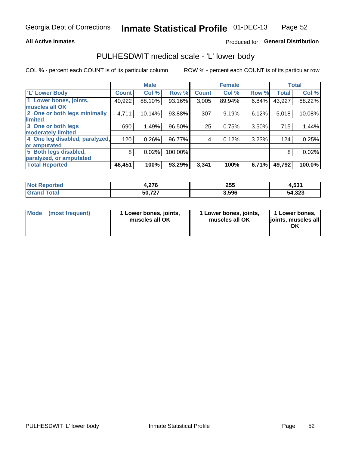#### **All Active Inmates**

### Produced for General Distribution

## PULHESDWIT medical scale - 'L' lower body

COL % - percent each COUNT is of its particular column

|                                |              | <b>Male</b> |         |              | <b>Female</b> |       |              | <b>Total</b> |
|--------------------------------|--------------|-------------|---------|--------------|---------------|-------|--------------|--------------|
| 'L' Lower Body                 | <b>Count</b> | Col %       | Row %   | <b>Count</b> | Col %         | Row % | <b>Total</b> | Col %        |
| 1 Lower bones, joints,         | 40,922       | 88.10%      | 93.16%  | 3,005        | 89.94%        | 6.84% | 43,927       | 88.22%       |
| muscles all OK                 |              |             |         |              |               |       |              |              |
| 2 One or both legs minimally   | 4,711        | 10.14%      | 93.88%  | 307          | 9.19%         | 6.12% | 5,018        | 10.08%       |
| limited                        |              |             |         |              |               |       |              |              |
| 3 One or both legs             | 690          | 1.49%       | 96.50%  | 25           | 0.75%         | 3.50% | 715          | 1.44%        |
| moderately limited             |              |             |         |              |               |       |              |              |
| 4 One leg disabled, paralyzed, | 120          | 0.26%       | 96.77%  | 4            | 0.12%         | 3.23% | 124          | 0.25%        |
| or amputated                   |              |             |         |              |               |       |              |              |
| 5 Both legs disabled,          | 8            | 0.02%       | 100.00% |              |               |       | 8            | 0.02%        |
| paralyzed, or amputated        |              |             |         |              |               |       |              |              |
| <b>Total Reported</b>          | 46,451       | 100%        | 93.29%  | 3,341        | 100%          | 6.71% | 49,792       | 100.0%       |

| <b>Not Reported</b> | 27c<br>4.Z I O | 255   | 4,531  |
|---------------------|----------------|-------|--------|
| Total<br>Grang      | 50,727         | 3,596 | 54,323 |

| Mode | (most frequent) | 1 Lower bones, joints,<br>muscles all OK | I Lower bones, joints,<br>muscles all OK | 1 Lower bones,<br>joints, muscles all<br>ΟK |
|------|-----------------|------------------------------------------|------------------------------------------|---------------------------------------------|
|------|-----------------|------------------------------------------|------------------------------------------|---------------------------------------------|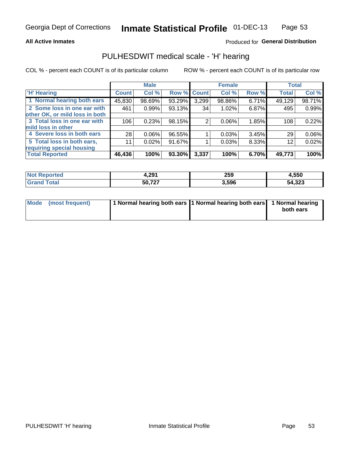#### **All Active Inmates**

### Produced for General Distribution

## PULHESDWIT medical scale - 'H' hearing

COL % - percent each COUNT is of its particular column

|                                |              | <b>Male</b> |                    |       | <b>Female</b> |       | <b>Total</b> |        |
|--------------------------------|--------------|-------------|--------------------|-------|---------------|-------|--------------|--------|
| <b>H' Hearing</b>              | <b>Count</b> | Col %       | <b>Row % Count</b> |       | Col %         | Row % | <b>Total</b> | Col %  |
| 1 Normal hearing both ears     | 45,830       | 98.69%      | 93.29%             | 3,299 | 98.86%        | 6.71% | 49,129       | 98.71% |
| 2 Some loss in one ear with    | 461          | 0.99%       | 93.13%             | 34    | 1.02%         | 6.87% | 495          | 0.99%  |
| other OK, or mild loss in both |              |             |                    |       |               |       |              |        |
| 3 Total loss in one ear with   | 106          | 0.23%       | 98.15%             | 2     | $0.06\%$      | 1.85% | 108          | 0.22%  |
| mild loss in other             |              |             |                    |       |               |       |              |        |
| 4 Severe loss in both ears     | 28           | 0.06%       | 96.55%             |       | 0.03%         | 3.45% | 29           | 0.06%  |
| 5 Total loss in both ears,     | 11           | 0.02%       | 91.67%             |       | 0.03%         | 8.33% | 12           | 0.02%  |
| requiring special housing      |              |             |                    |       |               |       |              |        |
| <b>Total Reported</b>          | 46,436       | 100%        | 93.30%             | 3,337 | 100%          | 6.70% | 49,773       | 100%   |

| ∕ החר<br>. <i>.</i> . | 259   | .,550  |
|-----------------------|-------|--------|
| 50 727<br>JV. I L I   | 3,596 | 54,323 |

| Mode (most frequent) | 1 Normal hearing both ears 1 Normal hearing both ears 1 Normal hearing | both ears |
|----------------------|------------------------------------------------------------------------|-----------|
|                      |                                                                        |           |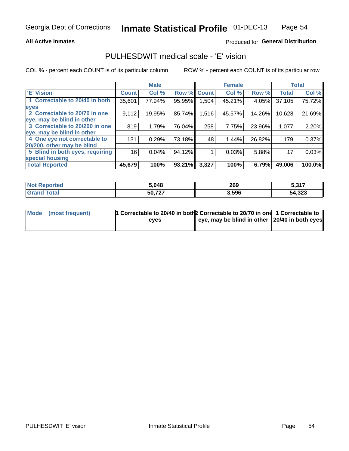#### **All Active Inmates**

### Produced for General Distribution

## PULHESDWIT medical scale - 'E' vision

COL % - percent each COUNT is of its particular column

|                                 |              | <b>Male</b> |        |              | <b>Female</b> |        |              | <b>Total</b> |
|---------------------------------|--------------|-------------|--------|--------------|---------------|--------|--------------|--------------|
| <b>E' Vision</b>                | <b>Count</b> | Col %       | Row %  | <b>Count</b> | Col %         | Row %  | <b>Total</b> | Col %        |
| 1 Correctable to 20/40 in both  | 35,601       | 77.94%      | 95.95% | .504         | 45.21%        | 4.05%  | 37,105       | 75.72%       |
| eyes                            |              |             |        |              |               |        |              |              |
| 2 Correctable to 20/70 in one   | 9,112        | 19.95%      | 85.74% | 1,516        | 45.57%        | 14.26% | 10,628       | 21.69%       |
| eye, may be blind in other      |              |             |        |              |               |        |              |              |
| 3 Correctable to 20/200 in one  | 819          | 1.79%       | 76.04% | 258          | 7.75%         | 23.96% | 1,077        | 2.20%        |
| eye, may be blind in other      |              |             |        |              |               |        |              |              |
| 4 One eye not correctable to    | 131          | 0.29%       | 73.18% | 48           | 1.44%         | 26.82% | 179          | 0.37%        |
| 20/200, other may be blind      |              |             |        |              |               |        |              |              |
| 5 Blind in both eyes, requiring | 16           | 0.04%       | 94.12% |              | 0.03%         | 5.88%  | 17           | 0.03%        |
| special housing                 |              |             |        |              |               |        |              |              |
| <b>Total Reported</b>           | 45,679       | 100%        | 93.21% | 3,327        | 100%          | 6.79%  | 49,006       | 100.0%       |

| <b>Not Reported</b> | 5,048  | 269   | - 947<br><b>J.JI.</b> |
|---------------------|--------|-------|-----------------------|
| <b>Grand Total</b>  | 50,727 | 3,596 | 54,323                |

| Mode (most frequent) | <sup>1</sup> Correctable to 20/40 in both 2 Correctable to 20/70 in one 1 Correctable to |                                               |  |
|----------------------|------------------------------------------------------------------------------------------|-----------------------------------------------|--|
|                      | eves                                                                                     | eye, may be blind in other 20/40 in both eyes |  |
|                      |                                                                                          |                                               |  |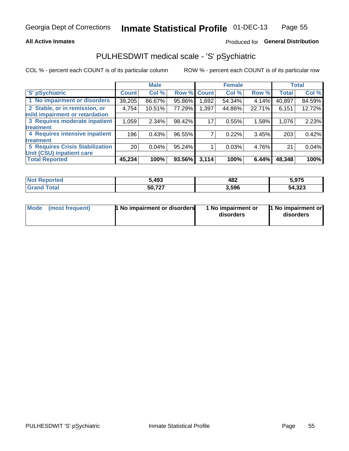#### **All Active Inmates**

### Produced for General Distribution

## PULHESDWIT medical scale - 'S' pSychiatric

COL % - percent each COUNT is of its particular column

|                                        |                 | <b>Male</b> |        |             | <b>Female</b> |        |              | <b>Total</b> |
|----------------------------------------|-----------------|-------------|--------|-------------|---------------|--------|--------------|--------------|
| 'S' pSychiatric                        | <b>Count</b>    | Col %       |        | Row % Count | Col %         | Row %  | <b>Total</b> | Col %        |
| 1 No impairment or disorders           | 39,205          | 86.67%      | 95.86% | .692        | 54.34%        | 4.14%  | 40,897       | 84.59%       |
| 2 Stable, or in remission, or          | 4,754           | 10.51%      | 77.29% | 1,397       | 44.86%        | 22.71% | 6,151        | 12.72%       |
| mild impairment or retardation         |                 |             |        |             |               |        |              |              |
| 3 Requires moderate inpatient          | 1,059           | 2.34%       | 98.42% | 17          | 0.55%         | 1.58%  | 1,076        | 2.23%        |
| treatment                              |                 |             |        |             |               |        |              |              |
| 4 Requires intensive inpatient         | 196             | 0.43%       | 96.55% |             | 0.22%         | 3.45%  | 203          | 0.42%        |
| treatment                              |                 |             |        |             |               |        |              |              |
| <b>5 Requires Crisis Stabilization</b> | 20 <sub>1</sub> | 0.04%       | 95.24% |             | 0.03%         | 4.76%  | 21           | 0.04%        |
| Unit (CSU) inpatient care              |                 |             |        |             |               |        |              |              |
| <b>Total Reported</b>                  | 45,234          | 100%        | 93.56% | 3,114       | 100%          | 6.44%  | 48,348       | 100%         |

| <b>Not Reported</b> | 5,493  | 482   | 5,975  |
|---------------------|--------|-------|--------|
| <b>Total</b>        | 50,727 | 3,596 | 54,323 |

| Mode<br>1 No impairment or disorders<br>(most frequent) | 1 No impairment or<br>disorders | 1 No impairment or<br>disorders |
|---------------------------------------------------------|---------------------------------|---------------------------------|
|---------------------------------------------------------|---------------------------------|---------------------------------|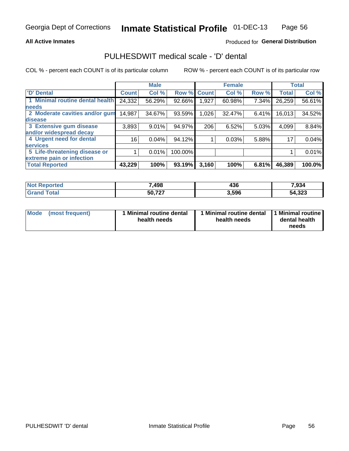#### **All Active Inmates**

### Produced for General Distribution

## PULHESDWIT medical scale - 'D' dental

COL % - percent each COUNT is of its particular column

|                                 |                 | <b>Male</b> |         |              | <b>Female</b> |       |              | <b>Total</b> |
|---------------------------------|-----------------|-------------|---------|--------------|---------------|-------|--------------|--------------|
| 'D' Dental                      | <b>Count</b>    | Col %       | Row %   | <b>Count</b> | Col %         | Row % | <b>Total</b> | Col %        |
| 1 Minimal routine dental health | 24,332          | 56.29%      | 92.66%  | 1,927        | 60.98%        | 7.34% | 26,259       | 56.61%       |
| <b>needs</b>                    |                 |             |         |              |               |       |              |              |
| 2 Moderate cavities and/or gum  | 14,987          | 34.67%      | 93.59%  | 1,026        | 32.47%        | 6.41% | 16,013       | 34.52%       |
| disease                         |                 |             |         |              |               |       |              |              |
| 3 Extensive gum disease         | 3,893           | 9.01%       | 94.97%  | 206          | 6.52%         | 5.03% | 4,099        | 8.84%        |
| and/or widespread decay         |                 |             |         |              |               |       |              |              |
| 4 Urgent need for dental        | 16 <sub>1</sub> | 0.04%       | 94.12%  |              | 0.03%         | 5.88% | 17           | 0.04%        |
| <b>services</b>                 |                 |             |         |              |               |       |              |              |
| 5 Life-threatening disease or   |                 | 0.01%       | 100.00% |              |               |       |              | 0.01%        |
| extreme pain or infection       |                 |             |         |              |               |       |              |              |
| <b>Total Reported</b>           | 43,229          | 100%        | 93.19%  | 3,160        | 100%          | 6.81% | 46,389       | 100.0%       |

| <b>Not Reported</b>     | ,498   | $\overline{ }$<br>436 | 7,934  |
|-------------------------|--------|-----------------------|--------|
| <b>Total</b><br>' Grand | 50,727 | 3,596                 | 54,323 |

| 1 Minimal routine dental<br>Mode<br>(most frequent)<br>health needs | 1 Minimal routine dental 1 Minimal routine<br>health needs | dental health<br>needs |
|---------------------------------------------------------------------|------------------------------------------------------------|------------------------|
|---------------------------------------------------------------------|------------------------------------------------------------|------------------------|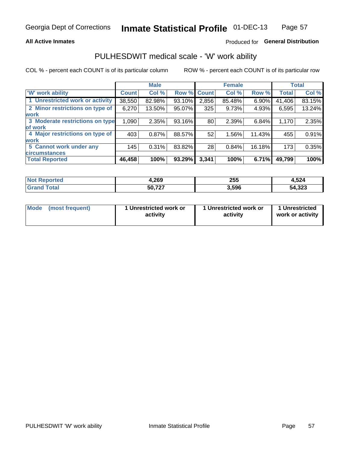#### **All Active Inmates**

### Produced for General Distribution

## PULHESDWIT medical scale - 'W' work ability

COL % - percent each COUNT is of its particular column

|                                 |              | <b>Male</b> |        |              | <b>Female</b> |        |              | <b>Total</b> |
|---------------------------------|--------------|-------------|--------|--------------|---------------|--------|--------------|--------------|
| <b>W' work ability</b>          | <b>Count</b> | Col %       | Row %  | <b>Count</b> | Col %         | Row %  | <b>Total</b> | Col %        |
| 1 Unrestricted work or activity | 38,550       | 82.98%      | 93.10% | 2,856        | 85.48%        | 6.90%  | 41,406       | 83.15%       |
| 2 Minor restrictions on type of | 6,270        | 13.50%      | 95.07% | 325          | 9.73%         | 4.93%  | 6,595        | 13.24%       |
| <b>work</b>                     |              |             |        |              |               |        |              |              |
| 3 Moderate restrictions on type | 1,090        | 2.35%       | 93.16% | 80           | 2.39%         | 6.84%  | 1,170        | 2.35%        |
| lof work                        |              |             |        |              |               |        |              |              |
| 4 Major restrictions on type of | 403          | 0.87%       | 88.57% | 52           | 1.56%         | 11.43% | 455          | 0.91%        |
| <b>work</b>                     |              |             |        |              |               |        |              |              |
| 5 Cannot work under any         | 145          | 0.31%       | 83.82% | 28           | 0.84%         | 16.18% | 173          | 0.35%        |
| <b>circumstances</b>            |              |             |        |              |               |        |              |              |
| <b>Total Reported</b>           | 46,458       | 100%        | 93.29% | 3,341        | 100%          | 6.71%  | 49,799       | 100%         |

| <b>Not Reported</b> | 4,269  | 255   | 4,524  |
|---------------------|--------|-------|--------|
| Total<br>na         | 50,727 | 3,596 | 54,323 |

| Mode            | 1 Unrestricted work or | 1 Unrestricted work or | 1 Unrestricted   |
|-----------------|------------------------|------------------------|------------------|
| (most frequent) | activity               | activity               | work or activity |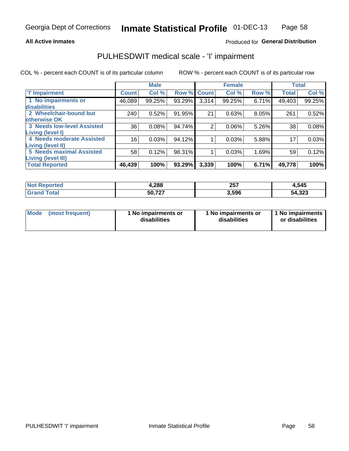#### **All Active Inmates**

### Produced for General Distribution

## PULHESDWIT medical scale - 'I' impairment

COL % - percent each COUNT is of its particular column

|                                   |                 | <b>Male</b> |        |                | <b>Female</b> |       |              | <b>Total</b> |
|-----------------------------------|-----------------|-------------|--------|----------------|---------------|-------|--------------|--------------|
| <b>T' Impairment</b>              | <b>Count</b>    | Col %       |        | Row % Count    | Col %         | Row % | <b>Total</b> | Col %        |
| 1 No impairments or               | 46,089          | 99.25%      | 93.29% | 3,314          | 99.25%        | 6.71% | 49,403       | 99.25%       |
| disabilities                      |                 |             |        |                |               |       |              |              |
| 2 Wheelchair-bound but            | 240             | 0.52%       | 91.95% | 21             | 0.63%         | 8.05% | 261          | 0.52%        |
| otherwise OK                      |                 |             |        |                |               |       |              |              |
| <b>3 Needs low-level Assisted</b> | 36              | 0.08%       | 94.74% | $\overline{2}$ | 0.06%         | 5.26% | 38           | 0.08%        |
| Living (level I)                  |                 |             |        |                |               |       |              |              |
| 4 Needs moderate Assisted         | 16 <sup>1</sup> | 0.03%       | 94.12% |                | 0.03%         | 5.88% | 17           | 0.03%        |
| Living (level II)                 |                 |             |        |                |               |       |              |              |
| <b>5 Needs maximal Assisted</b>   | 58              | 0.12%       | 98.31% | 1              | 0.03%         | 1.69% | 59           | 0.12%        |
| <b>Living (level III)</b>         |                 |             |        |                |               |       |              |              |
| <b>Total Reported</b>             | 46,439          | 100%        | 93.29% | 3,339          | 100%          | 6.71% | 49,778       | 100%         |

| Reported<br>NOI | 1,288  | 257<br>$-$ | 4,545  |
|-----------------|--------|------------|--------|
| ™otal           | 50,727 | 3,596      | 54,323 |

| Mode | (most frequent) | 1 No impairments or<br>disabilities | 1 No impairments or<br>disabilities | 1 No impairments<br>or disabilities |
|------|-----------------|-------------------------------------|-------------------------------------|-------------------------------------|
|------|-----------------|-------------------------------------|-------------------------------------|-------------------------------------|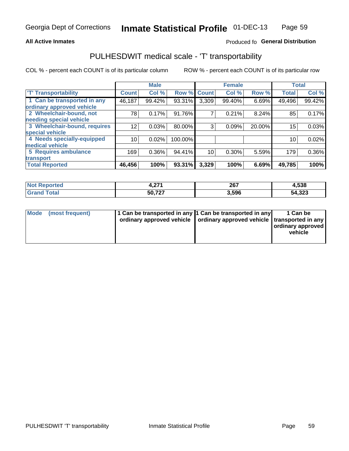#### **All Active Inmates**

### Produced fo General Distribution

## PULHESDWIT medical scale - 'T' transportability

COL % - percent each COUNT is of its particular column

|                              |                 | <b>Male</b> |         |              | <b>Female</b> |        |              | <b>Total</b> |
|------------------------------|-----------------|-------------|---------|--------------|---------------|--------|--------------|--------------|
| <b>T' Transportability</b>   | <b>Count</b>    | Col %       | Row %   | <b>Count</b> | Col %         | Row %  | <b>Total</b> | Col %        |
| 1 Can be transported in any  | 46,187          | 99.42%      | 93.31%  | 3,309        | 99.40%        | 6.69%  | 49,496       | 99.42%       |
| ordinary approved vehicle    |                 |             |         |              |               |        |              |              |
| 2 Wheelchair-bound, not      | 78              | 0.17%       | 91.76%  | 7            | 0.21%         | 8.24%  | 85           | 0.17%        |
| needing special vehicle      |                 |             |         |              |               |        |              |              |
| 3 Wheelchair-bound, requires | 12              | 0.03%       | 80.00%  | 3            | 0.09%         | 20.00% | 15           | 0.03%        |
| special vehicle              |                 |             |         |              |               |        |              |              |
| 4 Needs specially-equipped   | 10 <sub>1</sub> | 0.02%       | 100.00% |              |               |        | 10           | 0.02%        |
| medical vehicle              |                 |             |         |              |               |        |              |              |
| 5 Requires ambulance         | 169             | 0.36%       | 94.41%  | 10           | 0.30%         | 5.59%  | 179          | 0.36%        |
| transport                    |                 |             |         |              |               |        |              |              |
| <b>Total Reported</b>        | 46,456          | 100%        | 93.31%  | 3,329        | 100%          | 6.69%  | 49,785       | 100%         |

| Reported | 274    | 267           | 4,538  |
|----------|--------|---------------|--------|
| NOI      |        | $\sim$ $\sim$ |        |
| Total    | 50,727 | 3.596         | 54,323 |

|  | Mode (most frequent) | 1 Can be transported in any 1 Can be transported in any<br>ordinary approved vehicle   ordinary approved vehicle   transported in any |  | 1 Can be<br>  ordinary approved  <br>vehicle |
|--|----------------------|---------------------------------------------------------------------------------------------------------------------------------------|--|----------------------------------------------|
|--|----------------------|---------------------------------------------------------------------------------------------------------------------------------------|--|----------------------------------------------|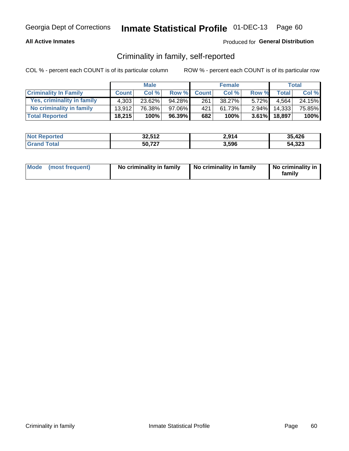#### **All Active Inmates**

### Produced for General Distribution

### Criminality in family, self-reported

COL % - percent each COUNT is of its particular column

|                              |              | <b>Male</b> |        |              | <b>Female</b> |          |              | Total  |
|------------------------------|--------------|-------------|--------|--------------|---------------|----------|--------------|--------|
| <b>Criminality In Family</b> | <b>Count</b> | Col%        | Row %  | <b>Count</b> | Col %         | Row %    | <b>Total</b> | Col %  |
| Yes, criminality in family   | 4.303        | 23.62%      | 94.28% | 261          | 38.27%        | $5.72\%$ | 4.564        | 24.15% |
| No criminality in family     | 13.912       | 76.38%      | 97.06% | 421          | 61.73%        | $2.94\%$ | 14,333       | 75.85% |
| <b>Total Reported</b>        | 18,215       | 100%        | 96.39% | 682          | 100%          |          | 3.61% 18,897 | 100%   |

| <b>Not Reported</b> | 32,512 | 2,914 | 35,426 |
|---------------------|--------|-------|--------|
| iotal               | 50,727 | 3,596 | 54,323 |

|  | Mode (most frequent) | No criminality in family | No criminality in family | No criminality in<br>family |
|--|----------------------|--------------------------|--------------------------|-----------------------------|
|--|----------------------|--------------------------|--------------------------|-----------------------------|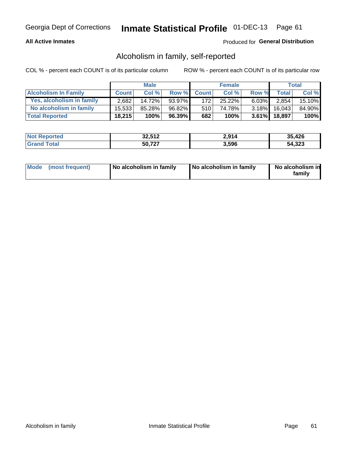#### **All Active Inmates**

### Produced for General Distribution

### Alcoholism in family, self-reported

COL % - percent each COUNT is of its particular column

|                             |              | <b>Male</b> |        |              | <b>Female</b> |          |                 | Total   |
|-----------------------------|--------------|-------------|--------|--------------|---------------|----------|-----------------|---------|
| <b>Alcoholism In Family</b> | <b>Count</b> | Col %       | Row %  | <b>Count</b> | Col %         | Row %    | <b>Total</b>    | Col %   |
| Yes, alcoholism in family   | 2,682        | 14.72%      | 93.97% | 172          | 25.22%        | $6.03\%$ | 2,854           | 15.10%  |
| No alcoholism in family     | 15.533       | 85.28%      | 96.82% | 510          | 74.78%        |          | $3.18\%$ 16,043 | 84.90%  |
| <b>Total Reported</b>       | 18,215       | 100%        | 96.39% | 682          | 100%          |          | 3.61% 18,897    | $100\%$ |

| <b>Not Reported</b> | 32,512 | 2,914 | 35,426 |
|---------------------|--------|-------|--------|
| l Grand<br>⊺otal    | 50,727 | 3,596 | 54,323 |

|  | Mode (most frequent) | No alcoholism in family | No alcoholism in family | No alcoholism in<br>family |
|--|----------------------|-------------------------|-------------------------|----------------------------|
|--|----------------------|-------------------------|-------------------------|----------------------------|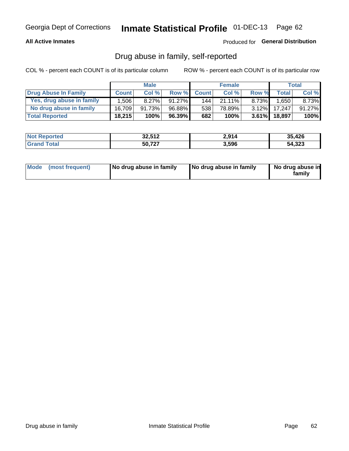#### **All Active Inmates**

### Produced for General Distribution

### Drug abuse in family, self-reported

COL % - percent each COUNT is of its particular column

|                           |              | <b>Male</b> |           |              | <b>Female</b> |          |              | Total   |
|---------------------------|--------------|-------------|-----------|--------------|---------------|----------|--------------|---------|
| Drug Abuse In Family      | <b>Count</b> | Col%        | Row %     | <b>Count</b> | Col%          | Row %    | <b>Total</b> | Col %   |
| Yes, drug abuse in family | 1,506        | $8.27\%$    | $91.27\%$ | 1441         | 21.11%        | 8.73%    | .650         | 8.73%   |
| No drug abuse in family   | 16.709       | 91.73%      | 96.88%    | 538          | 78.89%        | $3.12\%$ | 17.247       | 91.27%  |
| <b>Total Reported</b>     | 18,215       | 100%        | 96.39%    | 682          | 100%          |          | 3.61% 18,897 | $100\%$ |

| <b>Not Reported</b> | 32,512 | 2,914 | 35,426 |
|---------------------|--------|-------|--------|
| <b>Srand Total</b>  | 50,727 | 3,596 | 54,323 |

|  | Mode (most frequent) | No drug abuse in family | No drug abuse in family | No drug abuse in<br>familv |
|--|----------------------|-------------------------|-------------------------|----------------------------|
|--|----------------------|-------------------------|-------------------------|----------------------------|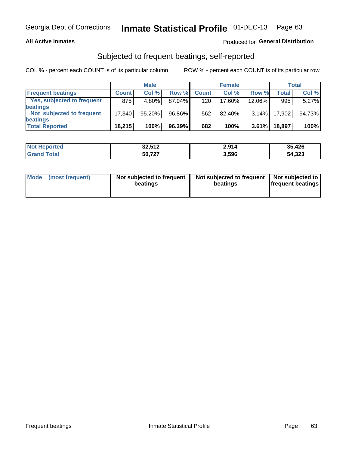#### **All Active Inmates**

### **Produced for General Distribution**

## Subjected to frequent beatings, self-reported

COL % - percent each COUNT is of its particular column

|                            |              | <b>Male</b> |        |              | <b>Female</b> |          |              | Total  |
|----------------------------|--------------|-------------|--------|--------------|---------------|----------|--------------|--------|
| <b>Frequent beatings</b>   | <b>Count</b> | Col %       | Row %  | <b>Count</b> | Col %         | Row %    | <b>Total</b> | Col %  |
| Yes, subjected to frequent | 875          | 4.80%       | 87.94% | 120          | 17.60%        | 12.06%   | 995          | 5.27%  |
| beatings                   |              |             |        |              |               |          |              |        |
| Not subjected to frequent  | 17.340       | 95.20%      | 96.86% | 562          | 82.40%        | $3.14\%$ | 17,902       | 94.73% |
| beatings                   |              |             |        |              |               |          |              |        |
| <b>Total Reported</b>      | 18,215       | 100%        | 96.39% | 682          | 100%          | $3.61\%$ | 18,897       | 100%   |

| <b>Not Reported</b> | 32,512 | 2,914 | 35,426 |
|---------------------|--------|-------|--------|
| <b>'Grand Total</b> | 50,727 | 3,596 | 54,323 |

| Mode (most frequent) | Not subjected to frequent<br>beatings | Not subjected to frequent<br>beatings | Not subjected to<br><b>frequent beatings</b> |
|----------------------|---------------------------------------|---------------------------------------|----------------------------------------------|
|                      |                                       |                                       |                                              |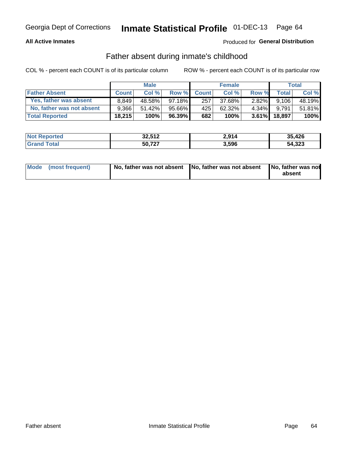#### **All Active Inmates**

### Produced for General Distribution

### Father absent during inmate's childhood

COL % - percent each COUNT is of its particular column

|                           |              | <b>Male</b> |           |              | <b>Female</b> |          |        | <b>Total</b> |
|---------------------------|--------------|-------------|-----------|--------------|---------------|----------|--------|--------------|
| <b>Father Absent</b>      | <b>Count</b> | Col%        | Row %     | <b>Count</b> | Col %         | Row %    | Total  | Col %        |
| Yes, father was absent    | 8.849        | 48.58%      | $97.18\%$ | 257          | 37.68%        | $2.82\%$ | 9,106  | 48.19%       |
| No, father was not absent | 9.366        | 51.42%      | 95.66%    | 425'         | 62.32%        | $4.34\%$ | 9.791  | 51.81%       |
| <b>Total Reported</b>     | 18,215       | 100%        | $96.39\%$ | 682          | 100%          | $3.61\%$ | 18,897 | 100%         |

| <b>Not Reported</b> | 32,512 | 2,914 | 35,426 |
|---------------------|--------|-------|--------|
| <b>Srand Total</b>  | 50,727 | 3,596 | 54,323 |

|  | Mode (most frequent) | No, father was not absent No, father was not absent |  | No, father was not<br>absent |
|--|----------------------|-----------------------------------------------------|--|------------------------------|
|--|----------------------|-----------------------------------------------------|--|------------------------------|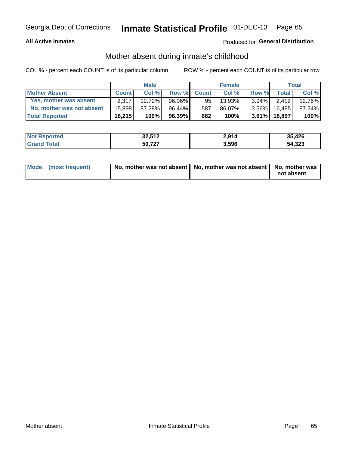#### **All Active Inmates**

### Produced for General Distribution

### Mother absent during inmate's childhood

COL % - percent each COUNT is of its particular column

|                           |              | <b>Male</b> |           |              | <b>Female</b> |          |              | <b>Total</b> |
|---------------------------|--------------|-------------|-----------|--------------|---------------|----------|--------------|--------------|
| <b>Mother Absent</b>      | <b>Count</b> | Col%        | Row %     | <b>Count</b> | Col %         | Row %    | <b>Total</b> | Col %        |
| Yes, mother was absent    | 2.317        | 12.72%      | 96.06%    | 95           | $13.93\%$     | $3.94\%$ | 2,412        | 12.76%       |
| No, mother was not absent | 15.898       | 87.28%      | 96.44%    | 587          | 86.07%        | $3.56\%$ | 16.485       | 87.24%       |
| <b>Total Reported</b>     | 18,215       | 100%        | $96.39\%$ | 682          | 100%          | $3.61\%$ | 18.897       | 100%         |

| <b>Not Reported</b> | 32,512 | 2,914 | 35,426 |
|---------------------|--------|-------|--------|
| iotal               | 50,727 | 3,596 | 54,323 |

| Mode (most frequent) | No, mother was not absent   No, mother was not absent   No, mother was | not absent |
|----------------------|------------------------------------------------------------------------|------------|
|                      |                                                                        |            |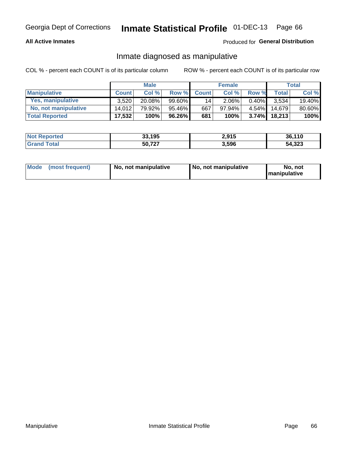#### **All Active Inmates**

### Produced for General Distribution

### Inmate diagnosed as manipulative

COL % - percent each COUNT is of its particular column

|                       | <b>Male</b>  |        |           | <b>Female</b> |          |          | Total        |        |
|-----------------------|--------------|--------|-----------|---------------|----------|----------|--------------|--------|
| <b>Manipulative</b>   | <b>Count</b> | Col %  | Row %     | <b>Count</b>  | Col%     | Row %    | <b>Total</b> | Col %  |
| Yes, manipulative     | 3.520        | 20.08% | 99.60%    | 14            | $2.06\%$ | 0.40%    | 3.534        | 19.40% |
| No, not manipulative  | 14.012       | 79.92% | $95.46\%$ | 667           | 97.94%   | $4.54\%$ | 14.679       | 80.60% |
| <b>Total Reported</b> | 17,532       | 100%   | 96.26%    | 681           | 100%     | $3.74\%$ | 18.213       | 100%   |

| <b>Not Reported</b>   | 33,195<br>າາ | 2,915 | 36,110 |
|-----------------------|--------------|-------|--------|
| <b>Grand</b><br>⊺otal | 50,727       | 3,596 | 54,323 |

| Mode | (most frequent) | No, not manipulative | No, not manipulative | No. not<br><b>I</b> manipulative |
|------|-----------------|----------------------|----------------------|----------------------------------|
|------|-----------------|----------------------|----------------------|----------------------------------|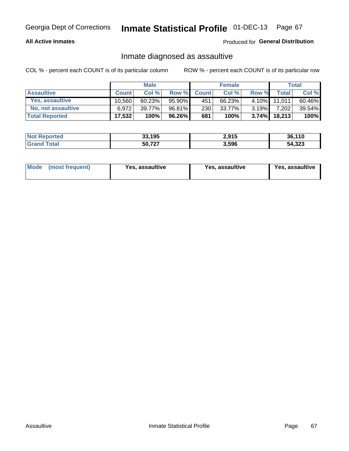#### **All Active Inmates**

#### Produced for General Distribution

### Inmate diagnosed as assaultive

COL % - percent each COUNT is of its particular column

|                       |              | <b>Male</b> |        |              | <b>Female</b> |          |              | Total  |
|-----------------------|--------------|-------------|--------|--------------|---------------|----------|--------------|--------|
| <b>Assaultive</b>     | <b>Count</b> | Col%        | Row %  | <b>Count</b> | Col %         | Row %    | <b>Total</b> | Col %  |
| Yes, assaultive       | 10.560       | 60.23%      | 95.90% | 451          | 66.23%        | $4.10\%$ | 11.0111      | 60.46% |
| No, not assaultive    | 6.972        | $39.77\%$   | 96.81% | 230          | 33.77%        | $3.19\%$ | 7,202        | 39.54% |
| <b>Total Reported</b> | 17,532       | 100%        | 96.26% | 681          | 100%          | $3.74\%$ | 18,213       | 100%   |

| <b>Not Reported</b> | 33,195 | 2,915 | 36.110 |
|---------------------|--------|-------|--------|
| Tota                | 50,727 | 3,596 | 54,323 |

| Mode<br>(most frequent) | Yes, assaultive | Yes, assaultive | <b>Yes, assaultive</b> |
|-------------------------|-----------------|-----------------|------------------------|
|-------------------------|-----------------|-----------------|------------------------|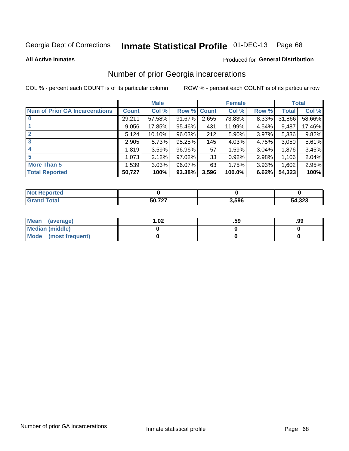# Inmate Statistical Profile 01-DEC-13 Page 68

#### **All Active Inmates**

#### Produced for General Distribution

## Number of prior Georgia incarcerations

COL % - percent each COUNT is of its particular column

|                                       |        | <b>Male</b> |             |       | <b>Female</b> |       |        | <b>Total</b> |
|---------------------------------------|--------|-------------|-------------|-------|---------------|-------|--------|--------------|
| <b>Num of Prior GA Incarcerations</b> | Count  | Col %       | Row % Count |       | Col %         | Row % | Total  | Col %        |
|                                       | 29,211 | 57.58%      | 91.67%      | 2,655 | 73.83%        | 8.33% | 31,866 | 58.66%       |
|                                       | 9,056  | 17.85%      | 95.46%      | 431   | 11.99%        | 4.54% | 9,487  | 17.46%       |
| $\overline{2}$                        | 5,124  | 10.10%      | 96.03%      | 212   | 5.90%         | 3.97% | 5,336  | 9.82%        |
| 3                                     | 2,905  | 5.73%       | $95.25\%$   | 145   | 4.03%         | 4.75% | 3,050  | 5.61%        |
| $\boldsymbol{4}$                      | 1,819  | 3.59%       | 96.96%      | 57    | 1.59%         | 3.04% | 1,876  | 3.45%        |
| 5                                     | 1,073  | 2.12%       | 97.02%      | 33    | 0.92%         | 2.98% | 1,106  | 2.04%        |
| <b>More Than 5</b>                    | 1,539  | 3.03%       | 96.07%      | 63    | 1.75%         | 3.93% | 1,602  | 2.95%        |
| <b>Total Reported</b>                 | 50,727 | 100%        | 93.38%      | 3,596 | 100.0%        | 6.62% | 54,323 | 100%         |

| orted<br>NA |                 |       |        |
|-------------|-----------------|-------|--------|
|             | $E0$ 707<br>71. | 3,596 | 54,323 |

| Mean (average)       | $\overline{.02}$ | .59 | .99 |
|----------------------|------------------|-----|-----|
| Median (middle)      |                  |     |     |
| Mode (most frequent) |                  |     |     |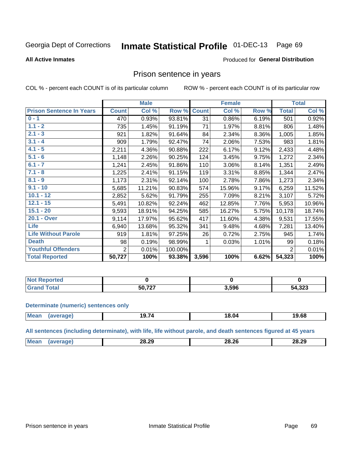#### Inmate Statistical Profile 01-DEC-13 Page 69

#### **All Active Inmates**

#### Produced for General Distribution

### Prison sentence in years

COL % - percent each COUNT is of its particular column

ROW % - percent each COUNT is of its particular row

|                                 | <b>Male</b>  |        |         | <b>Female</b> |        |       | <b>Total</b>   |        |
|---------------------------------|--------------|--------|---------|---------------|--------|-------|----------------|--------|
| <b>Prison Sentence In Years</b> | <b>Count</b> | Col %  | Row %   | <b>Count</b>  | Col %  | Row % | <b>Total</b>   | Col %  |
| $0 - 1$                         | 470          | 0.93%  | 93.81%  | 31            | 0.86%  | 6.19% | 501            | 0.92%  |
| $1.1 - 2$                       | 735          | 1.45%  | 91.19%  | 71            | 1.97%  | 8.81% | 806            | 1.48%  |
| $2.1 - 3$                       | 921          | 1.82%  | 91.64%  | 84            | 2.34%  | 8.36% | 1,005          | 1.85%  |
| $3.1 - 4$                       | 909          | 1.79%  | 92.47%  | 74            | 2.06%  | 7.53% | 983            | 1.81%  |
| $4.1 - 5$                       | 2,211        | 4.36%  | 90.88%  | 222           | 6.17%  | 9.12% | 2,433          | 4.48%  |
| $5.1 - 6$                       | 1,148        | 2.26%  | 90.25%  | 124           | 3.45%  | 9.75% | 1,272          | 2.34%  |
| $6.1 - 7$                       | 1,241        | 2.45%  | 91.86%  | 110           | 3.06%  | 8.14% | 1,351          | 2.49%  |
| $7.1 - 8$                       | 1,225        | 2.41%  | 91.15%  | 119           | 3.31%  | 8.85% | 1,344          | 2.47%  |
| $8.1 - 9$                       | 1,173        | 2.31%  | 92.14%  | 100           | 2.78%  | 7.86% | 1,273          | 2.34%  |
| $9.1 - 10$                      | 5,685        | 11.21% | 90.83%  | 574           | 15.96% | 9.17% | 6,259          | 11.52% |
| $10.1 - 12$                     | 2,852        | 5.62%  | 91.79%  | 255           | 7.09%  | 8.21% | 3,107          | 5.72%  |
| $12.1 - 15$                     | 5,491        | 10.82% | 92.24%  | 462           | 12.85% | 7.76% | 5,953          | 10.96% |
| $15.1 - 20$                     | 9,593        | 18.91% | 94.25%  | 585           | 16.27% | 5.75% | 10,178         | 18.74% |
| 20.1 - Over                     | 9,114        | 17.97% | 95.62%  | 417           | 11.60% | 4.38% | 9,531          | 17.55% |
| <b>Life</b>                     | 6,940        | 13.68% | 95.32%  | 341           | 9.48%  | 4.68% | 7,281          | 13.40% |
| <b>Life Without Parole</b>      | 919          | 1.81%  | 97.25%  | 26            | 0.72%  | 2.75% | 945            | 1.74%  |
| <b>Death</b>                    | 98           | 0.19%  | 98.99%  |               | 0.03%  | 1.01% | 99             | 0.18%  |
| <b>Youthful Offenders</b>       | 2            | 0.01%  | 100.00% |               |        |       | $\overline{2}$ | 0.01%  |
| <b>Total Reported</b>           | 50,727       | 100%   | 93.38%  | 3,596         | 100%   | 6.62% | 54,323         | 100%   |

| ported<br>I NOT |               |       |               |
|-----------------|---------------|-------|---------------|
|                 | 50.727<br>- - | 3,596 | 4,323<br>- מר |

#### **Determinate (numeric) sentences only**

| <b>Mean</b> | ם הו | .<br>70<br>19.7 | 18.04 | 19.68 |
|-------------|------|-----------------|-------|-------|
|             |      |                 |       |       |

All sentences (including determinate), with life, life without parole, and death sentences figured at 45 years

| חה חה               |           |         |             |       |
|---------------------|-----------|---------|-------------|-------|
| ____<br>___<br>____ | $M\Omega$ | ↗Ч<br>- | .ძ.26<br>28 | 28.29 |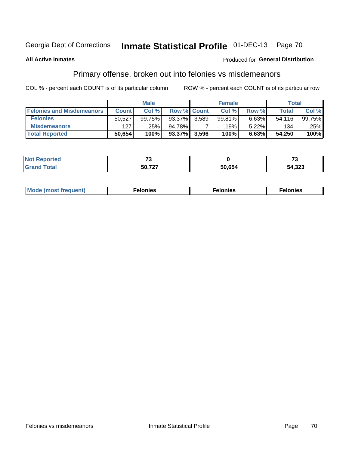#### Inmate Statistical Profile 01-DEC-13 Page 70

#### **All Active Inmates**

#### **Produced for General Distribution**

## Primary offense, broken out into felonies vs misdemeanors

COL % - percent each COUNT is of its particular column

|                                  | <b>Male</b>  |        |           | <b>Female</b>      |                   |       | Total  |        |
|----------------------------------|--------------|--------|-----------|--------------------|-------------------|-------|--------|--------|
| <b>Felonies and Misdemeanors</b> | <b>Count</b> | Col%   |           | <b>Row % Count</b> | Col%              | Row % | Total, | Col %  |
| <b>Felonies</b>                  | 50,527       | 99.75% | $93.37\%$ | 3.589              | 99.81%            | 6.63% | 54.116 | 99.75% |
| <b>Misdemeanors</b>              | 127          | .25%   | 94.78%    |                    | .19% <sup> </sup> | 5.22% | 134    | .25%   |
| <b>Total Reported</b>            | 50,654       | 100%   | $93.37\%$ | 3,596              | 100%              | 6.63% | 54.250 | 100%   |

| <b>Not Reported</b> | $\sim$ |        | --     |  |
|---------------------|--------|--------|--------|--|
| Grano<br>™otal      | 50 727 | 50,654 | 54,323 |  |

| M      | .    | nes | onies |
|--------|------|-----|-------|
| nuenti | ____ | .   | .     |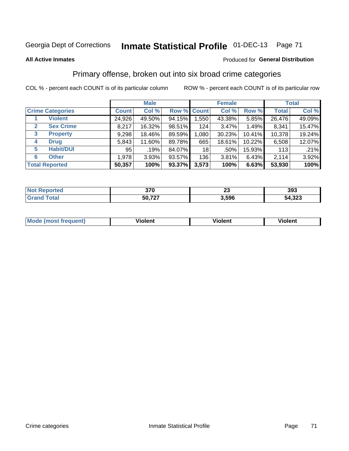## Georgia Dept of Corrections **Inmate Statistical Profile** 01-DEC-13 Page 71

#### **All Active Inmates**

#### Produced for **General Distribution**

## Primary offense, broken out into six broad crime categories

COL % - percent each COUNT is of its particular column ROW % - percent each COUNT is of its particular row

|                                 | <b>Male</b>  |        |        | <b>Female</b> |          |        | <b>Total</b> |        |
|---------------------------------|--------------|--------|--------|---------------|----------|--------|--------------|--------|
| <b>Crime Categories</b>         | <b>Count</b> | Col %  |        | Row % Count   | Col %    | Row %  | <b>Total</b> | Col %  |
| <b>Violent</b>                  | 24,926       | 49.50% | 94.15% | 1,550         | 43.38%   | 5.85%  | 26,476       | 49.09% |
| <b>Sex Crime</b><br>2           | 8,217        | 16.32% | 98.51% | 124           | $3.47\%$ | 1.49%  | 8,341        | 15.47% |
| $\mathbf{3}$<br><b>Property</b> | 9,298        | 18.46% | 89.59% | 1,080         | 30.23%   | 10.41% | 10,378       | 19.24% |
| <b>Drug</b><br>4                | 5,843        | 11.60% | 89.78% | 665           | 18.61%   | 10.22% | 6,508        | 12.07% |
| <b>Habit/DUI</b><br>5           | 95           | .19%   | 84.07% | 18            | .50%     | 15.93% | 113          | .21%   |
| <b>Other</b><br>6               | 1,978        | 3.93%  | 93.57% | 136           | 3.81%    | 6.43%  | 2,114        | 3.92%  |
| <b>Total Reported</b>           | 50,357       | 100%   | 93.37% | 3,573         | 100%     | 6.63%  | 53,930       | 100%   |

| rtea | 270    | n.    | 393           |
|------|--------|-------|---------------|
| NO   | u v    | Zv    |               |
|      | 50,727 | 3,596 | າາາ<br>54.323 |

| Mo<br>uent)<br>nos | .<br>/iolent | <br>Violent | - --<br><b>Tiolent</b> |
|--------------------|--------------|-------------|------------------------|
|                    |              |             |                        |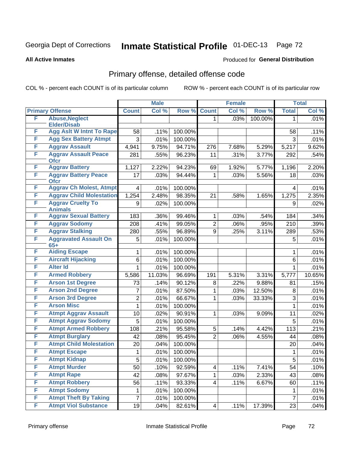## Georgia Dept of Corrections **Inmate Statistical Profile** 01-DEC-13 Page 72

#### **All Active Inmates**

#### Produced for **General Distribution**

## Primary offense, detailed offense code

COL % - percent each COUNT is of its particular column ROW % - percent each COUNT is of its particular row

|   |                                                | <b>Male</b>    |        |         | <b>Female</b>       | <b>Total</b> |         |                |        |
|---|------------------------------------------------|----------------|--------|---------|---------------------|--------------|---------|----------------|--------|
|   | <b>Primary Offense</b>                         | <b>Count</b>   | Col %  | Row %   | <b>Count</b>        | Col %        | Row %   | <b>Total</b>   | Col %  |
| F | <b>Abuse, Neglect</b>                          |                |        |         | 1.                  | .03%         | 100.00% | 1              | .01%   |
|   | <b>Elder/Disab</b>                             |                |        |         |                     |              |         |                |        |
| F | <b>Agg Aslt W Intnt To Rape</b>                | 58             | .11%   | 100.00% |                     |              |         | 58             | .11%   |
| F | <b>Agg Sex Battery Atmpt</b>                   | 3              | .01%   | 100.00% |                     |              |         | 3              | .01%   |
| F | <b>Aggrav Assault</b>                          | 4,941          | 9.75%  | 94.71%  | 276                 | 7.68%        | 5.29%   | 5,217          | 9.62%  |
| F | <b>Aggrav Assault Peace</b><br><b>Ofcr</b>     | 281            | .55%   | 96.23%  | 11                  | .31%         | 3.77%   | 292            | .54%   |
| F | <b>Aggrav Battery</b>                          | 1,127          | 2.22%  | 94.23%  | 69                  | 1.92%        | 5.77%   | 1,196          | 2.20%  |
| F | <b>Aggrav Battery Peace</b><br><b>Ofcr</b>     | 17             | .03%   | 94.44%  | 1                   | .03%         | 5.56%   | 18             | .03%   |
| F | <b>Aggrav Ch Molest, Atmpt</b>                 | 4              | .01%   | 100.00% |                     |              |         | 4              | .01%   |
| F | <b>Aggrav Child Molestation</b>                | 1,254          | 2.48%  | 98.35%  | 21                  | .58%         | 1.65%   | 1,275          | 2.35%  |
| F | <b>Aggrav Cruelty To</b>                       | 9              | .02%   | 100.00% |                     |              |         | 9              | .02%   |
| F | <b>Animals</b><br><b>Aggrav Sexual Battery</b> |                |        |         |                     |              |         |                |        |
| F | <b>Aggrav Sodomy</b>                           | 183            | .36%   | 99.46%  | 1                   | .03%         | .54%    | 184            | .34%   |
| F | <b>Aggrav Stalking</b>                         | 208            | .41%   | 99.05%  | $\overline{2}$<br>9 | .06%         | .95%    | 210            | .39%   |
| F | <b>Aggravated Assault On</b>                   | 280            | .55%   | 96.89%  |                     | .25%         | 3.11%   | 289            | .53%   |
|   | $65+$                                          | 5              | .01%   | 100.00% |                     |              |         | 5              | .01%   |
| F | <b>Aiding Escape</b>                           | 1              | .01%   | 100.00% |                     |              |         | 1              | .01%   |
| F | <b>Aircraft Hijacking</b>                      | 6              | .01%   | 100.00% |                     |              |         | 6              | .01%   |
| F | <b>Alter Id</b>                                | 1              | .01%   | 100.00% |                     |              |         | 1              | .01%   |
| F | <b>Armed Robbery</b>                           | 5,586          | 11.03% | 96.69%  | 191                 | 5.31%        | 3.31%   | 5,777          | 10.65% |
| F | <b>Arson 1st Degree</b>                        | 73             | .14%   | 90.12%  | 8                   | .22%         | 9.88%   | 81             | .15%   |
| F | <b>Arson 2nd Degree</b>                        | 7              | .01%   | 87.50%  | 1                   | .03%         | 12.50%  | 8              | .01%   |
| F | <b>Arson 3rd Degree</b>                        | $\overline{2}$ | .01%   | 66.67%  | 1                   | .03%         | 33.33%  | 3              | .01%   |
| F | <b>Arson Misc</b>                              | 1              | .01%   | 100.00% |                     |              |         | 1              | .01%   |
| F | <b>Atmpt Aggrav Assault</b>                    | 10             | .02%   | 90.91%  | 1                   | .03%         | 9.09%   | 11             | .02%   |
| F | <b>Atmpt Aggrav Sodomy</b>                     | 5              | .01%   | 100.00% |                     |              |         | 5              | .01%   |
| F | <b>Atmpt Armed Robbery</b>                     | 108            | .21%   | 95.58%  | 5                   | .14%         | 4.42%   | 113            | .21%   |
| F | <b>Atmpt Burglary</b>                          | 42             | .08%   | 95.45%  | $\overline{2}$      | .06%         | 4.55%   | 44             | .08%   |
| F | <b>Atmpt Child Molestation</b>                 | 20             | .04%   | 100.00% |                     |              |         | 20             | .04%   |
| F | <b>Atmpt Escape</b>                            | 1              | .01%   | 100.00% |                     |              |         | 1              | .01%   |
| F | <b>Atmpt Kidnap</b>                            | 5              | .01%   | 100.00% |                     |              |         | 5              | .01%   |
| F | <b>Atmpt Murder</b>                            | 50             | .10%   | 92.59%  | 4                   | .11%         | 7.41%   | 54             | .10%   |
| F | <b>Atmpt Rape</b>                              | 42             | .08%   | 97.67%  | $\mathbf{1}$        | .03%         | 2.33%   | 43             | .08%   |
| F | <b>Atmpt Robbery</b>                           | 56             | .11%   | 93.33%  | 4                   | .11%         | 6.67%   | 60             | .11%   |
| F | <b>Atmpt Sodomy</b>                            | 1              | .01%   | 100.00% |                     |              |         | 1              | .01%   |
| F | <b>Atmpt Theft By Taking</b>                   | 7              | .01%   | 100.00% |                     |              |         | $\overline{7}$ | .01%   |
| F | <b>Atmpt Viol Substance</b>                    | 19             | .04%   | 82.61%  | $\vert 4 \vert$     | .11%         | 17.39%  | 23             | .04%   |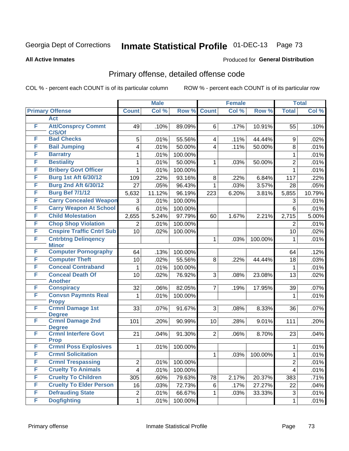#### **All Active Inmates**

#### Produced for **General Distribution**

### Primary offense, detailed offense code

|        |                                            |                         | <b>Male</b> |         |                | <b>Female</b> |         |                         | <b>Total</b> |
|--------|--------------------------------------------|-------------------------|-------------|---------|----------------|---------------|---------|-------------------------|--------------|
|        | <b>Primary Offense</b>                     | <b>Count</b>            | Col %       | Row %   | <b>Count</b>   | Col %         | Row %   | <b>Total</b>            | Col %        |
|        | <b>Act</b>                                 |                         |             |         |                |               |         |                         |              |
| F      | <b>Att/Consprcy Commt</b><br>C/S/Of        | 49                      | .10%        | 89.09%  | 6              | .17%          | 10.91%  | 55                      | .10%         |
| F      | <b>Bad Checks</b>                          | 5                       | .01%        | 55.56%  | 4              | .11%          | 44.44%  | 9                       | .02%         |
| F      | <b>Bail Jumping</b>                        | 4                       | .01%        | 50.00%  | $\overline{4}$ | .11%          | 50.00%  | 8                       | .01%         |
| F      | <b>Barratry</b>                            | 1                       | .01%        | 100.00% |                |               |         | $\mathbf{1}$            | .01%         |
| F      | <b>Bestiality</b>                          | 1                       | .01%        | 50.00%  | 1              | .03%          | 50.00%  | $\overline{2}$          | .01%         |
| F      | <b>Bribery Govt Officer</b>                | 1                       | .01%        | 100.00% |                |               |         | $\mathbf{1}$            | .01%         |
| F      | <b>Burg 1st Aft 6/30/12</b>                | 109                     | .22%        | 93.16%  | 8              | .22%          | 6.84%   | 117                     | .22%         |
| F      | <b>Burg 2nd Aft 6/30/12</b>                | 27                      | .05%        | 96.43%  | $\mathbf{1}$   | .03%          | 3.57%   | 28                      | .05%         |
| F      | <b>Burg Bef 7/1/12</b>                     | 5,632                   | 11.12%      | 96.19%  | 223            | 6.20%         | 3.81%   | 5,855                   | 10.79%       |
| F      | <b>Carry Concealed Weapon</b>              | 3                       | .01%        | 100.00% |                |               |         | 3                       | .01%         |
| F      | <b>Carry Weapon At School</b>              | 6                       | .01%        | 100.00% |                |               |         | 6                       | .01%         |
| F      | <b>Child Molestation</b>                   | 2,655                   | 5.24%       | 97.79%  | 60             | 1.67%         | 2.21%   | 2,715                   | 5.00%        |
| F      | <b>Chop Shop Violation</b>                 | 2                       | .01%        | 100.00% |                |               |         | 2                       | .01%         |
| F      | <b>Cnspire Traffic Cntrl Sub</b>           | 10                      | .02%        | 100.00% |                |               |         | 10                      | .02%         |
| F      | <b>Cntrbtng Delingency</b>                 |                         |             |         | $\mathbf 1$    | .03%          | 100.00% | 1                       | .01%         |
|        | <b>Minor</b>                               |                         |             |         |                |               |         |                         |              |
| F<br>F | <b>Computer Pornography</b>                | 64                      | .13%        | 100.00% |                |               |         | 64                      | .12%         |
|        | <b>Computer Theft</b>                      | 10                      | .02%        | 55.56%  | 8              | .22%          | 44.44%  | 18                      | .03%         |
| F      | <b>Conceal Contraband</b>                  | 1                       | .01%        | 100.00% |                |               |         | 1                       | .01%         |
| F      | <b>Conceal Death Of</b><br><b>Another</b>  | 10                      | .02%        | 76.92%  | 3              | .08%          | 23.08%  | 13                      | .02%         |
| F      | <b>Conspiracy</b>                          | 32                      | .06%        | 82.05%  | $\overline{7}$ | .19%          | 17.95%  | 39                      | .07%         |
| F      | <b>Convsn Paymnts Real</b>                 | 1                       | .01%        | 100.00% |                |               |         | 1                       | .01%         |
| F      | <b>Propy</b>                               |                         |             |         |                |               |         |                         |              |
|        | <b>Crmnl Damage 1st</b><br><b>Degree</b>   | 33                      | .07%        | 91.67%  | 3              | .08%          | 8.33%   | 36                      | .07%         |
| F      | <b>Crmnl Damage 2nd</b><br><b>Degree</b>   | 101                     | .20%        | 90.99%  | 10             | .28%          | 9.01%   | 111                     | .20%         |
| F      | <b>Crmnl Interfere Govt</b><br><b>Prop</b> | 21                      | .04%        | 91.30%  | $\overline{2}$ | .06%          | 8.70%   | 23                      | .04%         |
| F      | <b>Crmnl Poss Explosives</b>               | 1                       | .01%        | 100.00% |                |               |         | 1                       | .01%         |
| F      | <b>Crmnl Solicitation</b>                  |                         |             |         | $\mathbf 1$    | .03%          | 100.00% | $\mathbf 1$             | .01%         |
| F      | <b>Crmnl Trespassing</b>                   | 2                       | .01%        | 100.00% |                |               |         | $\overline{2}$          | .01%         |
| F      | <b>Cruelty To Animals</b>                  | $\overline{\mathbf{4}}$ | .01%        | 100.00% |                |               |         | $\overline{\mathbf{4}}$ | .01%         |
| F      | <b>Cruelty To Children</b>                 | 305                     | .60%        | 79.63%  | 78             | 2.17%         | 20.37%  | 383                     | .71%         |
| F      | <b>Cruelty To Elder Person</b>             | 16                      | .03%        | 72.73%  | 6              | .17%          | 27.27%  | 22                      | .04%         |
| F      | <b>Defrauding State</b>                    | $\overline{2}$          | .01%        | 66.67%  | $\mathbf{1}$   | .03%          | 33.33%  | 3                       | .01%         |
| F      | <b>Dogfighting</b>                         | 1                       | .01%        | 100.00% |                |               |         | $\mathbf{1}$            | .01%         |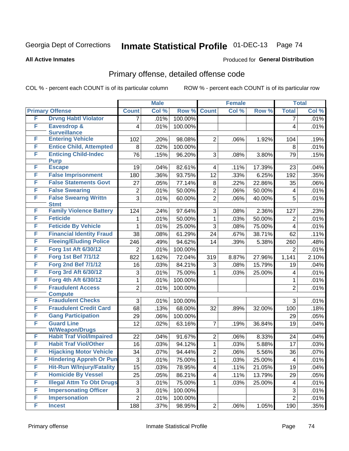**All Active Inmates**

#### Produced for **General Distribution**

### Primary offense, detailed offense code

|   |                                            |                           | <b>Male</b> |         |                | <b>Female</b> |        |                         | <b>Total</b> |
|---|--------------------------------------------|---------------------------|-------------|---------|----------------|---------------|--------|-------------------------|--------------|
|   | <b>Primary Offense</b>                     | <b>Count</b>              | Col %       | Row %   | <b>Count</b>   | Col %         | Row %  | <b>Total</b>            | Col %        |
| F | <b>Drvng Habtl Violator</b>                | 7                         | .01%        | 100.00% |                |               |        | $\overline{7}$          | .01%         |
| F | <b>Eavesdrop &amp;</b>                     | 4                         | .01%        | 100.00% |                |               |        | 4                       | .01%         |
|   | <b>Surveillance</b>                        |                           |             |         |                |               |        |                         |              |
| F | <b>Entering Vehicle</b>                    | 102                       | .20%        | 98.08%  | $\overline{2}$ | .06%          | 1.92%  | 104                     | .19%         |
| F | <b>Entice Child, Attempted</b>             | 8                         | .02%        | 100.00% |                |               |        | 8                       | .01%         |
| F | <b>Enticing Child-Indec</b>                | 76                        | .15%        | 96.20%  | 3              | .08%          | 3.80%  | 79                      | .15%         |
| F | <b>Purp</b><br><b>Escape</b>               | 19                        | .04%        | 82.61%  | $\overline{4}$ | .11%          | 17.39% | 23                      | .04%         |
| F | <b>False Imprisonment</b>                  | 180                       | .36%        | 93.75%  | 12             | .33%          | 6.25%  | 192                     | .35%         |
| F | <b>False Statements Govt</b>               | 27                        | .05%        | 77.14%  | 8              | .22%          | 22.86% | 35                      | .06%         |
| F | <b>False Swearing</b>                      | $\overline{2}$            | .01%        | 50.00%  | $\overline{2}$ | .06%          | 50.00% | $\overline{\mathbf{4}}$ | .01%         |
| F | <b>False Swearng Writtn</b>                | $\overline{3}$            | .01%        | 60.00%  | $\overline{2}$ | .06%          | 40.00% | 5                       | .01%         |
|   | <b>Stmt</b>                                |                           |             |         |                |               |        |                         |              |
| F | <b>Family Violence Battery</b>             | 124                       | .24%        | 97.64%  | 3              | .08%          | 2.36%  | 127                     | .23%         |
| F | <b>Feticide</b>                            | 1                         | .01%        | 50.00%  | $\mathbf{1}$   | .03%          | 50.00% | $\overline{2}$          | .01%         |
| F | <b>Feticide By Vehicle</b>                 | 1                         | .01%        | 25.00%  | 3              | .08%          | 75.00% | $\overline{4}$          | .01%         |
| F | <b>Financial Identity Fraud</b>            | 38                        | .08%        | 61.29%  | 24             | .67%          | 38.71% | 62                      | .11%         |
| F | <b>Fleeing/Eluding Police</b>              | 246                       | .49%        | 94.62%  | 14             | .39%          | 5.38%  | 260                     | .48%         |
| F | Forg 1st Aft 6/30/12                       | 2                         | .01%        | 100.00% |                |               |        | $\overline{2}$          | .01%         |
| F | <b>Forg 1st Bef 7/1/12</b>                 | 822                       | 1.62%       | 72.04%  | 319            | 8.87%         | 27.96% | 1,141                   | 2.10%        |
| F | <b>Forg 2nd Bef 7/1/12</b>                 | 16                        | .03%        | 84.21%  | 3              | .08%          | 15.79% | 19                      | .04%         |
| F | Forg 3rd Aft 6/30/12                       | 3                         | .01%        | 75.00%  | $\mathbf{1}$   | .03%          | 25.00% | $\overline{\mathbf{4}}$ | .01%         |
| F | Forg 4th Aft 6/30/12                       | 1                         | .01%        | 100.00% |                |               |        | 1                       | .01%         |
| F | <b>Fraudulent Access</b>                   | $\overline{2}$            | .01%        | 100.00% |                |               |        | $\overline{2}$          | .01%         |
|   | <b>Compute</b>                             |                           |             |         |                |               |        |                         |              |
| F | <b>Fraudulent Checks</b>                   | 3                         | .01%        | 100.00% |                |               |        | 3                       | .01%         |
| F | <b>Fraudulent Credit Card</b>              | 68                        | .13%        | 68.00%  | 32             | .89%          | 32.00% | 100                     | .18%         |
| F | <b>Gang Participation</b>                  | 29                        | .06%        | 100.00% |                |               |        | 29                      | .05%         |
| F | <b>Guard Line</b><br><b>W/Weapon/Drugs</b> | 12                        | .02%        | 63.16%  | $\overline{7}$ | .19%          | 36.84% | 19                      | .04%         |
| F | <b>Habit Traf Viol/Impaired</b>            | 22                        | .04%        | 91.67%  | $\overline{2}$ | .06%          | 8.33%  | 24                      | .04%         |
| F | <b>Habit Traf Viol/Other</b>               | 16                        | .03%        | 94.12%  | $\mathbf{1}$   | .03%          | 5.88%  | 17                      | .03%         |
| F | <b>Hijacking Motor Vehicle</b>             | 34                        | .07%        | 94.44%  | $\overline{2}$ | .06%          | 5.56%  | 36                      | .07%         |
| F | <b>Hindering Appreh Or Pun</b>             | 3                         | .01%        | 75.00%  | $\mathbf 1$    | .03%          | 25.00% | 4                       | .01%         |
| F | <b>Hit-Run W/Injury/Fatality</b>           | 15                        | .03%        | 78.95%  | $\overline{4}$ | .11%          | 21.05% | 19                      | .04%         |
| F | <b>Homicide By Vessel</b>                  | 25                        | .05%        | 86.21%  | $\overline{4}$ | .11%          | 13.79% | 29                      | .05%         |
| F | <b>Illegal Attm To Obt Drugs</b>           | $\ensuremath{\mathsf{3}}$ | .01%        | 75.00%  | $\mathbf{1}$   | .03%          | 25.00% | 4                       | .01%         |
| F | <b>Impersonating Officer</b>               | $\mathfrak{S}$            | .01%        | 100.00% |                |               |        | $\sqrt{3}$              | .01%         |
| F | <b>Impersonation</b>                       | $\overline{2}$            | .01%        | 100.00% |                |               |        | $\overline{2}$          | .01%         |
| F | <b>Incest</b>                              | 188                       | .37%        | 98.95%  | $2\vert$       | .06%          | 1.05%  | 190                     | .35%         |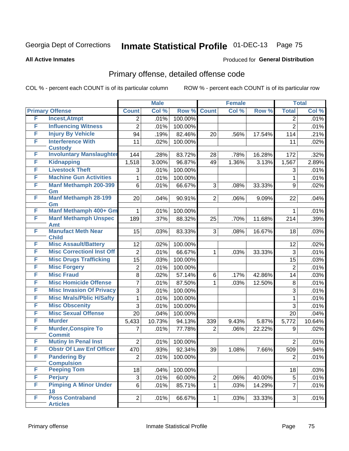#### **All Active Inmates**

#### Produced for **General Distribution**

### Primary offense, detailed offense code

|   |                                             | <b>Male</b>    |        | <b>Female</b> |                |       | <b>Total</b> |                |        |
|---|---------------------------------------------|----------------|--------|---------------|----------------|-------|--------------|----------------|--------|
|   | <b>Primary Offense</b>                      | <b>Count</b>   | Col %  | Row %         | <b>Count</b>   | Col % | Row %        | <b>Total</b>   | Col %  |
| F | <b>Incest, Atmpt</b>                        | $\overline{2}$ | .01%   | 100.00%       |                |       |              | 2              | .01%   |
| F | <b>Influencing Witness</b>                  | $\overline{2}$ | .01%   | 100.00%       |                |       |              | $\overline{2}$ | .01%   |
| F | <b>Injury By Vehicle</b>                    | 94             | .19%   | 82.46%        | 20             | .56%  | 17.54%       | 114            | .21%   |
| F | <b>Interference With</b>                    | 11             | .02%   | 100.00%       |                |       |              | 11             | .02%   |
|   | <b>Custody</b>                              |                |        |               |                |       |              |                |        |
| F | <b>Involuntary Manslaughter</b>             | 144            | .28%   | 83.72%        | 28             | .78%  | 16.28%       | 172            | .32%   |
| F | <b>Kidnapping</b>                           | 1,518          | 3.00%  | 96.87%        | 49             | 1.36% | 3.13%        | 1,567          | 2.89%  |
| F | <b>Livestock Theft</b>                      | 3              | .01%   | 100.00%       |                |       |              | 3              | .01%   |
| F | <b>Machine Gun Activities</b>               | 1              | .01%   | 100.00%       |                |       |              | $\mathbf{1}$   | .01%   |
| F | <b>Manf Methamph 200-399</b><br>Gm          | 6              | .01%   | 66.67%        | 3              | .08%  | 33.33%       | 9              | .02%   |
| F | <b>Manf Methamph 28-199</b><br>Gm           | 20             | .04%   | 90.91%        | $\overline{2}$ | .06%  | 9.09%        | 22             | .04%   |
| F | Manf Methamph 400+ Gm                       | $\mathbf{1}$   | .01%   | 100.00%       |                |       |              | $\mathbf 1$    | .01%   |
| F | <b>Manf Methamph Unspec</b><br><b>Amt</b>   | 189            | .37%   | 88.32%        | 25             | .70%  | 11.68%       | 214            | .39%   |
| F | <b>Manufact Meth Near</b><br><b>Child</b>   | 15             | .03%   | 83.33%        | 3              | .08%  | 16.67%       | 18             | .03%   |
| F | <b>Misc Assault/Battery</b>                 | 12             | .02%   | 100.00%       |                |       |              | 12             | .02%   |
| F | <b>Misc Correctionl Inst Off</b>            | $\overline{2}$ | .01%   | 66.67%        | $\mathbf 1$    | .03%  | 33.33%       | 3              | .01%   |
| F | <b>Misc Drugs Trafficking</b>               | 15             | .03%   | 100.00%       |                |       |              | 15             | .03%   |
| F | <b>Misc Forgery</b>                         | $\overline{2}$ | .01%   | 100.00%       |                |       |              | $\overline{2}$ | .01%   |
| F | <b>Misc Fraud</b>                           | 8              | .02%   | 57.14%        | 6              | .17%  | 42.86%       | 14             | .03%   |
| F | <b>Misc Homicide Offense</b>                | 7              | .01%   | 87.50%        | $\mathbf{1}$   | .03%  | 12.50%       | 8              | .01%   |
| F | <b>Misc Invasion Of Privacy</b>             | 3              | .01%   | 100.00%       |                |       |              | 3              | .01%   |
| F | <b>Misc Mrals/Pblic H/Safty</b>             | 1              | .01%   | 100.00%       |                |       |              | 1              | .01%   |
| F | <b>Misc Obscenity</b>                       | 3              | .01%   | 100.00%       |                |       |              | 3              | .01%   |
| F | <b>Misc Sexual Offense</b>                  | 20             | .04%   | 100.00%       |                |       |              | 20             | .04%   |
| F | <b>Murder</b>                               | 5,433          | 10.73% | 94.13%        | 339            | 9.43% | 5.87%        | 5,772          | 10.64% |
| F | <b>Murder, Conspire To</b><br><b>Commit</b> | 7              | .01%   | 77.78%        | $\overline{2}$ | .06%  | 22.22%       | 9              | .02%   |
| F | <b>Mutiny In Penal Inst</b>                 | $\overline{2}$ | .01%   | 100.00%       |                |       |              | $\overline{2}$ | .01%   |
| F | <b>Obstr Of Law Enf Officer</b>             | 470            | .93%   | 92.34%        | 39             | 1.08% | 7.66%        | 509            | .94%   |
| F | <b>Pandering By</b>                         | 2              | .01%   | 100.00%       |                |       |              | $\overline{2}$ | .01%   |
|   | <b>Compulsion</b>                           |                |        |               |                |       |              |                |        |
| F | <b>Peeping Tom</b>                          | 18             | .04%   | 100.00%       |                |       |              | 18             | .03%   |
| F | <b>Perjury</b>                              | 3              | .01%   | 60.00%        | $\overline{2}$ | .06%  | 40.00%       | 5              | .01%   |
| F | <b>Pimping A Minor Under</b><br>18          | 6              | .01%   | 85.71%        | $\mathbf{1}$   | .03%  | 14.29%       | $\overline{7}$ | .01%   |
| F | <b>Poss Contraband</b><br><b>Articles</b>   | $\overline{2}$ | .01%   | 66.67%        | 1              | .03%  | 33.33%       | 3 <sup>1</sup> | .01%   |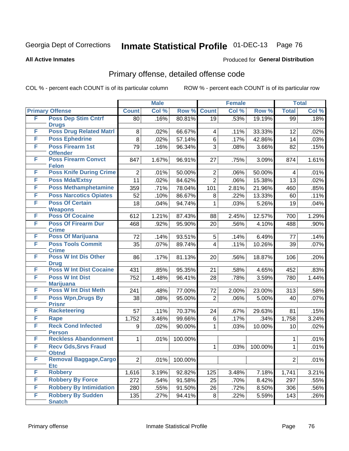Produced for **General Distribution**

#### **All Active Inmates**

# Primary offense, detailed offense code

|   |                                             |                | <b>Male</b> |         |                 | <b>Female</b> |         |                 | <b>Total</b> |
|---|---------------------------------------------|----------------|-------------|---------|-----------------|---------------|---------|-----------------|--------------|
|   | <b>Primary Offense</b>                      | <b>Count</b>   | Col %       | Row %   | <b>Count</b>    | Col %         | Row %   | <b>Total</b>    | Col %        |
| F | <b>Poss Dep Stim Cntrf</b>                  | 80             | .16%        | 80.81%  | $\overline{19}$ | .53%          | 19.19%  | $\overline{99}$ | .18%         |
|   | <b>Drugs</b>                                |                |             |         |                 |               |         |                 |              |
| F | <b>Poss Drug Related Matri</b>              | 8              | .02%        | 66.67%  | $\overline{4}$  | .11%          | 33.33%  | 12              | .02%         |
| F | <b>Poss Ephedrine</b>                       | 8              | .02%        | 57.14%  | 6               | .17%          | 42.86%  | 14              | .03%         |
| F | <b>Poss Firearm 1st</b><br><b>Offender</b>  | 79             | .16%        | 96.34%  | 3               | .08%          | 3.66%   | 82              | .15%         |
| F | <b>Poss Firearm Convct</b>                  | 847            | 1.67%       | 96.91%  | 27              | .75%          | 3.09%   | 874             | 1.61%        |
|   | <b>Felon</b>                                |                |             |         |                 |               |         |                 |              |
| F | <b>Poss Knife During Crime</b>              | $\overline{2}$ | .01%        | 50.00%  | $\overline{2}$  | .06%          | 50.00%  | 4               | .01%         |
| F | <b>Poss Mda/Extsy</b>                       | 11             | .02%        | 84.62%  | $\overline{2}$  | .06%          | 15.38%  | 13              | .02%         |
| F | <b>Poss Methamphetamine</b>                 | 359            | .71%        | 78.04%  | 101             | 2.81%         | 21.96%  | 460             | .85%         |
| F | <b>Poss Narcotics Opiates</b>               | 52             | .10%        | 86.67%  | 8               | .22%          | 13.33%  | 60              | .11%         |
| F | <b>Poss Of Certain</b>                      | 18             | .04%        | 94.74%  | 1               | .03%          | 5.26%   | 19              | .04%         |
|   | <b>Weapons</b>                              |                |             |         |                 |               |         |                 |              |
| F | <b>Poss Of Cocaine</b>                      | 612            | 1.21%       | 87.43%  | 88              | 2.45%         | 12.57%  | 700             | 1.29%        |
| F | <b>Poss Of Firearm Dur</b><br><b>Crime</b>  | 468            | .92%        | 95.90%  | 20              | .56%          | 4.10%   | 488             | .90%         |
| F | <b>Poss Of Marijuana</b>                    | 72             | .14%        | 93.51%  | 5               | .14%          | 6.49%   | 77              | .14%         |
| F | <b>Poss Tools Commit</b>                    | 35             | .07%        | 89.74%  | 4               | .11%          | 10.26%  | 39              | .07%         |
|   | <b>Crime</b>                                |                |             |         |                 |               |         |                 |              |
| F | <b>Poss W Int Dis Other</b>                 | 86             | .17%        | 81.13%  | 20              | .56%          | 18.87%  | 106             | .20%         |
|   | <b>Drug</b>                                 |                |             |         |                 |               |         |                 |              |
| F | <b>Poss W Int Dist Cocaine</b>              | 431            | .85%        | 95.35%  | 21              | .58%          | 4.65%   | 452             | .83%         |
| F | <b>Poss W Int Dist</b><br><b>Marijuana</b>  | 752            | 1.48%       | 96.41%  | 28              | .78%          | 3.59%   | 780             | 1.44%        |
| F | <b>Poss W Int Dist Meth</b>                 | 241            | .48%        | 77.00%  | 72              | 2.00%         | 23.00%  | 313             | .58%         |
| F | <b>Poss Wpn, Drugs By</b>                   | 38             | .08%        | 95.00%  | $\overline{2}$  | .06%          | 5.00%   | 40              | .07%         |
|   | <b>Prisnr</b>                               |                |             |         |                 |               |         |                 |              |
| F | <b>Racketeering</b>                         | 57             | .11%        | 70.37%  | 24              | .67%          | 29.63%  | 81              | .15%         |
| F | Rape                                        | 1,752          | 3.46%       | 99.66%  | 6               | .17%          | .34%    | 1,758           | 3.24%        |
| F | <b>Reck Cond Infected</b>                   | 9              | .02%        | 90.00%  | $\mathbf{1}$    | .03%          | 10.00%  | 10              | .02%         |
|   | <b>Person</b>                               |                |             |         |                 |               |         |                 |              |
| F | <b>Reckless Abandonment</b>                 | 1              | .01%        | 100.00% |                 |               |         | 1               | .01%         |
| F | <b>Recv Gds, Srvs Fraud</b><br><b>Obtnd</b> |                |             |         | 1               | .03%          | 100.00% | 1               | .01%         |
| F | <b>Removal Baggage, Cargo</b>               | $\overline{2}$ | .01%        | 100.00% |                 |               |         | $\overline{2}$  | .01%         |
|   | <b>Etc</b>                                  |                |             |         |                 |               |         |                 |              |
| F | <b>Robbery</b>                              | 1,616          | 3.19%       | 92.82%  | 125             | 3.48%         | 7.18%   | 1,741           | 3.21%        |
| F | <b>Robbery By Force</b>                     | 272            | .54%        | 91.58%  | 25              | .70%          | 8.42%   | 297             | .55%         |
| F | <b>Robbery By Intimidation</b>              | 280            | .55%        | 91.50%  | 26              | .72%          | 8.50%   | 306             | .56%         |
| F | <b>Robbery By Sudden</b>                    | 135            | .27%        | 94.41%  | 8 <sup>1</sup>  | .22%          | 5.59%   | 143             | .26%         |
|   | <b>Snatch</b>                               |                |             |         |                 |               |         |                 |              |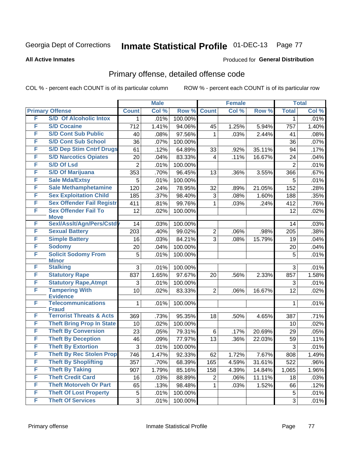**All Active Inmates**

#### Produced for **General Distribution**

### Primary offense, detailed offense code

|   |                                              |                | <b>Male</b> |         |                | <b>Female</b> |        |                | <b>Total</b> |
|---|----------------------------------------------|----------------|-------------|---------|----------------|---------------|--------|----------------|--------------|
|   | <b>Primary Offense</b>                       | <b>Count</b>   | Col %       | Row %   | <b>Count</b>   | Col %         | Row %  | <b>Total</b>   | Col %        |
| F | <b>S/D Of Alcoholic Intox</b>                | 1              | .01%        | 100.00% |                |               |        | 1              | .01%         |
| F | <b>S/D Cocaine</b>                           | 712            | 1.41%       | 94.06%  | 45             | 1.25%         | 5.94%  | 757            | 1.40%        |
| F | <b>S/D Cont Sub Public</b>                   | 40             | .08%        | 97.56%  | 1              | .03%          | 2.44%  | 41             | .08%         |
| F | <b>S/D Cont Sub School</b>                   | 36             | .07%        | 100.00% |                |               |        | 36             | .07%         |
| F | <b>S/D Dep Stim Cntrf Drugs</b>              | 61             | .12%        | 64.89%  | 33             | .92%          | 35.11% | 94             | .17%         |
| F | <b>S/D Narcotics Opiates</b>                 | 20             | .04%        | 83.33%  | 4              | .11%          | 16.67% | 24             | .04%         |
| F | <b>S/D Of Lsd</b>                            | $\overline{2}$ | .01%        | 100.00% |                |               |        | $\overline{2}$ | .01%         |
| F | <b>S/D Of Marijuana</b>                      | 353            | .70%        | 96.45%  | 13             | .36%          | 3.55%  | 366            | .67%         |
| F | <b>Sale Mda/Extsy</b>                        | 5              | .01%        | 100.00% |                |               |        | 5              | .01%         |
| F | <b>Sale Methamphetamine</b>                  | 120            | .24%        | 78.95%  | 32             | .89%          | 21.05% | 152            | .28%         |
| F | <b>Sex Exploitation Child</b>                | 185            | .37%        | 98.40%  | 3              | .08%          | 1.60%  | 188            | .35%         |
| F | <b>Sex Offender Fail Registr</b>             | 411            | .81%        | 99.76%  | $\mathbf{1}$   | .03%          | .24%   | 412            | .76%         |
| F | <b>Sex Offender Fail To</b><br><b>Move</b>   | 12             | .02%        | 100.00% |                |               |        | 12             | .02%         |
| F | Sexl/Assit/Agn/Pers/Cstd                     | 14             | .03%        | 100.00% |                |               |        | 14             | .03%         |
| F | <b>Sexual Battery</b>                        | 203            | .40%        | 99.02%  | $\overline{c}$ | .06%          | .98%   | 205            | .38%         |
| F | <b>Simple Battery</b>                        | 16             | .03%        | 84.21%  | 3              | .08%          | 15.79% | 19             | .04%         |
| F | <b>Sodomy</b>                                | 20             | .04%        | 100.00% |                |               |        | 20             | .04%         |
| F | <b>Solicit Sodomy From</b><br><b>Minor</b>   | 5              | .01%        | 100.00% |                |               |        | 5              | .01%         |
| F | <b>Stalking</b>                              | 3              | .01%        | 100.00% |                |               |        | 3              | .01%         |
| F | <b>Statutory Rape</b>                        | 837            | 1.65%       | 97.67%  | 20             | .56%          | 2.33%  | 857            | 1.58%        |
| F | <b>Statutory Rape, Atmpt</b>                 | 3              | .01%        | 100.00% |                |               |        | 3              | .01%         |
| F | <b>Tampering With</b>                        | 10             | .02%        | 83.33%  | $\overline{2}$ | .06%          | 16.67% | 12             | .02%         |
| F | <b>Evidence</b><br><b>Telecommunications</b> |                |             |         |                |               |        |                | .01%         |
|   | <b>Fraud</b>                                 | 1              | .01%        | 100.00% |                |               |        | 1              |              |
| F | <b>Terrorist Threats &amp; Acts</b>          | 369            | .73%        | 95.35%  | 18             | .50%          | 4.65%  | 387            | .71%         |
| F | <b>Theft Bring Prop In State</b>             | 10             | .02%        | 100.00% |                |               |        | 10             | .02%         |
| F | <b>Theft By Conversion</b>                   | 23             | .05%        | 79.31%  | 6              | .17%          | 20.69% | 29             | .05%         |
| F | <b>Theft By Deception</b>                    | 46             | .09%        | 77.97%  | 13             | .36%          | 22.03% | 59             | .11%         |
| F | <b>Theft By Extortion</b>                    | 3              | .01%        | 100.00% |                |               |        | 3              | .01%         |
| F | <b>Theft By Rec Stolen Prop</b>              | 746            | 1.47%       | 92.33%  | 62             | 1.72%         | 7.67%  | 808            | 1.49%        |
| F | <b>Theft By Shoplifting</b>                  | 357            | .70%        | 68.39%  | 165            | 4.59%         | 31.61% | 522            | .96%         |
| F | <b>Theft By Taking</b>                       | 907            | 1.79%       | 85.16%  | 158            | 4.39%         | 14.84% | 1,065          | 1.96%        |
| F | <b>Theft Credit Card</b>                     | 16             | .03%        | 88.89%  | 2              | .06%          | 11.11% | 18             | .03%         |
| F | <b>Theft Motorveh Or Part</b>                | 65             | .13%        | 98.48%  | 1              | .03%          | 1.52%  | 66             | .12%         |
| F | <b>Theft Of Lost Property</b>                | $\mathbf 5$    | .01%        | 100.00% |                |               |        | 5              | .01%         |
| F | <b>Theft Of Services</b>                     | $\mathfrak{S}$ | .01%        | 100.00% |                |               |        | $\overline{3}$ | .01%         |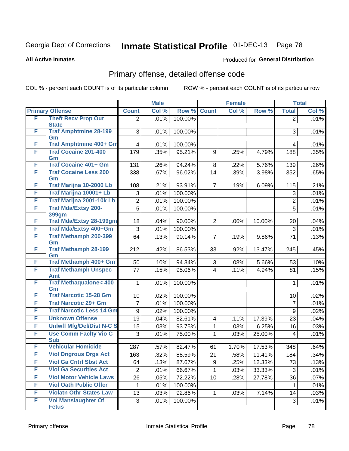**All Active Inmates**

#### Produced for **General Distribution**

### Primary offense, detailed offense code

|   |                                     |                | <b>Male</b> |         |                | <b>Female</b> |        |                | <b>Total</b> |
|---|-------------------------------------|----------------|-------------|---------|----------------|---------------|--------|----------------|--------------|
|   | <b>Primary Offense</b>              | <b>Count</b>   | Col %       | Row %   | <b>Count</b>   | Col %         | Row %  | <b>Total</b>   | Col %        |
| F | <b>Theft Recv Prop Out</b>          | $\overline{2}$ | .01%        | 100.00% |                |               |        | $\overline{2}$ | .01%         |
|   | <b>State</b>                        |                |             |         |                |               |        |                |              |
| F | <b>Traf Amphtmine 28-199</b><br>Gm  | 3              | .01%        | 100.00% |                |               |        | 3              | .01%         |
| F | Traf Amphtmine 400+ Gm              | 4              | .01%        | 100.00% |                |               |        | 4              | .01%         |
| F | <b>Traf Cocaine 201-400</b>         | 179            | .35%        | 95.21%  | 9              | .25%          | 4.79%  | 188            | .35%         |
|   | Gm                                  |                |             |         |                |               |        |                |              |
| F | <b>Traf Cocaine 401+ Gm</b>         | 131            | .26%        | 94.24%  | 8              | .22%          | 5.76%  | 139            | .26%         |
| F | <b>Traf Cocaine Less 200</b>        | 338            | .67%        | 96.02%  | 14             | .39%          | 3.98%  | 352            | .65%         |
| F | Gm<br>Traf Marijna 10-2000 Lb       |                |             |         |                |               |        |                |              |
| F | Traf Marijna 10001+ Lb              | 108            | .21%        | 93.91%  | $\overline{7}$ | .19%          | 6.09%  | 115            | .21%         |
|   |                                     | 3              | .01%        | 100.00% |                |               |        | 3              | .01%         |
| F | Traf Marijna 2001-10k Lb            | $\overline{2}$ | $.01\%$     | 100.00% |                |               |        | $\overline{2}$ | .01%         |
| F | <b>Traf Mda/Extsy 200-</b><br>399gm | 5              | .01%        | 100.00% |                |               |        | 5              | .01%         |
| F | <b>Traf Mda/Extsy 28-199gm</b>      | 18             | .04%        | 90.00%  | $\overline{2}$ | .06%          | 10.00% | 20             | .04%         |
| F | Traf Mda/Extsy 400+Gm               | 3              | .01%        | 100.00% |                |               |        | 3              | .01%         |
| F | <b>Traf Methamph 200-399</b>        | 64             | .13%        | 90.14%  | $\overline{7}$ | .19%          | 9.86%  | 71             | .13%         |
|   | Gm                                  |                |             |         |                |               |        |                |              |
| F | <b>Traf Methamph 28-199</b>         | 212            | .42%        | 86.53%  | 33             | .92%          | 13.47% | 245            | .45%         |
|   | Gm                                  |                |             |         |                |               |        |                |              |
| F | Traf Methamph 400+ Gm               | 50             | .10%        | 94.34%  | 3              | .08%          | 5.66%  | 53             | .10%         |
| F | <b>Traf Methamph Unspec</b><br>Amt  | 77             | .15%        | 95.06%  | $\overline{4}$ | .11%          | 4.94%  | 81             | .15%         |
| F | <b>Traf Methaqualone&lt; 400</b>    | 1              | .01%        | 100.00% |                |               |        | 1              | .01%         |
|   | Gm                                  |                |             |         |                |               |        |                |              |
| F | <b>Traf Narcotic 15-28 Gm</b>       | 10             | .02%        | 100.00% |                |               |        | 10             | .02%         |
| F | <b>Traf Narcotic 29+ Gm</b>         | $\overline{7}$ | .01%        | 100.00% |                |               |        | $\overline{7}$ | .01%         |
| F | <b>Traf Narcotic Less 14 Gm</b>     | 9              | .02%        | 100.00% |                |               |        | 9              | .02%         |
| F | <b>Unknown Offense</b>              | 19             | .04%        | 82.61%  | 4              | .11%          | 17.39% | 23             | .04%         |
| F | <b>Uniwfl Mfg/Del/Dist N-C S</b>    | 15             | .03%        | 93.75%  | 1              | .03%          | 6.25%  | 16             | .03%         |
| F | <b>Use Comm Facity Vio C</b>        | 3              | .01%        | 75.00%  | $\mathbf{1}$   | .03%          | 25.00% | $\overline{4}$ | .01%         |
|   | <b>Sub</b>                          |                |             |         |                |               |        |                |              |
| F | <b>Vehicular Homicide</b>           | 287            | .57%        | 82.47%  | 61             | 1.70%         | 17.53% | 348            | .64%         |
| F | <b>Viol Dngrous Drgs Act</b>        | 163            | .32%        | 88.59%  | 21             | .58%          | 11.41% | 184            | .34%         |
| F | <b>Viol Ga Cntrl Sbst Act</b>       | 64             | .13%        | 87.67%  | 9              | .25%          | 12.33% | 73             | .13%         |
| F | <b>Viol Ga Securities Act</b>       | 2              | .01%        | 66.67%  | 1              | .03%          | 33.33% | 3              | .01%         |
| F | <b>Viol Motor Vehicle Laws</b>      | 26             | .05%        | 72.22%  | 10             | .28%          | 27.78% | 36             | .07%         |
| F | <b>Viol Oath Public Offcr</b>       | 1              | .01%        | 100.00% |                |               |        | $\mathbf 1$    | .01%         |
| F | <b>Violatn Othr States Law</b>      | 13             | .03%        | 92.86%  | $\mathbf{1}$   | .03%          | 7.14%  | 14             | .03%         |
| F | <b>Vol Manslaughter Of</b>          | $\sqrt{3}$     | .01%        | 100.00% |                |               |        | 3              | .01%         |
|   | <b>Fetus</b>                        |                |             |         |                |               |        |                |              |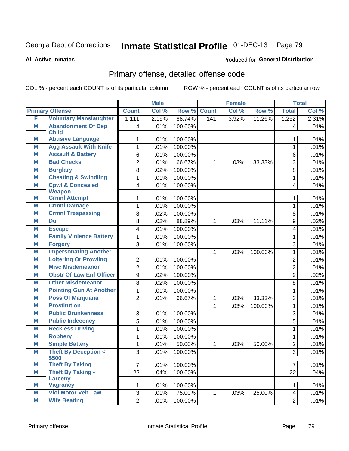**All Active Inmates**

#### Produced for **General Distribution**

### Primary offense, detailed offense code

|   |                                              |                 | <b>Male</b> |         |              | <b>Female</b> |         |                | <b>Total</b> |
|---|----------------------------------------------|-----------------|-------------|---------|--------------|---------------|---------|----------------|--------------|
|   | <b>Primary Offense</b>                       | <b>Count</b>    | Col %       | Row %   | <b>Count</b> | Col %         | Row %   | <b>Total</b>   | Col %        |
| F | <b>Voluntary Manslaughter</b>                | 1,111           | 2.19%       | 88.74%  | 141          | 3.92%         | 11.26%  | 1,252          | 2.31%        |
| M | <b>Abandonment Of Dep</b><br><b>Child</b>    | 4               | .01%        | 100.00% |              |               |         | 4              | .01%         |
| Μ | <b>Abusive Language</b>                      | 1               | .01%        | 100.00% |              |               |         | 1              | .01%         |
| Μ | <b>Agg Assault With Knife</b>                | 1               | .01%        | 100.00% |              |               |         | 1              | .01%         |
| M | <b>Assault &amp; Battery</b>                 | 6               | .01%        | 100.00% |              |               |         | 6              | .01%         |
| Μ | <b>Bad Checks</b>                            | $\overline{2}$  | .01%        | 66.67%  | $\mathbf{1}$ | .03%          | 33.33%  | 3              | .01%         |
| M | <b>Burglary</b>                              | 8               | .02%        | 100.00% |              |               |         | 8              | .01%         |
| M | <b>Cheating &amp; Swindling</b>              | 1               | .01%        | 100.00% |              |               |         | 1              | .01%         |
| M | <b>Cpwl &amp; Concealed</b><br><b>Weapon</b> | 4               | .01%        | 100.00% |              |               |         | $\overline{4}$ | .01%         |
| Μ | <b>Crmnl Attempt</b>                         | 1               | .01%        | 100.00% |              |               |         | 1              | .01%         |
| M | <b>Crmnl Damage</b>                          | 1               | .01%        | 100.00% |              |               |         | $\mathbf{1}$   | .01%         |
| Μ | <b>Crmnl Trespassing</b>                     | 8               | .02%        | 100.00% |              |               |         | 8              | .01%         |
| M | <b>Dui</b>                                   | 8               | .02%        | 88.89%  | 1            | .03%          | 11.11%  | 9              | .02%         |
| Μ | <b>Escape</b>                                | 4               | .01%        | 100.00% |              |               |         | 4              | .01%         |
| Μ | <b>Family Violence Battery</b>               | 1               | .01%        | 100.00% |              |               |         | 1              | .01%         |
| Μ | <b>Forgery</b>                               | 3               | .01%        | 100.00% |              |               |         | 3              | .01%         |
| M | <b>Impersonating Another</b>                 |                 |             |         | $\mathbf{1}$ | .03%          | 100.00% | 1              | .01%         |
| Μ | <b>Loitering Or Prowling</b>                 | $\overline{2}$  | .01%        | 100.00% |              |               |         | $\overline{2}$ | .01%         |
| M | <b>Misc Misdemeanor</b>                      | $\overline{2}$  | .01%        | 100.00% |              |               |         | $\overline{2}$ | .01%         |
| Μ | <b>Obstr Of Law Enf Officer</b>              | 9               | .02%        | 100.00% |              |               |         | 9              | .02%         |
| M | <b>Other Misdemeanor</b>                     | 8               | .02%        | 100.00% |              |               |         | 8              | .01%         |
| Μ | <b>Pointing Gun At Another</b>               | 1               | .01%        | 100.00% |              |               |         | 1              | .01%         |
| M | <b>Poss Of Marijuana</b>                     | $\overline{2}$  | .01%        | 66.67%  | $\mathbf{1}$ | .03%          | 33.33%  | 3              | .01%         |
| Μ | <b>Prostitution</b>                          |                 |             |         | $\mathbf 1$  | .03%          | 100.00% | 1              | .01%         |
| M | <b>Public Drunkenness</b>                    | 3               | .01%        | 100.00% |              |               |         | 3              | .01%         |
| Μ | <b>Public Indecency</b>                      | $\overline{5}$  | .01%        | 100.00% |              |               |         | 5              | .01%         |
| M | <b>Reckless Driving</b>                      | 1               | .01%        | 100.00% |              |               |         | 1              | .01%         |
| Μ | <b>Robbery</b>                               | 1               | .01%        | 100.00% |              |               |         | 1              | .01%         |
| M | <b>Simple Battery</b>                        | 1               | .01%        | 50.00%  | 1            | .03%          | 50.00%  | $\overline{2}$ | .01%         |
| M | <b>Theft By Deception &lt;</b><br>\$500      | 3               | .01%        | 100.00% |              |               |         | 3              | .01%         |
| M | <b>Theft By Taking</b>                       | $\overline{7}$  | .01%        | 100.00% |              |               |         | $\overline{7}$ | .01%         |
| M | <b>Theft By Taking -</b><br><b>Larceny</b>   | $\overline{22}$ | .04%        | 100.00% |              |               |         | 22             | .04%         |
| M | <b>Vagrancy</b>                              | 1               | .01%        | 100.00% |              |               |         | 1              | .01%         |
| M | <b>Viol Motor Veh Law</b>                    | $\overline{3}$  | .01%        | 75.00%  | $\mathbf{1}$ | .03%          | 25.00%  | $\overline{4}$ | .01%         |
| M | <b>Wife Beating</b>                          | $\overline{2}$  | .01%        | 100.00% |              |               |         | $\overline{2}$ | .01%         |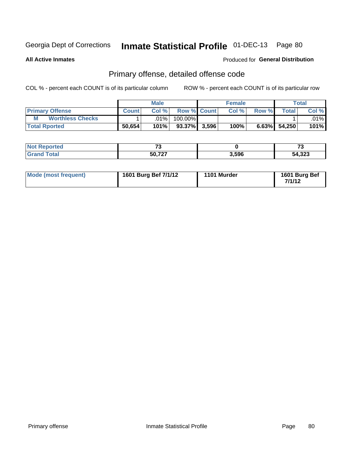**All Active Inmates**

#### Produced for **General Distribution**

#### Primary offense, detailed offense code

|                              |              | <b>Male</b> |                    |       | <b>Female</b> |       |                    | Total   |
|------------------------------|--------------|-------------|--------------------|-------|---------------|-------|--------------------|---------|
| <b>Primary Offense</b>       | <b>Count</b> | Col%        | <b>Row % Count</b> |       | Col%          | Row % | Total <sub>1</sub> | Col %   |
| <b>Worthless Checks</b><br>M |              | .01%        | 100.00%            |       |               |       |                    | $.01\%$ |
| <b>Total Rported</b>         | 50,654       | 101%        | $93.37\%$          | 3,596 | 100%          |       | $6.63\%$ 54,250    | $101\%$ |

| Reported | $\rightarrow$ |       | $\mathbf{z}$<br>. .   |
|----------|---------------|-------|-----------------------|
| 'otal    | 50,727        | 3,596 | <b>מפפי</b><br>54,323 |

| Mode (most frequent) | 1601 Burg Bef 7/1/12 | 1101 Murder | 1601 Burg Bef<br>7/1/12 |
|----------------------|----------------------|-------------|-------------------------|
|----------------------|----------------------|-------------|-------------------------|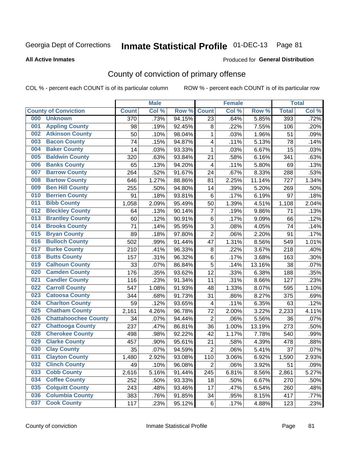#### **All Active Inmates**

#### Produced for **General Distribution**

### County of conviction of primary offense

|     |                             |              | <b>Male</b> |        |                         | <b>Female</b> |        |              | <b>Total</b> |
|-----|-----------------------------|--------------|-------------|--------|-------------------------|---------------|--------|--------------|--------------|
|     | <b>County of Conviction</b> | <b>Count</b> | Col %       | Row %  | <b>Count</b>            | Col %         | Row %  | <b>Total</b> | Col %        |
| 000 | <b>Unknown</b>              | 370          | .73%        | 94.15% | 23                      | .64%          | 5.85%  | 393          | .72%         |
| 001 | <b>Appling County</b>       | 98           | .19%        | 92.45% | 8                       | .22%          | 7.55%  | 106          | .20%         |
| 002 | <b>Atkinson County</b>      | 50           | .10%        | 98.04% | $\mathbf{1}$            | .03%          | 1.96%  | 51           | .09%         |
| 003 | <b>Bacon County</b>         | 74           | .15%        | 94.87% | 4                       | .11%          | 5.13%  | 78           | .14%         |
| 004 | <b>Baker County</b>         | 14           | .03%        | 93.33% | $\mathbf{1}$            | .03%          | 6.67%  | 15           | .03%         |
| 005 | <b>Baldwin County</b>       | 320          | .63%        | 93.84% | 21                      | .58%          | 6.16%  | 341          | .63%         |
| 006 | <b>Banks County</b>         | 65           | .13%        | 94.20% | $\overline{\mathbf{4}}$ | .11%          | 5.80%  | 69           | .13%         |
| 007 | <b>Barrow County</b>        | 264          | .52%        | 91.67% | 24                      | .67%          | 8.33%  | 288          | .53%         |
| 008 | <b>Bartow County</b>        | 646          | 1.27%       | 88.86% | 81                      | 2.25%         | 11.14% | 727          | 1.34%        |
| 009 | <b>Ben Hill County</b>      | 255          | .50%        | 94.80% | 14                      | .39%          | 5.20%  | 269          | .50%         |
| 010 | <b>Berrien County</b>       | 91           | .18%        | 93.81% | 6                       | .17%          | 6.19%  | 97           | .18%         |
| 011 | <b>Bibb County</b>          | 1,058        | 2.09%       | 95.49% | 50                      | 1.39%         | 4.51%  | 1,108        | 2.04%        |
| 012 | <b>Bleckley County</b>      | 64           | .13%        | 90.14% | $\overline{7}$          | .19%          | 9.86%  | 71           | .13%         |
| 013 | <b>Brantley County</b>      | 60           | .12%        | 90.91% | 6                       | .17%          | 9.09%  | 66           | .12%         |
| 014 | <b>Brooks County</b>        | 71           | .14%        | 95.95% | 3                       | .08%          | 4.05%  | 74           | .14%         |
| 015 | <b>Bryan County</b>         | 89           | .18%        | 97.80% | $\overline{2}$          | .06%          | 2.20%  | 91           | .17%         |
| 016 | <b>Bulloch County</b>       | 502          | .99%        | 91.44% | 47                      | 1.31%         | 8.56%  | 549          | 1.01%        |
| 017 | <b>Burke County</b>         | 210          | .41%        | 96.33% | 8                       | .22%          | 3.67%  | 218          | .40%         |
| 018 | <b>Butts County</b>         | 157          | .31%        | 96.32% | 6                       | .17%          | 3.68%  | 163          | .30%         |
| 019 | <b>Calhoun County</b>       | 33           | .07%        | 86.84% | 5                       | .14%          | 13.16% | 38           | .07%         |
| 020 | <b>Camden County</b>        | 176          | .35%        | 93.62% | 12                      | .33%          | 6.38%  | 188          | .35%         |
| 021 | <b>Candler County</b>       | 116          | .23%        | 91.34% | 11                      | .31%          | 8.66%  | 127          | .23%         |
| 022 | <b>Carroll County</b>       | 547          | 1.08%       | 91.93% | 48                      | 1.33%         | 8.07%  | 595          | 1.10%        |
| 023 | <b>Catoosa County</b>       | 344          | .68%        | 91.73% | 31                      | .86%          | 8.27%  | 375          | .69%         |
| 024 | <b>Charlton County</b>      | 59           | .12%        | 93.65% | 4                       | .11%          | 6.35%  | 63           | .12%         |
| 025 | <b>Chatham County</b>       | 2,161        | 4.26%       | 96.78% | 72                      | 2.00%         | 3.22%  | 2,233        | 4.11%        |
| 026 | <b>Chattahoochee County</b> | 34           | .07%        | 94.44% | $\overline{2}$          | .06%          | 5.56%  | 36           | .07%         |
| 027 | <b>Chattooga County</b>     | 237          | .47%        | 86.81% | 36                      | 1.00%         | 13.19% | 273          | .50%         |
| 028 | <b>Cherokee County</b>      | 498          | .98%        | 92.22% | 42                      | 1.17%         | 7.78%  | 540          | .99%         |
| 029 | <b>Clarke County</b>        | 457          | .90%        | 95.61% | 21                      | .58%          | 4.39%  | 478          | .88%         |
| 030 | <b>Clay County</b>          | 35           | .07%        | 94.59% | $\overline{2}$          | .06%          | 5.41%  | 37           | .07%         |
| 031 | <b>Clayton County</b>       | 1,480        | 2.92%       | 93.08% | 110                     | 3.06%         | 6.92%  | 1,590        | 2.93%        |
| 032 | <b>Clinch County</b>        | 49           | .10%        | 96.08% | $\overline{2}$          | .06%          | 3.92%  | 51           | .09%         |
| 033 | <b>Cobb County</b>          | 2,616        | 5.16%       | 91.44% | 245                     | 6.81%         | 8.56%  | 2,861        | 5.27%        |
| 034 | <b>Coffee County</b>        | 252          | .50%        | 93.33% | 18                      | .50%          | 6.67%  | 270          | .50%         |
| 035 | <b>Colquitt County</b>      | 243          | .48%        | 93.46% | 17                      | .47%          | 6.54%  | 260          | .48%         |
| 036 | <b>Columbia County</b>      | 383          | .76%        | 91.85% | 34                      | .95%          | 8.15%  | 417          | .77%         |
| 037 | <b>Cook County</b>          | 117          | .23%        | 95.12% | 6                       | .17%          | 4.88%  | 123          | .23%         |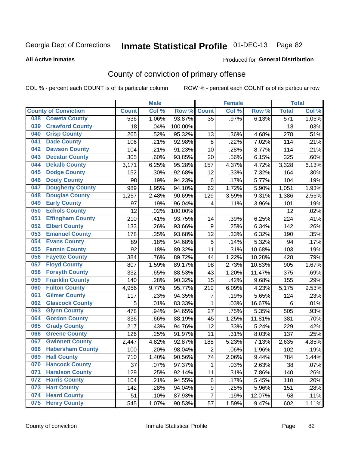**All Active Inmates**

#### Produced for **General Distribution**

### County of conviction of primary offense

|                                |              | <b>Male</b> |         |                | <b>Female</b> |        |                  | <b>Total</b> |
|--------------------------------|--------------|-------------|---------|----------------|---------------|--------|------------------|--------------|
| <b>County of Conviction</b>    | <b>Count</b> | Col %       | Row %   | <b>Count</b>   | Col %         | Row %  | <b>Total</b>     | Col %        |
| <b>Coweta County</b><br>038    | 536          | 1.06%       | 93.87%  | 35             | .97%          | 6.13%  | $\overline{571}$ | 1.05%        |
| <b>Crawford County</b><br>039  | 18           | .04%        | 100.00% |                |               |        | 18               | .03%         |
| <b>Crisp County</b><br>040     | 265          | .52%        | 95.32%  | 13             | .36%          | 4.68%  | 278              | .51%         |
| <b>Dade County</b><br>041      | 106          | .21%        | 92.98%  | 8              | .22%          | 7.02%  | 114              | .21%         |
| <b>Dawson County</b><br>042    | 104          | .21%        | 91.23%  | 10             | .28%          | 8.77%  | 114              | .21%         |
| <b>Decatur County</b><br>043   | 305          | .60%        | 93.85%  | 20             | .56%          | 6.15%  | 325              | .60%         |
| <b>Dekalb County</b><br>044    | 3,171        | 6.25%       | 95.28%  | 157            | 4.37%         | 4.72%  | 3,328            | 6.13%        |
| <b>Dodge County</b><br>045     | 152          | .30%        | 92.68%  | 12             | .33%          | 7.32%  | 164              | .30%         |
| <b>Dooly County</b><br>046     | 98           | .19%        | 94.23%  | 6              | .17%          | 5.77%  | 104              | .19%         |
| <b>Dougherty County</b><br>047 | 989          | 1.95%       | 94.10%  | 62             | 1.72%         | 5.90%  | 1,051            | 1.93%        |
| <b>Douglas County</b><br>048   | 1,257        | 2.48%       | 90.69%  | 129            | 3.59%         | 9.31%  | 1,386            | 2.55%        |
| <b>Early County</b><br>049     | 97           | .19%        | 96.04%  | 4              | .11%          | 3.96%  | 101              | .19%         |
| <b>Echols County</b><br>050    | 12           | .02%        | 100.00% |                |               |        | 12               | .02%         |
| 051<br><b>Effingham County</b> | 210          | .41%        | 93.75%  | 14             | .39%          | 6.25%  | 224              | .41%         |
| <b>Elbert County</b><br>052    | 133          | .26%        | 93.66%  | 9              | .25%          | 6.34%  | 142              | .26%         |
| <b>Emanuel County</b><br>053   | 178          | .35%        | 93.68%  | 12             | .33%          | 6.32%  | 190              | .35%         |
| <b>Evans County</b><br>054     | 89           | .18%        | 94.68%  | 5              | .14%          | 5.32%  | 94               | .17%         |
| <b>Fannin County</b><br>055    | 92           | .18%        | 89.32%  | 11             | .31%          | 10.68% | 103              | .19%         |
| <b>Fayette County</b><br>056   | 384          | .76%        | 89.72%  | 44             | 1.22%         | 10.28% | 428              | .79%         |
| <b>Floyd County</b><br>057     | 807          | 1.59%       | 89.17%  | 98             | 2.73%         | 10.83% | 905              | 1.67%        |
| <b>Forsyth County</b><br>058   | 332          | .65%        | 88.53%  | 43             | 1.20%         | 11.47% | 375              | .69%         |
| <b>Franklin County</b><br>059  | 140          | .28%        | 90.32%  | 15             | .42%          | 9.68%  | 155              | .29%         |
| <b>Fulton County</b><br>060    | 4,956        | 9.77%       | 95.77%  | 219            | 6.09%         | 4.23%  | 5,175            | 9.53%        |
| <b>Gilmer County</b><br>061    | 117          | .23%        | 94.35%  | 7              | .19%          | 5.65%  | 124              | .23%         |
| <b>Glascock County</b><br>062  | 5            | .01%        | 83.33%  | $\mathbf 1$    | .03%          | 16.67% | 6                | .01%         |
| 063<br><b>Glynn County</b>     | 478          | .94%        | 94.65%  | 27             | .75%          | 5.35%  | 505              | .93%         |
| <b>Gordon County</b><br>064    | 336          | .66%        | 88.19%  | 45             | 1.25%         | 11.81% | 381              | .70%         |
| 065<br><b>Grady County</b>     | 217          | .43%        | 94.76%  | 12             | .33%          | 5.24%  | 229              | .42%         |
| <b>Greene County</b><br>066    | 126          | .25%        | 91.97%  | 11             | .31%          | 8.03%  | 137              | .25%         |
| <b>Gwinnett County</b><br>067  | 2,447        | 4.82%       | 92.87%  | 188            | 5.23%         | 7.13%  | 2,635            | 4.85%        |
| <b>Habersham County</b><br>068 | 100          | .20%        | 98.04%  | $\overline{2}$ | .06%          | 1.96%  | 102              | .19%         |
| 069<br><b>Hall County</b>      | 710          | 1.40%       | 90.56%  | 74             | 2.06%         | 9.44%  | 784              | 1.44%        |
| <b>Hancock County</b><br>070   | 37           | .07%        | 97.37%  | 1              | .03%          | 2.63%  | 38               | .07%         |
| <b>Haralson County</b><br>071  | 129          | .25%        | 92.14%  | 11             | .31%          | 7.86%  | 140              | .26%         |
| <b>Harris County</b><br>072    | 104          | .21%        | 94.55%  | 6              | .17%          | 5.45%  | 110              | .20%         |
| <b>Hart County</b><br>073      | 142          | .28%        | 94.04%  | 9              | .25%          | 5.96%  | 151              | .28%         |
| <b>Heard County</b><br>074     | 51           | .10%        | 87.93%  | $\overline{7}$ | .19%          | 12.07% | 58               | .11%         |
| <b>Henry County</b><br>075     | 545          | 1.07%       | 90.53%  | 57             | 1.59%         | 9.47%  | 602              | 1.11%        |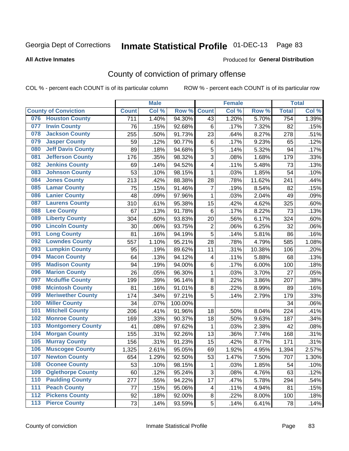#### **All Active Inmates**

#### Produced for **General Distribution**

### County of conviction of primary offense

|                  |                             |              | <b>Male</b> |         |                         | <b>Female</b> |        |                  | <b>Total</b> |
|------------------|-----------------------------|--------------|-------------|---------|-------------------------|---------------|--------|------------------|--------------|
|                  | <b>County of Conviction</b> | <b>Count</b> | Col %       | Row %   | <b>Count</b>            | Col %         | Row %  | <b>Total</b>     | Col %        |
|                  | 076 Houston County          | 711          | 1.40%       | 94.30%  | 43                      | 1.20%         | 5.70%  | 754              | 1.39%        |
| 077              | <b>Irwin County</b>         | 76           | .15%        | 92.68%  | 6                       | .17%          | 7.32%  | 82               | .15%         |
| 078              | <b>Jackson County</b>       | 255          | .50%        | 91.73%  | 23                      | .64%          | 8.27%  | 278              | .51%         |
| 079              | <b>Jasper County</b>        | 59           | .12%        | 90.77%  | $\,6$                   | .17%          | 9.23%  | 65               | .12%         |
| 080              | <b>Jeff Davis County</b>    | 89           | .18%        | 94.68%  | 5                       | .14%          | 5.32%  | 94               | .17%         |
| 081              | <b>Jefferson County</b>     | 176          | .35%        | 98.32%  | 3                       | .08%          | 1.68%  | 179              | .33%         |
| 082              | <b>Jenkins County</b>       | 69           | .14%        | 94.52%  | 4                       | .11%          | 5.48%  | 73               | .13%         |
| 083              | <b>Johnson County</b>       | 53           | .10%        | 98.15%  | $\mathbf 1$             | .03%          | 1.85%  | 54               | .10%         |
| 084              | <b>Jones County</b>         | 213          | .42%        | 88.38%  | 28                      | .78%          | 11.62% | 241              | .44%         |
| 085              | <b>Lamar County</b>         | 75           | .15%        | 91.46%  | $\overline{7}$          | .19%          | 8.54%  | 82               | .15%         |
| 086              | <b>Lanier County</b>        | 48           | .09%        | 97.96%  | 1                       | .03%          | 2.04%  | 49               | .09%         |
| 087              | <b>Laurens County</b>       | 310          | .61%        | 95.38%  | 15                      | .42%          | 4.62%  | 325              | .60%         |
| 088              | <b>Lee County</b>           | 67           | .13%        | 91.78%  | $\,6$                   | .17%          | 8.22%  | 73               | .13%         |
| 089              | <b>Liberty County</b>       | 304          | .60%        | 93.83%  | 20                      | .56%          | 6.17%  | 324              | .60%         |
| 090              | <b>Lincoln County</b>       | 30           | .06%        | 93.75%  | $\mathbf 2$             | .06%          | 6.25%  | 32               | .06%         |
| 091              | <b>Long County</b>          | 81           | .16%        | 94.19%  | 5                       | .14%          | 5.81%  | 86               | .16%         |
| 092              | <b>Lowndes County</b>       | 557          | 1.10%       | 95.21%  | 28                      | .78%          | 4.79%  | 585              | 1.08%        |
| 093              | <b>Lumpkin County</b>       | 95           | .19%        | 89.62%  | 11                      | .31%          | 10.38% | 106              | .20%         |
| 094              | <b>Macon County</b>         | 64           | .13%        | 94.12%  | $\overline{\mathbf{4}}$ | .11%          | 5.88%  | 68               | .13%         |
| 095              | <b>Madison County</b>       | 94           | .19%        | 94.00%  | 6                       | .17%          | 6.00%  | 100              | .18%         |
| 096              | <b>Marion County</b>        | 26           | .05%        | 96.30%  | $\mathbf{1}$            | .03%          | 3.70%  | 27               | .05%         |
| 097              | <b>Mcduffie County</b>      | 199          | .39%        | 96.14%  | 8                       | .22%          | 3.86%  | 207              | .38%         |
| 098              | <b>Mcintosh County</b>      | 81           | .16%        | 91.01%  | 8                       | .22%          | 8.99%  | 89               | .16%         |
| 099              | <b>Meriwether County</b>    | 174          | .34%        | 97.21%  | 5                       | .14%          | 2.79%  | 179              | .33%         |
| 100              | <b>Miller County</b>        | 34           | .07%        | 100.00% |                         |               |        | 34               | .06%         |
| 101              | <b>Mitchell County</b>      | 206          | .41%        | 91.96%  | 18                      | .50%          | 8.04%  | 224              | .41%         |
| 102              | <b>Monroe County</b>        | 169          | .33%        | 90.37%  | 18                      | .50%          | 9.63%  | 187              | .34%         |
| 103              | <b>Montgomery County</b>    | 41           | .08%        | 97.62%  | $\mathbf{1}$            | .03%          | 2.38%  | 42               | .08%         |
| 104              | <b>Morgan County</b>        | 155          | .31%        | 92.26%  | 13                      | .36%          | 7.74%  | 168              | .31%         |
| 105              | <b>Murray County</b>        | 156          | .31%        | 91.23%  | 15                      | .42%          | 8.77%  | 171              | .31%         |
| 106              | <b>Muscogee County</b>      | 1,325        | 2.61%       | 95.05%  | 69                      | 1.92%         | 4.95%  | 1,394            | 2.57%        |
| 107              | <b>Newton County</b>        | 654          | 1.29%       | 92.50%  | 53                      | 1.47%         | 7.50%  | $\overline{707}$ | 1.30%        |
| 108              | <b>Oconee County</b>        | 53           | .10%        | 98.15%  | 1                       | .03%          | 1.85%  | 54               | .10%         |
| 109              | <b>Oglethorpe County</b>    | 60           | .12%        | 95.24%  | 3                       | .08%          | 4.76%  | 63               | .12%         |
| 110              | <b>Paulding County</b>      | 277          | .55%        | 94.22%  | 17                      | .47%          | 5.78%  | 294              | .54%         |
| 111              | <b>Peach County</b>         | 77           | .15%        | 95.06%  | 4                       | .11%          | 4.94%  | 81               | .15%         |
| $\overline{112}$ | <b>Pickens County</b>       | 92           | .18%        | 92.00%  | $\bf 8$                 | .22%          | 8.00%  | 100              | .18%         |
| 113              | <b>Pierce County</b>        | 73           | .14%        | 93.59%  | 5                       | .14%          | 6.41%  | 78               | .14%         |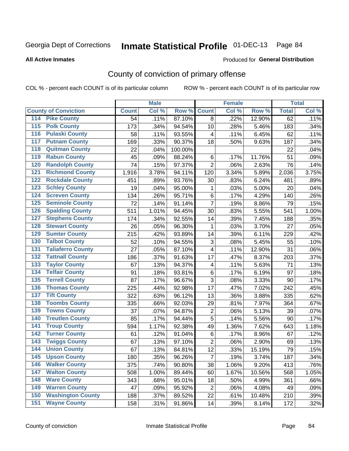#### **All Active Inmates**

#### Produced for **General Distribution**

### County of conviction of primary offense

|                                          |              | <b>Male</b> |         |                         | <b>Female</b> |        |              | <b>Total</b> |
|------------------------------------------|--------------|-------------|---------|-------------------------|---------------|--------|--------------|--------------|
| <b>County of Conviction</b>              | <b>Count</b> | Col %       | Row %   | <b>Count</b>            | Col %         | Row %  | <b>Total</b> | Col %        |
| <b>Pike County</b><br>114                | 54           | .11%        | 87.10%  | 8                       | .22%          | 12.90% | 62           | .11%         |
| <b>Polk County</b><br>$\overline{115}$   | 173          | .34%        | 94.54%  | 10                      | .28%          | 5.46%  | 183          | .34%         |
| <b>Pulaski County</b><br>116             | 58           | .11%        | 93.55%  | 4                       | .11%          | 6.45%  | 62           | .11%         |
| <b>Putnam County</b><br>117              | 169          | .33%        | 90.37%  | 18                      | .50%          | 9.63%  | 187          | .34%         |
| <b>Quitman County</b><br>118             | 22           | .04%        | 100.00% |                         |               |        | 22           | .04%         |
| <b>Rabun County</b><br>119               | 45           | .09%        | 88.24%  | 6                       | .17%          | 11.76% | 51           | .09%         |
| <b>Randolph County</b><br>120            | 74           | .15%        | 97.37%  | $\overline{2}$          | .06%          | 2.63%  | 76           | .14%         |
| <b>Richmond County</b><br>121            | 1,916        | 3.78%       | 94.11%  | 120                     | 3.34%         | 5.89%  | 2,036        | 3.75%        |
| <b>Rockdale County</b><br>122            | 451          | .89%        | 93.76%  | 30                      | .83%          | 6.24%  | 481          | .89%         |
| <b>Schley County</b><br>123              | 19           | .04%        | 95.00%  | 1                       | .03%          | 5.00%  | 20           | .04%         |
| <b>Screven County</b><br>124             | 134          | .26%        | 95.71%  | 6                       | .17%          | 4.29%  | 140          | .26%         |
| <b>Seminole County</b><br>125            | 72           | .14%        | 91.14%  | $\overline{7}$          | .19%          | 8.86%  | 79           | .15%         |
| <b>Spalding County</b><br>126            | 511          | 1.01%       | 94.45%  | 30                      | .83%          | 5.55%  | 541          | 1.00%        |
| <b>Stephens County</b><br>127            | 174          | .34%        | 92.55%  | 14                      | .39%          | 7.45%  | 188          | .35%         |
| <b>Stewart County</b><br>128             | 26           | .05%        | 96.30%  | 1                       | .03%          | 3.70%  | 27           | .05%         |
| <b>Sumter County</b><br>129              | 215          | .42%        | 93.89%  | 14                      | .39%          | 6.11%  | 229          | .42%         |
| <b>Talbot County</b><br>130              | 52           | .10%        | 94.55%  | 3                       | .08%          | 5.45%  | 55           | .10%         |
| <b>Taliaferro County</b><br>131          | 27           | .05%        | 87.10%  | 4                       | .11%          | 12.90% | 31           | .06%         |
| <b>Tattnall County</b><br>132            | 186          | .37%        | 91.63%  | 17                      | .47%          | 8.37%  | 203          | .37%         |
| <b>Taylor County</b><br>133              | 67           | .13%        | 94.37%  | $\overline{\mathbf{4}}$ | .11%          | 5.63%  | 71           | .13%         |
| <b>Telfair County</b><br>134             | 91           | .18%        | 93.81%  | 6                       | .17%          | 6.19%  | 97           | .18%         |
| <b>Terrell County</b><br>135             | 87           | .17%        | 96.67%  | 3                       | .08%          | 3.33%  | 90           | .17%         |
| <b>Thomas County</b><br>136              | 225          | .44%        | 92.98%  | 17                      | .47%          | 7.02%  | 242          | .45%         |
| <b>Tift County</b><br>137                | 322          | .63%        | 96.12%  | 13                      | .36%          | 3.88%  | 335          | .62%         |
| <b>Toombs County</b><br>138              | 335          | .66%        | 92.03%  | 29                      | .81%          | 7.97%  | 364          | .67%         |
| <b>Towns County</b><br>139               | 37           | .07%        | 94.87%  | $\mathbf 2$             | .06%          | 5.13%  | 39           | .07%         |
| <b>Treutlen County</b><br>140            | 85           | .17%        | 94.44%  | $\overline{5}$          | .14%          | 5.56%  | 90           | .17%         |
| <b>Troup County</b><br>141               | 594          | 1.17%       | 92.38%  | 49                      | 1.36%         | 7.62%  | 643          | 1.18%        |
| <b>Turner County</b><br>142              | 61           | .12%        | 91.04%  | 6                       | .17%          | 8.96%  | 67           | .12%         |
| <b>Twiggs County</b><br>$\overline{143}$ | 67           | .13%        | 97.10%  | $\overline{2}$          | .06%          | 2.90%  | 69           | .13%         |
| <b>Union County</b><br>144               | 67           | .13%        | 84.81%  | 12                      | .33%          | 15.19% | 79           | .15%         |
| 145<br><b>Upson County</b>               | 180          | .35%        | 96.26%  | $\overline{7}$          | .19%          | 3.74%  | 187          | .34%         |
| <b>Walker County</b><br>146              | 375          | .74%        | 90.80%  | 38                      | 1.06%         | 9.20%  | 413          | .76%         |
| <b>Walton County</b><br>147              | 508          | 1.00%       | 89.44%  | 60                      | 1.67%         | 10.56% | 568          | 1.05%        |
| <b>Ware County</b><br>148                | 343          | .68%        | 95.01%  | 18                      | .50%          | 4.99%  | 361          | .66%         |
| <b>Warren County</b><br>149              | 47           | .09%        | 95.92%  | $\overline{2}$          | .06%          | 4.08%  | 49           | .09%         |
| <b>Washington County</b><br>150          | 188          | .37%        | 89.52%  | 22                      | .61%          | 10.48% | 210          | .39%         |
| <b>Wayne County</b><br>151               | 158          | .31%        | 91.86%  | 14                      | .39%          | 8.14%  | 172          | .32%         |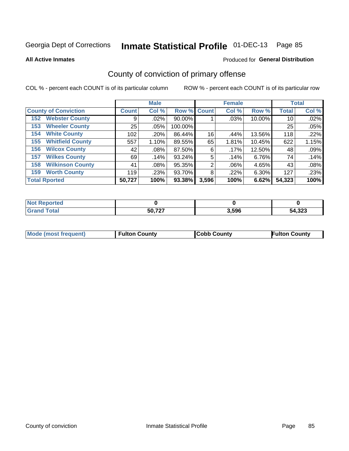**All Active Inmates**

#### Produced for **General Distribution**

### County of conviction of primary offense

|                                |              | <b>Male</b> |             |       | <b>Female</b> |        |              | <b>Total</b> |
|--------------------------------|--------------|-------------|-------------|-------|---------------|--------|--------------|--------------|
| <b>County of Conviction</b>    | <b>Count</b> | Col %       | Row % Count |       | Col %         | Row %  | <b>Total</b> | Col %        |
| <b>Webster County</b><br>152   | 9            | $.02\%$     | 90.00%      |       | .03%          | 10.00% | 10           | .02%         |
| <b>Wheeler County</b><br>153   | 25           | .05%        | 100.00%     |       |               |        | 25           | .05%         |
| <b>White County</b><br>154     | 102          | .20%        | 86.44%      | 16    | .44%          | 13.56% | 118          | .22%         |
| <b>Whitfield County</b><br>155 | 557          | 1.10%       | 89.55%      | 65    | 1.81%         | 10.45% | 622          | 1.15%        |
| <b>Wilcox County</b><br>156    | 42           | $.08\%$     | 87.50%      | 6     | .17%          | 12.50% | 48           | .09%         |
| <b>Wilkes County</b><br>157    | 69           | .14%        | 93.24%      | 5     | .14%          | 6.76%  | 74           | .14%         |
| <b>Wilkinson County</b><br>158 | 41           | $.08\%$     | 95.35%      | 2     | .06%          | 4.65%  | 43           | .08%         |
| <b>Worth County</b><br>159     | 119          | .23%        | 93.70%      | 8     | .22%          | 6.30%  | 127          | .23%         |
| <b>Total Rported</b>           | 50,727       | 100%        | 93.38%      | 3,596 | 100%          | 6.62%  | 54,323       | 100%         |

| <b>Not Reported</b> |        |       |        |
|---------------------|--------|-------|--------|
| ™otal               | 50,727 | 3,596 | 54,323 |

| Mode (most frequent) | <b>Fulton County</b> | <b>Cobb County</b> | <b>Fulton County</b> |
|----------------------|----------------------|--------------------|----------------------|
|                      |                      |                    |                      |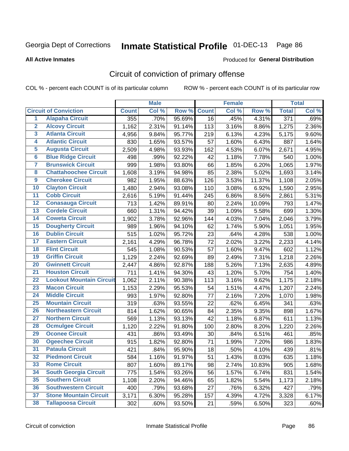#### **All Active Inmates**

#### Produced for **General Distribution**

### Circuit of conviction of primary offense

|                         |                                 |              | <b>Male</b> |        |              | <b>Female</b> |        |                  | <b>Total</b> |
|-------------------------|---------------------------------|--------------|-------------|--------|--------------|---------------|--------|------------------|--------------|
|                         | <b>Circuit of Conviction</b>    | <b>Count</b> | Col %       | Row %  | <b>Count</b> | Col %         | Row %  | <b>Total</b>     | Col %        |
| 1                       | <b>Alapaha Circuit</b>          | 355          | .70%        | 95.69% | 16           | .45%          | 4.31%  | $\overline{371}$ | .69%         |
| $\overline{2}$          | <b>Alcovy Circuit</b>           | 1,162        | 2.31%       | 91.14% | 113          | 3.16%         | 8.86%  | 1,275            | 2.36%        |
| 3                       | <b>Atlanta Circuit</b>          | 4,956        | 9.84%       | 95.77% | 219          | 6.13%         | 4.23%  | 5,175            | 9.60%        |
| 4                       | <b>Atlantic Circuit</b>         | 830          | 1.65%       | 93.57% | 57           | 1.60%         | 6.43%  | 887              | 1.64%        |
| 5                       | <b>Augusta Circuit</b>          | 2,509        | 4.98%       | 93.93% | 162          | 4.53%         | 6.07%  | 2,671            | 4.95%        |
| $6\overline{6}$         | <b>Blue Ridge Circuit</b>       | 498          | .99%        | 92.22% | 42           | 1.18%         | 7.78%  | 540              | 1.00%        |
| $\overline{\mathbf{7}}$ | <b>Brunswick Circuit</b>        | 999          | 1.98%       | 93.80% | 66           | 1.85%         | 6.20%  | 1,065            | 1.97%        |
| 8                       | <b>Chattahoochee Circuit</b>    | 1,608        | 3.19%       | 94.98% | 85           | 2.38%         | 5.02%  | 1,693            | 3.14%        |
| $\overline{9}$          | <b>Cherokee Circuit</b>         | 982          | 1.95%       | 88.63% | 126          | 3.53%         | 11.37% | 1,108            | 2.05%        |
| 10                      | <b>Clayton Circuit</b>          | 1,480        | 2.94%       | 93.08% | 110          | 3.08%         | 6.92%  | 1,590            | 2.95%        |
| 11                      | <b>Cobb Circuit</b>             | 2,616        | 5.19%       | 91.44% | 245          | 6.86%         | 8.56%  | 2,861            | 5.31%        |
| 12                      | <b>Conasauga Circuit</b>        | 713          | 1.42%       | 89.91% | 80           | 2.24%         | 10.09% | 793              | 1.47%        |
| 13                      | <b>Cordele Circuit</b>          | 660          | 1.31%       | 94.42% | 39           | 1.09%         | 5.58%  | 699              | 1.30%        |
| $\overline{14}$         | <b>Coweta Circuit</b>           | 1,902        | 3.78%       | 92.96% | 144          | 4.03%         | 7.04%  | 2,046            | 3.79%        |
| 15                      | <b>Dougherty Circuit</b>        | 989          | 1.96%       | 94.10% | 62           | 1.74%         | 5.90%  | 1,051            | 1.95%        |
| 16                      | <b>Dublin Circuit</b>           | 515          | 1.02%       | 95.72% | 23           | .64%          | 4.28%  | 538              | 1.00%        |
| 17                      | <b>Eastern Circuit</b>          | 2,161        | 4.29%       | 96.78% | 72           | 2.02%         | 3.22%  | 2,233            | 4.14%        |
| 18                      | <b>Flint Circuit</b>            | 545          | 1.08%       | 90.53% | 57           | 1.60%         | 9.47%  | 602              | 1.12%        |
| 19                      | <b>Griffin Circuit</b>          | 1,129        | 2.24%       | 92.69% | 89           | 2.49%         | 7.31%  | 1,218            | 2.26%        |
| 20                      | <b>Gwinnett Circuit</b>         | 2,447        | 4.86%       | 92.87% | 188          | 5.26%         | 7.13%  | 2,635            | 4.89%        |
| $\overline{21}$         | <b>Houston Circuit</b>          | 711          | 1.41%       | 94.30% | 43           | 1.20%         | 5.70%  | 754              | 1.40%        |
| $\overline{22}$         | <b>Lookout Mountain Circuit</b> | 1,062        | 2.11%       | 90.38% | 113          | 3.16%         | 9.62%  | 1,175            | 2.18%        |
| 23                      | <b>Macon Circuit</b>            | 1,153        | 2.29%       | 95.53% | 54           | 1.51%         | 4.47%  | 1,207            | 2.24%        |
| 24                      | <b>Middle Circuit</b>           | 993          | 1.97%       | 92.80% | 77           | 2.16%         | 7.20%  | 1,070            | 1.98%        |
| 25                      | <b>Mountain Circuit</b>         | 319          | .63%        | 93.55% | 22           | .62%          | 6.45%  | 341              | .63%         |
| 26                      | <b>Northeastern Circuit</b>     | 814          | 1.62%       | 90.65% | 84           | 2.35%         | 9.35%  | 898              | 1.67%        |
| $\overline{27}$         | <b>Northern Circuit</b>         | 569          | 1.13%       | 93.13% | 42           | 1.18%         | 6.87%  | 611              | 1.13%        |
| 28                      | <b>Ocmulgee Circuit</b>         | 1,120        | 2.22%       | 91.80% | 100          | 2.80%         | 8.20%  | 1,220            | 2.26%        |
| 29                      | <b>Oconee Circuit</b>           | 431          | .86%        | 93.49% | 30           | .84%          | 6.51%  | 461              | .85%         |
| 30                      | <b>Ogeechee Circuit</b>         | 915          | 1.82%       | 92.80% | 71           | 1.99%         | 7.20%  | 986              | 1.83%        |
| $\overline{31}$         | <b>Pataula Circuit</b>          | 421          | .84%        | 95.90% | 18           | .50%          | 4.10%  | 439              | .81%         |
| 32                      | <b>Piedmont Circuit</b>         | 584          | 1.16%       | 91.97% | 51           | 1.43%         | 8.03%  | 635              | 1.18%        |
| 33                      | <b>Rome Circuit</b>             | 807          | 1.60%       | 89.17% | 98           | 2.74%         | 10.83% | 905              | 1.68%        |
| 34                      | <b>South Georgia Circuit</b>    | 775          | 1.54%       | 93.26% | 56           | 1.57%         | 6.74%  | 831              | 1.54%        |
| 35                      | <b>Southern Circuit</b>         | 1,108        | 2.20%       | 94.46% | 65           | 1.82%         | 5.54%  | 1,173            | 2.18%        |
| 36                      | <b>Southwestern Circuit</b>     | 400          | .79%        | 93.68% | 27           | .76%          | 6.32%  | 427              | .79%         |
| 37                      | <b>Stone Mountain Circuit</b>   | 3,171        | 6.30%       | 95.28% | 157          | 4.39%         | 4.72%  | 3,328            | 6.17%        |
| 38                      | <b>Tallapoosa Circuit</b>       | 302          | .60%        | 93.50% | 21           | .59%          | 6.50%  | 323              | .60%         |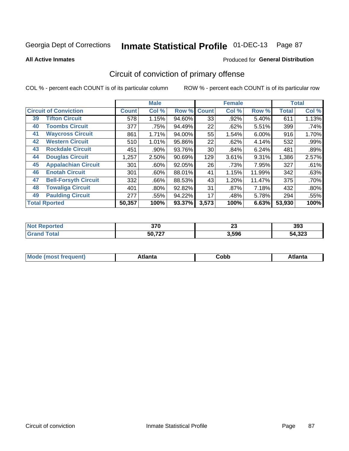**All Active Inmates**

#### Produced for **General Distribution**

### Circuit of conviction of primary offense

|    |                              |              | <b>Male</b> |        |              | <b>Female</b> |        |              | <b>Total</b> |
|----|------------------------------|--------------|-------------|--------|--------------|---------------|--------|--------------|--------------|
|    | <b>Circuit of Conviction</b> | <b>Count</b> | Col %       | Row %  | <b>Count</b> | Col %         | Row %  | <b>Total</b> | Col %        |
| 39 | <b>Tifton Circuit</b>        | 578          | 1.15%       | 94.60% | 33           | .92%          | 5.40%  | 611          | 1.13%        |
| 40 | <b>Toombs Circuit</b>        | 377          | .75%        | 94.49% | 22           | .62%          | 5.51%  | 399          | .74%         |
| 41 | <b>Waycross Circuit</b>      | 861          | 1.71%       | 94.00% | 55           | 1.54%         | 6.00%  | 916          | 1.70%        |
| 42 | <b>Western Circuit</b>       | 510          | 1.01%       | 95.86% | 22           | .62%          | 4.14%  | 532          | .99%         |
| 43 | <b>Rockdale Circuit</b>      | 451          | .90%        | 93.76% | 30           | .84%          | 6.24%  | 481          | .89%         |
| 44 | <b>Douglas Circuit</b>       | 1,257        | 2.50%       | 90.69% | 129          | 3.61%         | 9.31%  | 1,386        | 2.57%        |
| 45 | <b>Appalachian Circuit</b>   | 301          | $.60\%$     | 92.05% | 26           | .73%          | 7.95%  | 327          | .61%         |
| 46 | <b>Enotah Circuit</b>        | 301          | $.60\%$     | 88.01% | 41           | 1.15%         | 11.99% | 342          | .63%         |
| 47 | <b>Bell-Forsyth Circuit</b>  | 332          | .66%        | 88.53% | 43           | 1.20%         | 11.47% | 375          | .70%         |
| 48 | <b>Towaliga Circuit</b>      | 401          | $.80\%$     | 92.82% | 31           | .87%          | 7.18%  | 432          | .80%         |
| 49 | <b>Paulding Circuit</b>      | 277          | .55%        | 94.22% | 17           | .48%          | 5.78%  | 294          | .55%         |
|    | <b>Total Rported</b>         | 50,357       | 100%        | 93.37% | 3,573        | 100%          | 6.63%  | 53,930       | 100%         |

| e | 270<br>u i u<br>__ | $\ddot{\phantom{0}}$<br>Δv | 393                  |
|---|--------------------|----------------------------|----------------------|
|   | 50,727             | 3,596                      | $\sim$<br>54<br>,ఎ∠ఎ |

| M<br>- - -<br>.<br>.<br>∪opp<br>нс |
|------------------------------------|
|------------------------------------|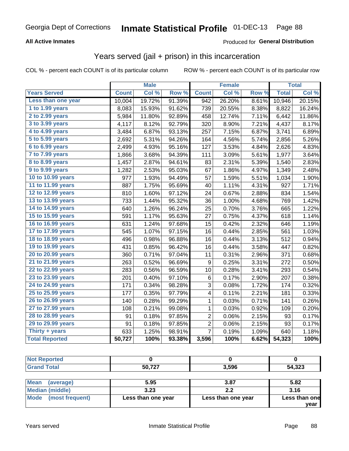#### **All Active Inmates**

#### Produced for **General Distribution**

#### Years served (jail + prison) in this incarceration

|                       |              | <b>Male</b> |                  |                | <b>Female</b> |       |              | <b>Total</b> |
|-----------------------|--------------|-------------|------------------|----------------|---------------|-------|--------------|--------------|
| <b>Years Served</b>   | <b>Count</b> | Col %       | Row <sup>%</sup> | <b>Count</b>   | Col %         | Row % | <b>Total</b> | Col %        |
| Less than one year    | 10,004       | 19.72%      | 91.39%           | 942            | 26.20%        | 8.61% | 10,946       | 20.15%       |
| 1 to 1.99 years       | 8,083        | 15.93%      | 91.62%           | 739            | 20.55%        | 8.38% | 8,822        | 16.24%       |
| 2 to 2.99 years       | 5,984        | 11.80%      | 92.89%           | 458            | 12.74%        | 7.11% | 6,442        | 11.86%       |
| 3 to 3.99 years       | 4,117        | 8.12%       | 92.79%           | 320            | 8.90%         | 7.21% | 4,437        | 8.17%        |
| 4 to 4.99 years       | 3,484        | 6.87%       | 93.13%           | 257            | 7.15%         | 6.87% | 3,741        | 6.89%        |
| 5 to 5.99 years       | 2,692        | 5.31%       | 94.26%           | 164            | 4.56%         | 5.74% | 2,856        | 5.26%        |
| 6 to 6.99 years       | 2,499        | 4.93%       | 95.16%           | 127            | 3.53%         | 4.84% | 2,626        | 4.83%        |
| 7 to 7.99 years       | 1,866        | 3.68%       | 94.39%           | 111            | 3.09%         | 5.61% | 1,977        | 3.64%        |
| 8 to 8.99 years       | 1,457        | 2.87%       | 94.61%           | 83             | 2.31%         | 5.39% | 1,540        | 2.83%        |
| 9 to 9.99 years       | 1,282        | 2.53%       | 95.03%           | 67             | 1.86%         | 4.97% | 1,349        | 2.48%        |
| 10 to 10.99 years     | 977          | 1.93%       | 94.49%           | 57             | 1.59%         | 5.51% | 1,034        | 1.90%        |
| 11 to 11.99 years     | 887          | 1.75%       | 95.69%           | 40             | 1.11%         | 4.31% | 927          | 1.71%        |
| 12 to 12.99 years     | 810          | 1.60%       | 97.12%           | 24             | 0.67%         | 2.88% | 834          | 1.54%        |
| 13 to 13.99 years     | 733          | 1.44%       | 95.32%           | 36             | 1.00%         | 4.68% | 769          | 1.42%        |
| 14 to 14.99 years     | 640          | 1.26%       | 96.24%           | 25             | 0.70%         | 3.76% | 665          | 1.22%        |
| 15 to 15.99 years     | 591          | 1.17%       | 95.63%           | 27             | 0.75%         | 4.37% | 618          | 1.14%        |
| 16 to 16.99 years     | 631          | 1.24%       | 97.68%           | 15             | 0.42%         | 2.32% | 646          | 1.19%        |
| 17 to 17.99 years     | 545          | 1.07%       | 97.15%           | 16             | 0.44%         | 2.85% | 561          | 1.03%        |
| 18 to 18.99 years     | 496          | 0.98%       | 96.88%           | 16             | 0.44%         | 3.13% | 512          | 0.94%        |
| 19 to 19.99 years     | 431          | 0.85%       | 96.42%           | 16             | 0.44%         | 3.58% | 447          | 0.82%        |
| 20 to 20.99 years     | 360          | 0.71%       | 97.04%           | 11             | 0.31%         | 2.96% | 371          | 0.68%        |
| 21 to 21.99 years     | 263          | 0.52%       | 96.69%           | 9              | 0.25%         | 3.31% | 272          | 0.50%        |
| 22 to 22.99 years     | 283          | 0.56%       | 96.59%           | 10             | 0.28%         | 3.41% | 293          | 0.54%        |
| 23 to 23.99 years     | 201          | 0.40%       | 97.10%           | 6              | 0.17%         | 2.90% | 207          | 0.38%        |
| 24 to 24.99 years     | 171          | 0.34%       | 98.28%           | 3              | 0.08%         | 1.72% | 174          | 0.32%        |
| 25 to 25.99 years     | 177          | 0.35%       | 97.79%           | 4              | 0.11%         | 2.21% | 181          | 0.33%        |
| 26 to 26.99 years     | 140          | 0.28%       | 99.29%           | $\mathbf 1$    | 0.03%         | 0.71% | 141          | 0.26%        |
| 27 to 27.99 years     | 108          | 0.21%       | 99.08%           | 1              | 0.03%         | 0.92% | 109          | 0.20%        |
| 28 to 28.99 years     | 91           | 0.18%       | 97.85%           | $\overline{2}$ | 0.06%         | 2.15% | 93           | 0.17%        |
| 29 to 29.99 years     | 91           | 0.18%       | 97.85%           | 2              | 0.06%         | 2.15% | 93           | 0.17%        |
| Thirty + years        | 633          | 1.25%       | 98.91%           | $\overline{7}$ | 0.19%         | 1.09% | 640          | 1.18%        |
| <b>Total Reported</b> | 50,727       | 100%        | 93.38%           | 3,596          | 100%          | 6.62% | 54,323       | 100%         |

| <b>Not Reported</b>             |        |       |        |
|---------------------------------|--------|-------|--------|
| <b>Grand Total</b>              | 50,727 | 3,596 | 54,323 |
|                                 |        |       |        |
| <b>Mean</b><br><i>laverane)</i> | 5.05   | 3. R7 | 5. R.O |

| ∣Mean<br>(average)   | 5.95               | 3.87               | 5.82          |
|----------------------|--------------------|--------------------|---------------|
| Median (middle)      | 3.23               |                    | 3.16          |
| Mode (most frequent) | Less than one year | Less than one year | Less than one |
|                      |                    |                    | year          |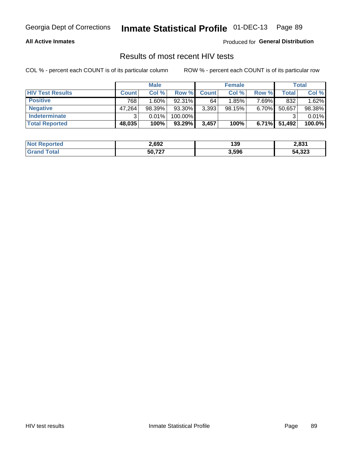#### **All Active Inmates**

Produced for **General Distribution**

#### Results of most recent HIV tests

|                         | <b>Male</b>  |        |           | <b>Female</b> |        |          | <b>Total</b> |        |
|-------------------------|--------------|--------|-----------|---------------|--------|----------|--------------|--------|
| <b>HIV Test Results</b> | <b>Count</b> | Col %  | Row %I    | <b>Count</b>  | Col %  | Row %    | <b>Total</b> | Col %  |
| <b>Positive</b>         | 768          | 1.60%  | 92.31%    | 64            | 1.85%  | 7.69%    | 832          | 1.62%  |
| <b>Negative</b>         | 47,264       | 98.39% | 93.30%    | 3,393         | 98.15% | 6.70%    | 50,657       | 98.38% |
| <b>Indeterminate</b>    | ີ            | 0.01%  | 100.00%   |               |        |          |              | 0.01%  |
| <b>Total Reported</b>   | 48,035       | 100%   | $93.29\%$ | 3,457         | 100%   | $6.71\%$ | 51,492       | 100.0% |

| <b>Not Reported</b> | 2,692  | 139   | <b>2024</b><br>ا ده.٢ |
|---------------------|--------|-------|-----------------------|
| ™otal<br>Gran       | 50,727 | 3,596 | 54,323                |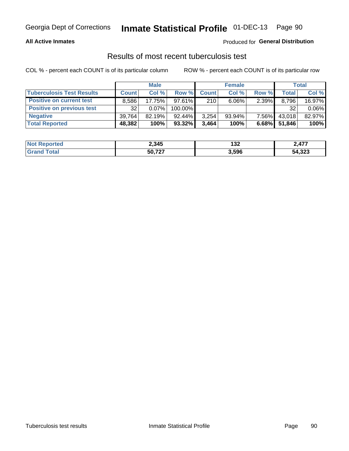#### **All Active Inmates**

#### Produced for **General Distribution**

#### Results of most recent tuberculosis test

|                                  | <b>Male</b>  |          |           | <b>Female</b> |           |       | Total        |          |
|----------------------------------|--------------|----------|-----------|---------------|-----------|-------|--------------|----------|
| <b>Tuberculosis Test Results</b> | <b>Count</b> | Col%     | Row %     | <b>Count</b>  | Col %     | Row % | <b>Total</b> | Col %    |
| <b>Positive on current test</b>  | 8.586        | 17.75%   | $97.61\%$ | 210           | $6.06\%$  | 2.39% | 8,796        | 16.97%   |
| <b>Positive on previous test</b> | 32           | $0.07\%$ | 100.00%   |               |           |       | 32           | $0.06\%$ |
| <b>Negative</b>                  | 39.764       | 82.19%   | $92.44\%$ | 3,254         | $93.94\%$ | 7.56% | 43,018       | 82.97%   |
| <b>Total Reported</b>            | 48,382       | 100%     | $93.32\%$ | 3,464         | 100%      | 6.68% | 51,846       | 100%     |

| <b>Not Reported</b> | 2,345  | <b>مو</b><br>7C ا | 2,477  |
|---------------------|--------|-------------------|--------|
| <b>Total</b>        | 50,727 | 3,596             | 54,323 |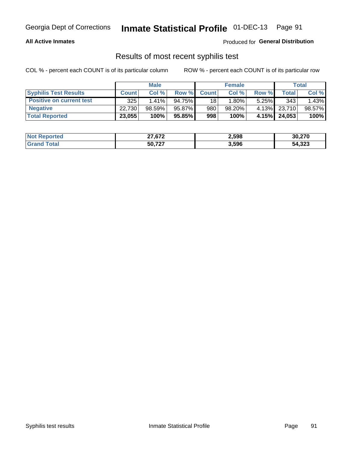#### **All Active Inmates**

Produced for **General Distribution**

#### Results of most recent syphilis test

|                                 | <b>Male</b>  |           |        | <b>Female</b> |           |          | Total        |        |
|---------------------------------|--------------|-----------|--------|---------------|-----------|----------|--------------|--------|
| <b>Syphilis Test Results</b>    | <b>Count</b> | Col%      | Row %I | <b>Count</b>  | Col %     | Row %    | Total I      | Col %  |
| <b>Positive on current test</b> | 325          | $1.41\%$  | 94.75% | 18            | 1.80%     | $5.25\%$ | 343          | 1.43%  |
| <b>Negative</b>                 | 22.730       | $98.59\%$ | 95.87% | 980           | $98.20\%$ |          | 4.13% 23,710 | 98.57% |
| <b>Total Reported</b>           | 23,055       | 100%      | 95.85% | 998           | 100%      | 4.15%    | 24,053       | 100%   |

| <b>Not Reported</b> | 27.27<br>21,072 | 2,598 | 30,270 |
|---------------------|-----------------|-------|--------|
| 'Grand Total        | 50.727          | 3,596 | 54,323 |